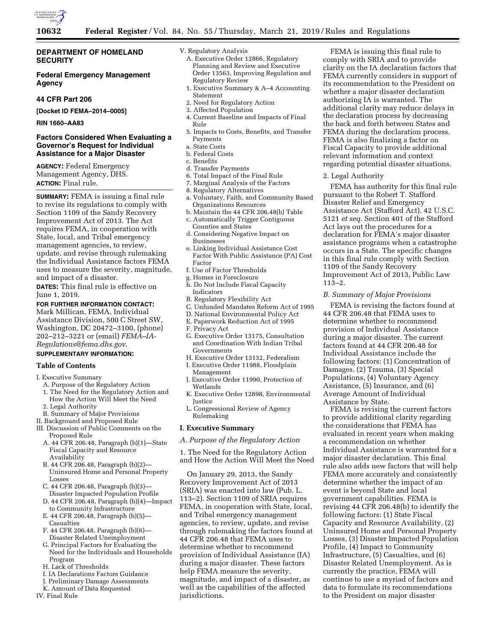

# **DEPARTMENT OF HOMELAND SECURITY**

# **Federal Emergency Management Agency**

# **44 CFR Part 206**

**[Docket ID FEMA–2014–0005]** 

**RIN 1660–AA83** 

# **Factors Considered When Evaluating a Governor's Request for Individual Assistance for a Major Disaster**

**AGENCY:** Federal Emergency Management Agency, DHS. **ACTION:** Final rule.

**SUMMARY:** FEMA is issuing a final rule to revise its regulations to comply with Section 1109 of the Sandy Recovery Improvement Act of 2013. The Act requires FEMA, in cooperation with State, local, and Tribal emergency management agencies, to review, update, and revise through rulemaking the Individual Assistance factors FEMA uses to measure the severity, magnitude, and impact of a disaster.

**DATES:** This final rule is effective on June 1, 2019.

#### **FOR FURTHER INFORMATION CONTACT:**

Mark Millican, FEMA, Individual Assistance Division, 500 C Street SW, Washington, DC 20472–3100, (phone) 202–212–3221 or (email) *[FEMA–IA-](mailto:FEMA-IA-Regulations@fema.dhs.gov)[Regulations@fema.dhs.gov.](mailto:FEMA-IA-Regulations@fema.dhs.gov)* 

# **SUPPLEMENTARY INFORMATION:**

# **Table of Contents**

I. Executive Summary

- A. Purpose of the Regulatory Action 1. The Need for the Regulatory Action and
- How the Action Will Meet the Need
- 2. Legal Authority
- B. Summary of Major Provisions
- II. Background and Proposed Rule
- III. Discussion of Public Comments on the Proposed Rule
	- A. 44 CFR 206.48, Paragraph (b)(1)—State Fiscal Capacity and Resource Availability
	- B. 44 CFR 206.48, Paragraph (b)(2)— Uninsured Home and Personal Property Losses
	- C. 44 CFR 206.48, Paragraph (b)(3)— Disaster Impacted Population Profile
	- D. 44 CFR 206.48, Paragraph (b)(4)—Impact to Community Infrastructure
	- E. 44 CFR 206.48, Paragraph (b)(5)— **Casualties**
	- F. 44 CFR 206.48, Paragraph (b)(6)— Disaster Related Unemployment
	- G. Principal Factors for Evaluating the Need for the Individuals and Households Program
	- H. Lack of Thresholds
	- I. IA Declarations Factors Guidance
	- J. Preliminary Damage Assessments
- K. Amount of Data Requested

IV. Final Rule

- V. Regulatory Analysis
	- A. Executive Order 12866, Regulatory Planning and Review and Executive Order 13563, Improving Regulation and Regulatory Review
	- 1. Executive Summary & A–4 Accounting Statement
	- 2. Need for Regulatory Action
	- 3. Affected Population
	- 4. Current Baseline and Impacts of Final Rule
	- 5. Impacts to Costs, Benefits, and Transfer Payments
	- a. State Costs
- b. Federal Costs
- c. Benefits
- d. Transfer Payments
- 6. Total Impact of the Final Rule
- 7. Marginal Analysis of the Factors
- 8. Regulatory Alternatives
- a. Voluntary, Faith, and Community Based Organizations Resources
- b. Maintain the 44 CFR 206.48(b) Table
- c. Automatically Trigger Contiguous Counties and States
- d. Considering Negative Impact on Businesses
- e. Linking Individual Assistance Cost Factor With Public Assistance (PA) Cost Factor
- f. Use of Factor Thresholds
- g. Homes in Foreclosure
- h. Do Not Include Fiscal Capacity Indicators
- B. Regulatory Flexibility Act
- C. Unfunded Mandates Reform Act of 1995
- D. National Environmental Policy Act
- E. Paperwork Reduction Act of 1995
- F. Privacy Act
- G. Executive Order 13175, Consultation and Coordination With Indian Tribal Governments
- H. Executive Order 13132, Federalism
- I. Executive Order 11988, Floodplain Management
- J. Executive Order 11990, Protection of Wetlands
- K. Executive Order 12898, Environmental **Justice**
- L. Congressional Review of Agency Rulemaking

#### **I. Executive Summary**

*A. Purpose of the Regulatory Action* 

1. The Need for the Regulatory Action and How the Action Will Meet the Need

On January 29, 2013, the Sandy Recovery Improvement Act of 2013 (SRIA) was enacted into law (Pub. L. 113–2). Section 1109 of SRIA requires FEMA, in cooperation with State, local, and Tribal emergency management agencies, to review, update, and revise through rulemaking the factors found at 44 CFR 206.48 that FEMA uses to determine whether to recommend provision of Individual Assistance (IA) during a major disaster. These factors help FEMA measure the severity, magnitude, and impact of a disaster, as well as the capabilities of the affected jurisdictions.

FEMA is issuing this final rule to comply with SRIA and to provide clarity on the IA declaration factors that FEMA currently considers in support of its recommendation to the President on whether a major disaster declaration authorizing IA is warranted. The additional clarity may reduce delays in the declaration process by decreasing the back and forth between States and FEMA during the declaration process. FEMA is also finalizing a factor on Fiscal Capacity to provide additional relevant information and context regarding potential disaster situations.

#### 2. Legal Authority

FEMA has authority for this final rule pursuant to the Robert T. Stafford Disaster Relief and Emergency Assistance Act (Stafford Act). 42 U.S.C. 5121 *et seq.* Section 401 of the Stafford Act lays out the procedures for a declaration for FEMA's major disaster assistance programs when a catastrophe occurs in a State. The specific changes in this final rule comply with Section 1109 of the Sandy Recovery Improvement Act of 2013, Public Law 113–2.

### *B. Summary of Major Provisions*

FEMA is revising the factors found at 44 CFR 206.48 that FEMA uses to determine whether to recommend provision of Individual Assistance during a major disaster. The current factors found at 44 CFR 206.48 for Individual Assistance include the following factors: (1) Concentration of Damages, (2) Trauma, (3) Special Populations, (4) Voluntary Agency Assistance, (5) Insurance, and (6) Average Amount of Individual Assistance by State.

FEMA is revising the current factors to provide additional clarity regarding the considerations that FEMA has evaluated in recent years when making a recommendation on whether Individual Assistance is warranted for a major disaster declaration. This final rule also adds new factors that will help FEMA more accurately and consistently determine whether the impact of an event is beyond State and local government capabilities. FEMA is revising 44 CFR 206.48(b) to identify the following factors: (1) State Fiscal Capacity and Resource Availability, (2) Uninsured Home and Personal Property Losses, (3) Disaster Impacted Population Profile, (4) Impact to Community Infrastructure, (5) Casualties, and (6) Disaster Related Unemployment. As is currently the practice, FEMA will continue to use a myriad of factors and data to formulate its recommendations to the President on major disaster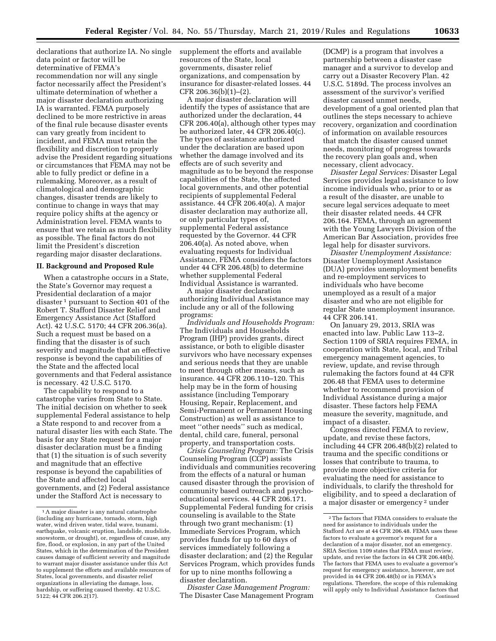declarations that authorize IA. No single data point or factor will be determinative of FEMA's recommendation nor will any single factor necessarily affect the President's ultimate determination of whether a major disaster declaration authorizing IA is warranted. FEMA purposely declined to be more restrictive in areas of the final rule because disaster events can vary greatly from incident to incident, and FEMA must retain the flexibility and discretion to properly advise the President regarding situations or circumstances that FEMA may not be able to fully predict or define in a rulemaking. Moreover, as a result of climatological and demographic changes, disaster trends are likely to continue to change in ways that may require policy shifts at the agency or Administration level. FEMA wants to ensure that we retain as much flexibility as possible. The final factors do not limit the President's discretion regarding major disaster declarations.

#### **II. Background and Proposed Rule**

When a catastrophe occurs in a State, the State's Governor may request a Presidential declaration of a major disaster 1 pursuant to Section 401 of the Robert T. Stafford Disaster Relief and Emergency Assistance Act (Stafford Act). 42 U.S.C. 5170; 44 CFR 206.36(a). Such a request must be based on a finding that the disaster is of such severity and magnitude that an effective response is beyond the capabilities of the State and the affected local governments and that Federal assistance is necessary. 42 U.S.C. 5170.

The capability to respond to a catastrophe varies from State to State. The initial decision on whether to seek supplemental Federal assistance to help a State respond to and recover from a natural disaster lies with each State. The basis for any State request for a major disaster declaration must be a finding that (1) the situation is of such severity and magnitude that an effective response is beyond the capabilities of the State and affected local governments, and (2) Federal assistance under the Stafford Act is necessary to

supplement the efforts and available resources of the State, local governments, disaster relief organizations, and compensation by insurance for disaster-related losses. 44 CFR 206.36(b)(1)–(2).

A major disaster declaration will identify the types of assistance that are authorized under the declaration, 44 CFR 206.40(a), although other types may be authorized later, 44 CFR 206.40(c). The types of assistance authorized under the declaration are based upon whether the damage involved and its effects are of such severity and magnitude as to be beyond the response capabilities of the State, the affected local governments, and other potential recipients of supplemental Federal assistance. 44 CFR 206.40(a). A major disaster declaration may authorize all, or only particular types of, supplemental Federal assistance requested by the Governor. 44 CFR 206.40(a). As noted above, when evaluating requests for Individual Assistance, FEMA considers the factors under 44 CFR 206.48(b) to determine whether supplemental Federal Individual Assistance is warranted.

A major disaster declaration authorizing Individual Assistance may include any or all of the following programs:

*Individuals and Households Program:*  The Individuals and Households Program (IHP) provides grants, direct assistance, or both to eligible disaster survivors who have necessary expenses and serious needs that they are unable to meet through other means, such as insurance. 44 CFR 206.110–120. This help may be in the form of housing assistance (including Temporary Housing, Repair, Replacement, and Semi-Permanent or Permanent Housing Construction) as well as assistance to meet ''other needs'' such as medical, dental, child care, funeral, personal property, and transportation costs.

*Crisis Counseling Program:* The Crisis Counseling Program (CCP) assists individuals and communities recovering from the effects of a natural or human caused disaster through the provision of community based outreach and psychoeducational services. 44 CFR 206.171. Supplemental Federal funding for crisis counseling is available to the State through two grant mechanism: (1) Immediate Services Program, which provides funds for up to 60 days of services immediately following a disaster declaration; and (2) the Regular Services Program, which provides funds for up to nine months following a disaster declaration.

*Disaster Case Management Program:*  The Disaster Case Management Program

(DCMP) is a program that involves a partnership between a disaster case manager and a survivor to develop and carry out a Disaster Recovery Plan. 42 U.S.C. 5189d. The process involves an assessment of the survivor's verified disaster caused unmet needs, development of a goal oriented plan that outlines the steps necessary to achieve recovery, organization and coordination of information on available resources that match the disaster caused unmet needs, monitoring of progress towards the recovery plan goals and, when necessary, client advocacy.

*Disaster Legal Services:* Disaster Legal Services provides legal assistance to low income individuals who, prior to or as a result of the disaster, are unable to secure legal services adequate to meet their disaster related needs. 44 CFR 206.164. FEMA, through an agreement with the Young Lawyers Division of the American Bar Association, provides free legal help for disaster survivors.

*Disaster Unemployment Assistance:*  Disaster Unemployment Assistance (DUA) provides unemployment benefits and re-employment services to individuals who have become unemployed as a result of a major disaster and who are not eligible for regular State unemployment insurance. 44 CFR 206.141.

On January 29, 2013, SRIA was enacted into law. Public Law 113–2. Section 1109 of SRIA requires FEMA, in cooperation with State, local, and Tribal emergency management agencies, to review, update, and revise through rulemaking the factors found at 44 CFR 206.48 that FEMA uses to determine whether to recommend provision of Individual Assistance during a major disaster. These factors help FEMA measure the severity, magnitude, and impact of a disaster.

Congress directed FEMA to review, update, and revise these factors, including 44 CFR 206.48(b)(2) related to trauma and the specific conditions or losses that contribute to trauma, to provide more objective criteria for evaluating the need for assistance to individuals, to clarify the threshold for eligibility, and to speed a declaration of a major disaster or emergency 2 under

<sup>&</sup>lt;sup>1</sup> A major disaster is any natural catastrophe (including any hurricane, tornado, storm, high water, wind driven water, tidal wave, tsunami, earthquake, volcanic eruption, landslide, mudslide, snowstorm, or drought), or, regardless of cause, any fire, flood, or explosion, in any part of the United States, which in the determination of the President causes damage of sufficient severity and magnitude to warrant major disaster assistance under this Act to supplement the efforts and available resources of States, local governments, and disaster relief organizations in alleviating the damage, loss, hardship, or suffering caused thereby. 42 U.S.C. 5122; 44 CFR 206.2(17).

<sup>2</sup>The factors that FEMA considers to evaluate the need for assistance to individuals under the Stafford Act are at 44 CFR 206.48. FEMA uses these factors to evaluate a governor's request for a declaration of a major disaster, not an emergency. SRIA Section 1109 states that FEMA must review, update, and revise the factors in 44 CFR 206.48(b). The factors that FEMA uses to evaluate a governor's request for emergency assistance, however, are not provided in 44 CFR 206.48(b) or in FEMA's regulations. Therefore, the scope of this rulemaking will apply only to Individual Assistance factors that Continued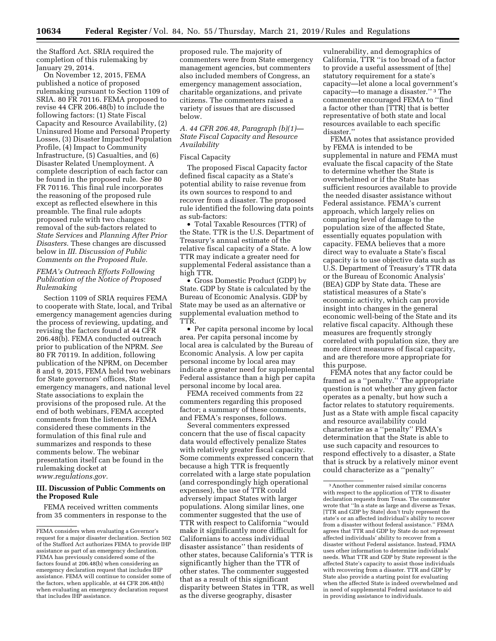the Stafford Act. SRIA required the completion of this rulemaking by January 29, 2014.

On November 12, 2015, FEMA published a notice of proposed rulemaking pursuant to Section 1109 of SRIA. 80 FR 70116. FEMA proposed to revise 44 CFR 206.48(b) to include the following factors: (1) State Fiscal Capacity and Resource Availability, (2) Uninsured Home and Personal Property Losses, (3) Disaster Impacted Population Profile, (4) Impact to Community Infrastructure, (5) Casualties, and (6) Disaster Related Unemployment. A complete description of each factor can be found in the proposed rule. *See* 80 FR 70116. This final rule incorporates the reasoning of the proposed rule except as reflected elsewhere in this preamble. The final rule adopts proposed rule with two changes: removal of the sub-factors related to *State Services* and *Planning After Prior Disasters.* These changes are discussed below in *III. Discussion of Public Comments on the Proposed Rule.* 

# *FEMA's Outreach Efforts Following Publication of the Notice of Proposed Rulemaking*

Section 1109 of SRIA requires FEMA to cooperate with State, local, and Tribal emergency management agencies during the process of reviewing, updating, and revising the factors found at 44 CFR 206.48(b). FEMA conducted outreach prior to publication of the NPRM. *See*  80 FR 70119. In addition, following publication of the NPRM, on December 8 and 9, 2015, FEMA held two webinars for State governors' offices, State emergency managers, and national level State associations to explain the provisions of the proposed rule. At the end of both webinars, FEMA accepted comments from the listeners. FEMA considered these comments in the formulation of this final rule and summarizes and responds to these comments below. The webinar presentation itself can be found in the rulemaking docket at *[www.regulations.gov.](http://www.regulations.gov)* 

#### **III. Discussion of Public Comments on the Proposed Rule**

FEMA received written comments from 35 commenters in response to the

proposed rule. The majority of commenters were from State emergency management agencies, but commenters also included members of Congress, an emergency management association, charitable organizations, and private citizens. The commenters raised a variety of issues that are discussed below.

# *A. 44 CFR 206.48, Paragraph (b)(1)— State Fiscal Capacity and Resource Availability*

# Fiscal Capacity

The proposed Fiscal Capacity factor defined fiscal capacity as a State's potential ability to raise revenue from its own sources to respond to and recover from a disaster. The proposed rule identified the following data points as sub-factors:

• Total Taxable Resources (TTR) of the State. TTR is the U.S. Department of Treasury's annual estimate of the relative fiscal capacity of a State. A low TTR may indicate a greater need for supplemental Federal assistance than a high TTR.

• Gross Domestic Product (GDP) by State. GDP by State is calculated by the Bureau of Economic Analysis. GDP by State may be used as an alternative or supplemental evaluation method to TTR.

• Per capita personal income by local area. Per capita personal income by local area is calculated by the Bureau of Economic Analysis. A low per capita personal income by local area may indicate a greater need for supplemental Federal assistance than a high per capita personal income by local area.

FEMA received comments from 22 commenters regarding this proposed factor; a summary of these comments, and FEMA's responses, follows.

Several commenters expressed concern that the use of fiscal capacity data would effectively penalize States with relatively greater fiscal capacity. Some comments expressed concern that because a high TTR is frequently correlated with a large state population (and correspondingly high operational expenses), the use of TTR could adversely impact States with larger populations. Along similar lines, one commenter suggested that the use of TTR with respect to California ''would make it significantly more difficult for Californians to access individual disaster assistance'' than residents of other states, because California's TTR is significantly higher than the TTR of other states. The commenter suggested that as a result of this significant disparity between States in TTR, as well as the diverse geography, disaster

vulnerability, and demographics of California, TTR ''is too broad of a factor to provide a useful assessment of [the] statutory requirement for a state's capacity—let alone a local government's capacity—to manage a disaster.'' 3 The commenter encouraged FEMA to ''find a factor other than [TTR] that is better representative of both state and local resources available to each specific disaster.''

FEMA notes that assistance provided by FEMA is intended to be supplemental in nature and FEMA must evaluate the fiscal capacity of the State to determine whether the State is overwhelmed or if the State has sufficient resources available to provide the needed disaster assistance without Federal assistance. FEMA's current approach, which largely relies on comparing level of damage to the population size of the affected State, essentially equates population with capacity. FEMA believes that a more direct way to evaluate a State's fiscal capacity is to use objective data such as U.S. Department of Treasury's TTR data or the Bureau of Economic Analysis' (BEA) GDP by State data. These are statistical measures of a State's economic activity, which can provide insight into changes in the general economic well-being of the State and its relative fiscal capacity. Although these measures are frequently strongly correlated with population size, they are more direct measures of fiscal capacity, and are therefore more appropriate for this purpose.

FEMA notes that any factor could be framed as a ''penalty.'' The appropriate question is not whether any given factor operates as a penalty, but how such a factor relates to statutory requirements. Just as a State with ample fiscal capacity and resource availability could characterize as a ''penalty'' FEMA's determination that the State is able to use such capacity and resources to respond effectively to a disaster, a State that is struck by a relatively minor event could characterize as a ''penalty''

FEMA considers when evaluating a Governor's request for a major disaster declaration. Section 502 of the Stafford Act authorizes FEMA to provide IHP assistance as part of an emergency declaration. FEMA has previously considered some of the factors found at 206.48(b) when considering an emergency declaration request that includes IHP assistance. FEMA will continue to consider some of the factors, when applicable, at 44 CFR 206.48(b) when evaluating an emergency declaration request that includes IHP assistance.

<sup>3</sup>Another commenter raised similar concerns with respect to the application of TTR to disaster declaration requests from Texas. The commenter wrote that ''In a state as large and diverse as Texas, [TTR and GDP by State] don't truly represent the state's or an affected individual's ability to recover from a disaster without federal assistance.'' FEMA agrees that TTR and GDP by State do not represent affected individuals' ability to recover from a disaster without Federal assistance. Instead, FEMA uses other information to determine individuals' needs. What TTR and GDP by State represent is the affected State's capacity to assist those individuals with recovering from a disaster. TTR and GDP by State also provide a starting point for evaluating when the affected State is indeed overwhelmed and in need of supplemental Federal assistance to aid in providing assistance to individuals.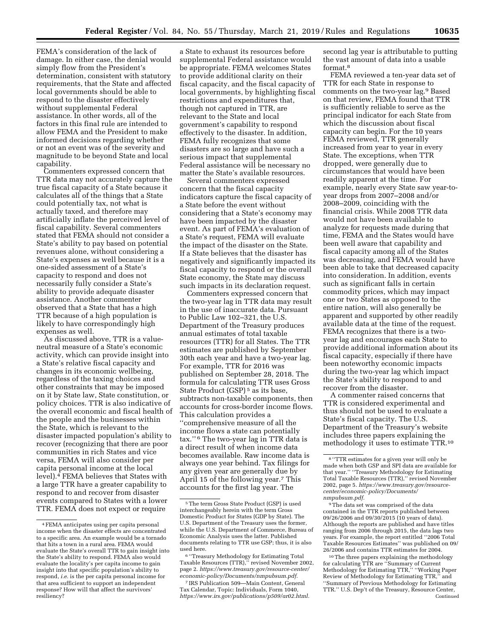FEMA's consideration of the lack of damage. In either case, the denial would simply flow from the President's determination, consistent with statutory requirements, that the State and affected local governments should be able to respond to the disaster effectively without supplemental Federal assistance. In other words, all of the factors in this final rule are intended to allow FEMA and the President to make informed decisions regarding whether or not an event was of the severity and magnitude to be beyond State and local capability.

Commenters expressed concern that TTR data may not accurately capture the true fiscal capacity of a State because it calculates all of the things that a State could potentially tax, not what is actually taxed, and therefore may artificially inflate the perceived level of fiscal capability. Several commenters stated that FEMA should not consider a State's ability to pay based on potential revenues alone, without considering a State's expenses as well because it is a one-sided assessment of a State's capacity to respond and does not necessarily fully consider a State's ability to provide adequate disaster assistance. Another commenter observed that a State that has a high TTR because of a high population is likely to have correspondingly high expenses as well.

As discussed above, TTR is a valueneutral measure of a State's economic activity, which can provide insight into a State's relative fiscal capacity and changes in its economic wellbeing, regardless of the taxing choices and other constraints that may be imposed on it by State law, State constitution, or policy choices. TTR is also indicative of the overall economic and fiscal health of the people and the businesses within the State, which is relevant to the disaster impacted population's ability to recover (recognizing that there are poor communities in rich States and vice versa, FEMA will also consider per capita personal income at the local level).4 FEMA believes that States with a large TTR have a greater capability to respond to and recover from disaster events compared to States with a lower TTR. FEMA does not expect or require

a State to exhaust its resources before supplemental Federal assistance would be appropriate. FEMA welcomes States to provide additional clarity on their fiscal capacity, and the fiscal capacity of local governments, by highlighting fiscal restrictions and expenditures that, though not captured in TTR, are relevant to the State and local government's capability to respond effectively to the disaster. In addition, FEMA fully recognizes that some disasters are so large and have such a serious impact that supplemental Federal assistance will be necessary no matter the State's available resources.

Several commenters expressed concern that the fiscal capacity indicators capture the fiscal capacity of a State before the event without considering that a State's economy may have been impacted by the disaster event. As part of FEMA's evaluation of a State's request, FEMA will evaluate the impact of the disaster on the State. If a State believes that the disaster has negatively and significantly impacted its fiscal capacity to respond or the overall State economy, the State may discuss such impacts in its declaration request.

Commenters expressed concern that the two-year lag in TTR data may result in the use of inaccurate data. Pursuant to Public Law 102–321, the U.S. Department of the Treasury produces annual estimates of total taxable resources (TTR) for all States. The TTR estimates are published by September 30th each year and have a two-year lag. For example, TTR for 2016 was published on September 28, 2018. The formula for calculating TTR uses Gross State Product (GSP)<sup>5</sup> as its base, subtracts non-taxable components, then accounts for cross-border income flows. This calculation provides a ''comprehensive measure of all the income flows a state can potentially tax.'' 6 The two-year lag in TTR data is a direct result of when income data becomes available. Raw income data is always one year behind. Tax filings for any given year are generally due by April 15 of the following year.7 This accounts for the first lag year. The

7 IRS Publication 509—Main Content, General Tax Calendar, Topic: Individuals, Form 1040, *[https://www.irs.gov/publications/p509/ar02.html.](https://www.irs.gov/publications/p509/ar02.html)*  second lag year is attributable to putting the vast amount of data into a usable format.8

FEMA reviewed a ten-year data set of TTR for each State in response to comments on the two-year lag.9 Based on that review, FEMA found that TTR is sufficiently reliable to serve as the principal indicator for each State from which the discussion about fiscal capacity can begin. For the 10 years FEMA reviewed, TTR generally increased from year to year in every State. The exceptions, when TTR dropped, were generally due to circumstances that would have been readily apparent at the time. For example, nearly every State saw year-toyear drops from 2007–2008 and/or 2008–2009, coinciding with the financial crisis. While 2008 TTR data would not have been available to analyze for requests made during that time, FEMA and the States would have been well aware that capability and fiscal capacity among all of the States was decreasing, and FEMA would have been able to take that decreased capacity into consideration. In addition, events such as significant falls in certain commodity prices, which may impact one or two States as opposed to the entire nation, will also generally be apparent and supported by other readily available data at the time of the request. FEMA recognizes that there is a twoyear lag and encourages each State to provide additional information about its fiscal capacity, especially if there have been noteworthy economic impacts during the two-year lag which impact the State's ability to respond to and recover from the disaster.

A commenter raised concerns that TTR is considered experimental and thus should not be used to evaluate a State's fiscal capacity. The U.S. Department of the Treasury's website includes three papers explaining the methodology it uses to estimate TTR.10

9The data set was comprised of the data contained in the TTR reports published between 09/26/2006 and 09/30/2015 (10 years of data). Although the reports are published and have titles ranging from 2006 through 2015, the data lags two years. For example, the report entitled ''2006 Total Taxable Resources Estimates'' was published on 09/ 26/2006 and contains TTR estimates for 2004.

<sup>4</sup>FEMA anticipates using per capita personal income when the disaster effects are concentrated to a specific area. An example would be a tornado that hits a town in a rural area. FEMA would evaluate the State's overall TTR to gain insight into the State's ability to respond. FEMA also would evaluate the locality's per capita income to gain insight into that specific population's ability to respond, *i.e.* is the per capita personal income for that area sufficient to support an independent response? How will that affect the survivors' resiliency?

<sup>5</sup>The term Gross State Product (GSP) is used interchangeably herein with the term Gross Domestic Product for States (GDP by State). The U.S. Department of the Treasury uses the former, while the U.S. Department of Commerce, Bureau of Economic Analysis uses the latter. Published documents relating to TTR use GSP; thus, it is also used here.

<sup>6</sup> ''Treasury Methodology for Estimating Total Taxable Resources (TTR),'' revised November 2002, page 2. *[https://www.treasury.gov/resource-center/](https://www.treasury.gov/resource-center/economic-policy/Documents/nmpubsum.pdf) [economic-policy/Documents/nmpubsum.pdf.](https://www.treasury.gov/resource-center/economic-policy/Documents/nmpubsum.pdf)* 

<sup>8</sup> ''TTR estimates for a given year will only be made when both GSP and SPI data are available for that year.'' ''Treasury Methodology for Estimating Total Taxable Resources (TTR),'' revised November 2002, page 5. *[https://www.treasury.gov/resource](https://www.treasury.gov/resource-center/economic-policy/Documents/nmpubsum.pdf)[center/economic-policy/Documents/](https://www.treasury.gov/resource-center/economic-policy/Documents/nmpubsum.pdf) [nmpubsum.pdf.](https://www.treasury.gov/resource-center/economic-policy/Documents/nmpubsum.pdf)* 

<sup>10</sup>The three papers explaining the methodology for calculating TTR are ''Summary of Current Methodology for Estimating TTR,'' ''Working Paper Review of Methodology for Estimating TTR,'' and ''Summary of Previous Methodology for Estimating TTR.'' U.S. Dep't of the Treasury, Resource Center, Continued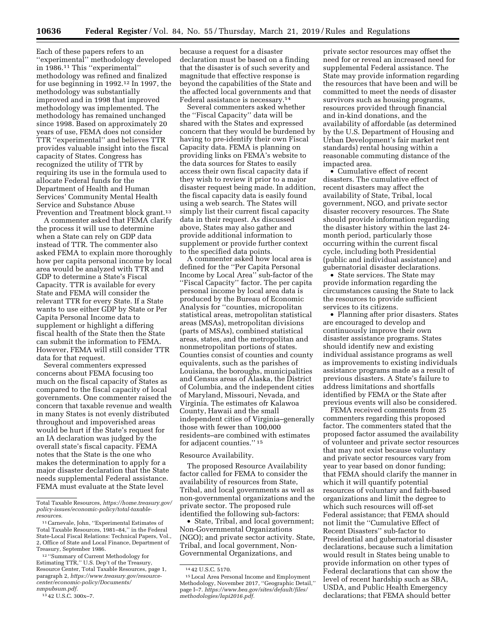Each of these papers refers to an ''experimental'' methodology developed in 1986.11 This ''experimental'' methodology was refined and finalized for use beginning in 1992.12 In 1997, the methodology was substantially improved and in 1998 that improved methodology was implemented. The methodology has remained unchanged since 1998. Based on approximately 20 years of use, FEMA does not consider TTR ''experimental'' and believes TTR provides valuable insight into the fiscal capacity of States. Congress has recognized the utility of TTR by requiring its use in the formula used to allocate Federal funds for the Department of Health and Human Services' Community Mental Health Service and Substance Abuse Prevention and Treatment block grant.<sup>13</sup>

A commenter asked that FEMA clarify the process it will use to determine when a State can rely on GDP data instead of TTR. The commenter also asked FEMA to explain more thoroughly how per capita personal income by local area would be analyzed with TTR and GDP to determine a State's Fiscal Capacity. TTR is available for every State and FEMA will consider the relevant TTR for every State. If a State wants to use either GDP by State or Per Capita Personal Income data to supplement or highlight a differing fiscal health of the State then the State can submit the information to FEMA. However, FEMA will still consider TTR data for that request.

Several commenters expressed concerns about FEMA focusing too much on the fiscal capacity of States as compared to the fiscal capacity of local governments. One commenter raised the concern that taxable revenue and wealth in many States is not evenly distributed throughout and impoverished areas would be hurt if the State's request for an IA declaration was judged by the overall state's fiscal capacity. FEMA notes that the State is the one who makes the determination to apply for a major disaster declaration that the State needs supplemental Federal assistance. FEMA must evaluate at the State level

Total Taxable Resources, *https://home.treasury.gov/ policy-issues/economic-policy/total-taxableresources.* 

12 ''Summary of Current Methodology for Estimating TTR,'' U.S. Dep't of the Treasury, Resource Center, Total Taxable Resources, page 1, paragraph 2, *[https://www.treasury.gov/resource](https://www.treasury.gov/resource-center/economic-policy/Documents/nmpubsum.pdf)[center/economic-policy/Documents/](https://www.treasury.gov/resource-center/economic-policy/Documents/nmpubsum.pdf) [nmpubsum.pdf.](https://www.treasury.gov/resource-center/economic-policy/Documents/nmpubsum.pdf)* 

because a request for a disaster declaration must be based on a finding that the disaster is of such severity and magnitude that effective response is beyond the capabilities of the State and the affected local governments and that Federal assistance is necessary.14

Several commenters asked whether the ''Fiscal Capacity'' data will be shared with the States and expressed concern that they would be burdened by having to pre-identify their own Fiscal Capacity data. FEMA is planning on providing links on FEMA's website to the data sources for States to easily access their own fiscal capacity data if they wish to review it prior to a major disaster request being made. In addition, the fiscal capacity data is easily found using a web search. The States will simply list their current fiscal capacity data in their request. As discussed above, States may also gather and provide additional information to supplement or provide further context to the specified data points.

A commenter asked how local area is defined for the ''Per Capita Personal Income by Local Area'' sub-factor of the ''Fiscal Capacity'' factor. The per capita personal income by local area data is produced by the Bureau of Economic Analysis for ''counties, micropolitan statistical areas, metropolitan statistical areas (MSAs), metropolitan divisions (parts of MSAs), combined statistical areas, states, and the metropolitan and nonmetropolitan portions of states. Counties consist of counties and county equivalents, such as the parishes of Louisiana, the boroughs, municipalities and Census areas of Alaska, the District of Columbia, and the independent cities of Maryland, Missouri, Nevada, and Virginia. The estimates ofr Kalawoa County, Hawaii and the small independent cities of Virginia–generally those with fewer than 100,000 residents–are combined with estimates for adjacent counties.'' 15

#### Resource Availability.

The proposed Resource Availability factor called for FEMA to consider the availability of resources from State, Tribal, and local governments as well as non-governmental organizations and the private sector. The proposed rule identified the following sub-factors:

• State, Tribal, and local government; Non-Governmental Organizations (NGO); and private sector activity. State, Tribal, and local government, Non-Governmental Organizations, and

private sector resources may offset the need for or reveal an increased need for supplemental Federal assistance. The State may provide information regarding the resources that have been and will be committed to meet the needs of disaster survivors such as housing programs, resources provided through financial and in-kind donations, and the availability of affordable (as determined by the U.S. Department of Housing and Urban Development's fair market rent standards) rental housing within a reasonable commuting distance of the impacted area.

• Cumulative effect of recent disasters. The cumulative effect of recent disasters may affect the availability of State, Tribal, local government, NGO, and private sector disaster recovery resources. The State should provide information regarding the disaster history within the last 24 month period, particularly those occurring within the current fiscal cycle, including both Presidential (public and individual assistance) and gubernatorial disaster declarations.

• State services. The State may provide information regarding the circumstances causing the State to lack the resources to provide sufficient services to its citizens.

• Planning after prior disasters. States are encouraged to develop and continuously improve their own disaster assistance programs. States should identify new and existing individual assistance programs as well as improvements to existing individuals assistance programs made as a result of previous disasters. A State's failure to address limitations and shortfalls identified by FEMA or the State after previous events will also be considered.

FEMA received comments from 25 commenters regarding this proposed factor. The commenters stated that the proposed factor assumed the availability of volunteer and private sector resources that may not exist because voluntary and private sector resources vary from year to year based on donor funding; that FEMA should clarify the manner in which it will quantify potential resources of voluntary and faith-based organizations and limit the degree to which such resources will off-set Federal assistance; that FEMA should not limit the ''Cumulative Effect of Recent Disasters'' sub-factor to Presidential and gubernatorial disaster declarations, because such a limitation would result in States being unable to provide information on other types of Federal declarations that can show the level of recent hardship such as SBA, USDA, and Public Health Emergency declarations; that FEMA should better

<sup>11</sup>Carnevale, John, ''Experimental Estimates of Total Taxable Resources, 1981–84,'' in the Federal State-Local Fiscal Relations: Technical Papers, Vol., 2, Office of State and Local Finance, Department of Treasury, September 1986.

<sup>13</sup> 42 U.S.C. 300x–7.

<sup>14</sup> 42 U.S.C. 5170.

<sup>15</sup>Local Area Personal Income and Employment Methodology, November 2017, ''Geographic Detail,'' page I–7. *[https://www.bea.gov/sites/default/files/](https://www.bea.gov/sites/default/files/methodologies/lapi2016.pdf)  [methodologies/lapi2016.pdf.](https://www.bea.gov/sites/default/files/methodologies/lapi2016.pdf)*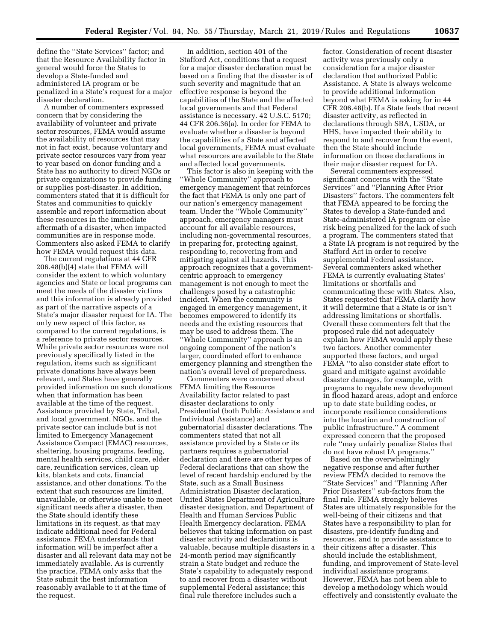define the ''State Services'' factor; and that the Resource Availability factor in general would force the States to develop a State-funded and administered IA program or be penalized in a State's request for a major disaster declaration.

A number of commenters expressed concern that by considering the availability of volunteer and private sector resources, FEMA would assume the availability of resources that may not in fact exist, because voluntary and private sector resources vary from year to year based on donor funding and a State has no authority to direct NGOs or private organizations to provide funding or supplies post-disaster. In addition, commenters stated that it is difficult for States and communities to quickly assemble and report information about these resources in the immediate aftermath of a disaster, when impacted communities are in response mode. Commenters also asked FEMA to clarify how FEMA would request this data.

The current regulations at 44 CFR 206.48(b)(4) state that FEMA will consider the extent to which voluntary agencies and State or local programs can meet the needs of the disaster victims and this information is already provided as part of the narrative aspects of a State's major disaster request for IA. The only new aspect of this factor, as compared to the current regulations, is a reference to private sector resources. While private sector resources were not previously specifically listed in the regulation, items such as significant private donations have always been relevant, and States have generally provided information on such donations when that information has been available at the time of the request. Assistance provided by State, Tribal, and local government, NGOs, and the private sector can include but is not limited to Emergency Management Assistance Compact (EMAC) resources, sheltering, housing programs, feeding, mental health services, child care, elder care, reunification services, clean up kits, blankets and cots, financial assistance, and other donations. To the extent that such resources are limited, unavailable, or otherwise unable to meet significant needs after a disaster, then the State should identify these limitations in its request, as that may indicate additional need for Federal assistance. FEMA understands that information will be imperfect after a disaster and all relevant data may not be immediately available. As is currently the practice, FEMA only asks that the State submit the best information reasonably available to it at the time of the request.

In addition, section 401 of the Stafford Act, conditions that a request for a major disaster declaration must be based on a finding that the disaster is of such severity and magnitude that an effective response is beyond the capabilities of the State and the affected local governments and that Federal assistance is necessary. 42 U.S.C. 5170; 44 CFR 206.36(a). In order for FEMA to evaluate whether a disaster is beyond the capabilities of a State and affected local governments, FEMA must evaluate what resources are available to the State and affected local governments.

This factor is also in keeping with the ''Whole Community'' approach to emergency management that reinforces the fact that FEMA is only one part of our nation's emergency management team. Under the ''Whole Community'' approach, emergency managers must account for all available resources, including non-governmental resources, in preparing for, protecting against, responding to, recovering from and mitigating against all hazards. This approach recognizes that a governmentcentric approach to emergency management is not enough to meet the challenges posed by a catastrophic incident. When the community is engaged in emergency management, it becomes empowered to identify its needs and the existing resources that may be used to address them. The ''Whole Community'' approach is an ongoing component of the nation's larger, coordinated effort to enhance emergency planning and strengthen the nation's overall level of preparedness.

Commenters were concerned about FEMA limiting the Resource Availability factor related to past disaster declarations to only Presidential (both Public Assistance and Individual Assistance) and gubernatorial disaster declarations. The commenters stated that not all assistance provided by a State or its partners requires a gubernatorial declaration and there are other types of Federal declarations that can show the level of recent hardship endured by the State, such as a Small Business Administration Disaster declaration, United States Department of Agriculture disaster designation, and Department of Health and Human Services Public Health Emergency declaration. FEMA believes that taking information on past disaster activity and declarations is valuable, because multiple disasters in a 24-month period may significantly strain a State budget and reduce the State's capability to adequately respond to and recover from a disaster without supplemental Federal assistance; this final rule therefore includes such a

factor. Consideration of recent disaster activity was previously only a consideration for a major disaster declaration that authorized Public Assistance. A State is always welcome to provide additional information beyond what FEMA is asking for in 44 CFR 206.48(b). If a State feels that recent disaster activity, as reflected in declarations through SBA, USDA, or HHS, have impacted their ability to respond to and recover from the event, then the State should include information on those declarations in their major disaster request for IA.

Several commenters expressed significant concerns with the ''State Services'' and ''Planning After Prior Disasters'' factors. The commenters felt that FEMA appeared to be forcing the States to develop a State-funded and State-administered IA program or else risk being penalized for the lack of such a program. The commenters stated that a State IA program is not required by the Stafford Act in order to receive supplemental Federal assistance. Several commenters asked whether FEMA is currently evaluating States' limitations or shortfalls and communicating these with States. Also, States requested that FEMA clarify how it will determine that a State is or isn't addressing limitations or shortfalls. Overall these commenters felt that the proposed rule did not adequately explain how FEMA would apply these two factors. Another commenter supported these factors, and urged FEMA ''to also consider state effort to guard and mitigate against avoidable disaster damages, for example, with programs to regulate new development in flood hazard areas, adopt and enforce up to date state building codes, or incorporate resilience considerations into the location and construction of public infrastructure.'' A comment expressed concern that the proposed rule ''may unfairly penalize States that do not have robust IA programs.''

Based on the overwhelmingly negative response and after further review FEMA decided to remove the ''State Services'' and ''Planning After Prior Disasters'' sub-factors from the final rule. FEMA strongly believes States are ultimately responsible for the well-being of their citizens and that States have a responsibility to plan for disasters, pre-identify funding and resources, and to provide assistance to their citizens after a disaster. This should include the establishment, funding, and improvement of State-level individual assistance programs. However, FEMA has not been able to develop a methodology which would effectively and consistently evaluate the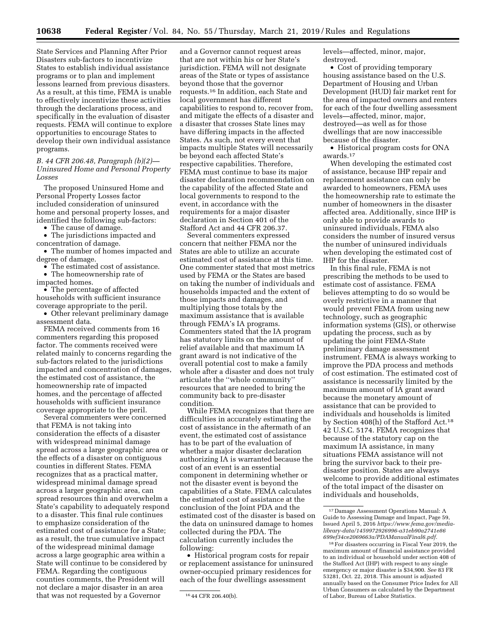State Services and Planning After Prior Disasters sub-factors to incentivize States to establish individual assistance programs or to plan and implement lessons learned from previous disasters. As a result, at this time, FEMA is unable to effectively incentivize these activities through the declarations process, and specifically in the evaluation of disaster requests. FEMA will continue to explore opportunities to encourage States to develop their own individual assistance programs.

*B. 44 CFR 206.48, Paragraph (b)(2)— Uninsured Home and Personal Property Losses* 

The proposed Uninsured Home and Personal Property Losses factor included consideration of uninsured home and personal property losses, and identified the following sub-factors:

• The cause of damage.

• The jurisdictions impacted and concentration of damage.

• The number of homes impacted and degree of damage.

• The estimated cost of assistance.

• The homeownership rate of impacted homes.

• The percentage of affected households with sufficient insurance coverage appropriate to the peril.

• Other relevant preliminary damage assessment data.

FEMA received comments from 16 commenters regarding this proposed factor. The comments received were related mainly to concerns regarding the sub-factors related to the jurisdictions impacted and concentration of damages, the estimated cost of assistance, the homeownership rate of impacted homes, and the percentage of affected households with sufficient insurance coverage appropriate to the peril.

Several commenters were concerned that FEMA is not taking into consideration the effects of a disaster with widespread minimal damage spread across a large geographic area or the effects of a disaster on contiguous counties in different States. FEMA recognizes that as a practical matter, widespread minimal damage spread across a larger geographic area, can spread resources thin and overwhelm a State's capability to adequately respond to a disaster. This final rule continues to emphasize consideration of the estimated cost of assistance for a State; as a result, the true cumulative impact of the widespread minimal damage across a large geographic area within a State will continue to be considered by FEMA. Regarding the contiguous counties comments, the President will not declare a major disaster in an area that was not requested by a Governor

and a Governor cannot request areas that are not within his or her State's jurisdiction. FEMA will not designate areas of the State or types of assistance beyond those that the governor requests.16 In addition, each State and local government has different capabilities to respond to, recover from, and mitigate the effects of a disaster and a disaster that crosses State lines may have differing impacts in the affected States. As such, not every event that impacts multiple States will necessarily be beyond each affected State's respective capabilities. Therefore, FEMA must continue to base its major disaster declaration recommendation on the capability of the affected State and local governments to respond to the event, in accordance with the requirements for a major disaster declaration in Section 401 of the Stafford Act and 44 CFR 206.37.

Several commenters expressed concern that neither FEMA nor the States are able to utilize an accurate estimated cost of assistance at this time. One commenter stated that most metrics used by FEMA or the States are based on taking the number of individuals and households impacted and the extent of those impacts and damages, and multiplying those totals by the maximum assistance that is available through FEMA's IA programs. Commenters stated that the IA program has statutory limits on the amount of relief available and that maximum IA grant award is not indicative of the overall potential cost to make a family whole after a disaster and does not truly articulate the ''whole community'' resources that are needed to bring the community back to pre-disaster condition.

While FEMA recognizes that there are difficulties in accurately estimating the cost of assistance in the aftermath of an event, the estimated cost of assistance has to be part of the evaluation of whether a major disaster declaration authorizing IA is warranted because the cost of an event is an essential component in determining whether or not the disaster event is beyond the capabilities of a State. FEMA calculates the estimated cost of assistance at the conclusion of the Joint PDA and the estimated cost of the disaster is based on the data on uninsured damage to homes collected during the PDA. The calculation currently includes the following:

• Historical program costs for repair or replacement assistance for uninsured owner-occupied primary residences for each of the four dwellings assessment

levels—affected, minor, major, destroyed.

• Cost of providing temporary housing assistance based on the U.S. Department of Housing and Urban Development (HUD) fair market rent for the area of impacted owners and renters for each of the four dwelling assessment levels—affected, minor, major, destroyed—as well as for those dwellings that are now inaccessible because of the disaster.

• Historical program costs for ONA awards.17

When developing the estimated cost of assistance, because IHP repair and replacement assistance can only be awarded to homeowners, FEMA uses the homeownership rate to estimate the number of homeowners in the disaster affected area. Additionally, since IHP is only able to provide awards to uninsured individuals, FEMA also considers the number of insured versus the number of uninsured individuals when developing the estimated cost of IHP for the disaster.

In this final rule, FEMA is not prescribing the methods to be used to estimate cost of assistance. FEMA believes attempting to do so would be overly restrictive in a manner that would prevent FEMA from using new technology, such as geographic information systems (GIS), or otherwise updating the process, such as by updating the joint FEMA-State preliminary damage assessment instrument. FEMA is always working to improve the PDA process and methods of cost estimation. The estimated cost of assistance is necessarily limited by the maximum amount of IA grant award because the monetary amount of assistance that can be provided to individuals and households is limited by Section 408(h) of the Stafford Act.18 42 U.S.C. 5174. FEMA recognizes that because of the statutory cap on the maximum IA assistance, in many situations FEMA assistance will not bring the survivor back to their predisaster position. States are always welcome to provide additional estimates of the total impact of the disaster on individuals and households,

<sup>16</sup> 44 CFR 206.40(b).

<sup>17</sup> Damage Assessment Operations Manual: A Guide to Assessing Damage and Impact, Page 59, Issued April 5, 2016 *[https://www.fema.gov/media](https://www.fema.gov/media-library-data/1459972926996-a31eb90a2741e86699ef34ce2069663a/PDAManualFinal6.pdf)[library-data/1459972926996-a31eb90a2741e86](https://www.fema.gov/media-library-data/1459972926996-a31eb90a2741e86699ef34ce2069663a/PDAManualFinal6.pdf) [699ef34ce2069663a/PDAManualFinal6.pdf.](https://www.fema.gov/media-library-data/1459972926996-a31eb90a2741e86699ef34ce2069663a/PDAManualFinal6.pdf)* 

<sup>18</sup>For disasters occurring in Fiscal Year 2019, the maximum amount of financial assistance provided to an individual or household under section 408 of the Stafford Act (IHP) with respect to any single emergency or major disaster is \$34,900. *See* 83 FR 53281, Oct. 22, 2018. This amount is adjusted annually based on the Consumer Price Index for All Urban Consumers as calculated by the Department of Labor, Bureau of Labor Statistics.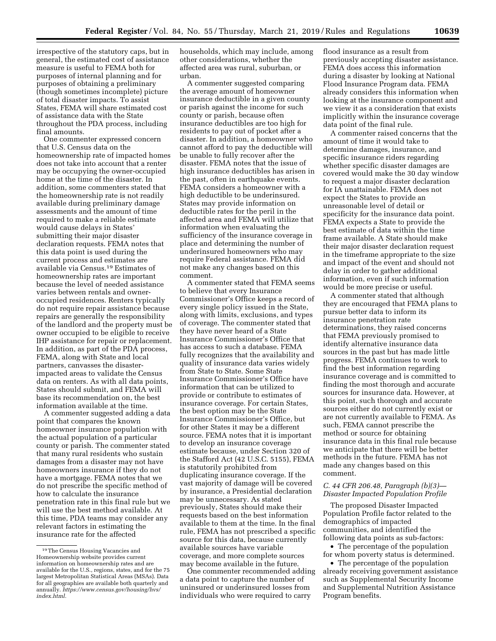irrespective of the statutory caps, but in general, the estimated cost of assistance measure is useful to FEMA both for purposes of internal planning and for purposes of obtaining a preliminary (though sometimes incomplete) picture of total disaster impacts. To assist States, FEMA will share estimated cost of assistance data with the State throughout the PDA process, including final amounts.

One commenter expressed concern that U.S. Census data on the homeownership rate of impacted homes does not take into account that a renter may be occupying the owner-occupied home at the time of the disaster. In addition, some commenters stated that the homeownership rate is not readily available during preliminary damage assessments and the amount of time required to make a reliable estimate would cause delays in States' submitting their major disaster declaration requests. FEMA notes that this data point is used during the current process and estimates are available via Census.19 Estimates of homeownership rates are important because the level of needed assistance varies between rentals and owneroccupied residences. Renters typically do not require repair assistance because repairs are generally the responsibility of the landlord and the property must be owner occupied to be eligible to receive IHP assistance for repair or replacement. In addition, as part of the PDA process, FEMA, along with State and local partners, canvasses the disasterimpacted areas to validate the Census data on renters. As with all data points, States should submit, and FEMA will base its recommendation on, the best information available at the time.

A commenter suggested adding a data point that compares the known homeowner insurance population with the actual population of a particular county or parish. The commenter stated that many rural residents who sustain damages from a disaster may not have homeowners insurance if they do not have a mortgage. FEMA notes that we do not prescribe the specific method of how to calculate the insurance penetration rate in this final rule but we will use the best method available. At this time, PDA teams may consider any relevant factors in estimating the insurance rate for the affected

households, which may include, among other considerations, whether the affected area was rural, suburban, or urban.

A commenter suggested comparing the average amount of homeowner insurance deductible in a given county or parish against the income for such county or parish, because often insurance deductibles are too high for residents to pay out of pocket after a disaster. In addition, a homeowner who cannot afford to pay the deductible will be unable to fully recover after the disaster. FEMA notes that the issue of high insurance deductibles has arisen in the past, often in earthquake events. FEMA considers a homeowner with a high deductible to be underinsured. States may provide information on deductible rates for the peril in the affected area and FEMA will utilize that information when evaluating the sufficiency of the insurance coverage in place and determining the number of underinsured homeowners who may require Federal assistance. FEMA did not make any changes based on this comment.

A commenter stated that FEMA seems to believe that every Insurance Commissioner's Office keeps a record of every single policy issued in the State, along with limits, exclusions, and types of coverage. The commenter stated that they have never heard of a State Insurance Commissioner's Office that has access to such a database. FEMA fully recognizes that the availability and quality of insurance data varies widely from State to State. Some State Insurance Commissioner's Office have information that can be utilized to provide or contribute to estimates of insurance coverage. For certain States, the best option may be the State Insurance Commissioner's Office, but for other States it may be a different source. FEMA notes that it is important to develop an insurance coverage estimate because, under Section 320 of the Stafford Act (42 U.S.C. 5155), FEMA is statutorily prohibited from duplicating insurance coverage. If the vast majority of damage will be covered by insurance, a Presidential declaration may be unnecessary. As stated previously, States should make their requests based on the best information available to them at the time. In the final rule, FEMA has not prescribed a specific source for this data, because currently available sources have variable coverage, and more complete sources may become available in the future.

One commenter recommended adding a data point to capture the number of uninsured or underinsured losses from individuals who were required to carry

flood insurance as a result from previously accepting disaster assistance. FEMA does access this information during a disaster by looking at National Flood Insurance Program data. FEMA already considers this information when looking at the insurance component and we view it as a consideration that exists implicitly within the insurance coverage data point of the final rule.

A commenter raised concerns that the amount of time it would take to determine damages, insurance, and specific insurance riders regarding whether specific disaster damages are covered would make the 30 day window to request a major disaster declaration for IA unattainable. FEMA does not expect the States to provide an unreasonable level of detail or specificity for the insurance data point. FEMA expects a State to provide the best estimate of data within the time frame available. A State should make their major disaster declaration request in the timeframe appropriate to the size and impact of the event and should not delay in order to gather additional information, even if such information would be more precise or useful.

A commenter stated that although they are encouraged that FEMA plans to pursue better data to inform its insurance penetration rate determinations, they raised concerns that FEMA previously promised to identify alternative insurance data sources in the past but has made little progress. FEMA continues to work to find the best information regarding insurance coverage and is committed to finding the most thorough and accurate sources for insurance data. However, at this point, such thorough and accurate sources either do not currently exist or are not currently available to FEMA. As such, FEMA cannot prescribe the method or source for obtaining insurance data in this final rule because we anticipate that there will be better methods in the future. FEMA has not made any changes based on this comment.

# *C. 44 CFR 206.48, Paragraph (b)(3)— Disaster Impacted Population Profile*

The proposed Disaster Impacted Population Profile factor related to the demographics of impacted communities, and identified the following data points as sub-factors:

• The percentage of the population for whom poverty status is determined.

• The percentage of the population already receiving government assistance such as Supplemental Security Income and Supplemental Nutrition Assistance Program benefits.

<sup>19</sup>The Census Housing Vacancies and Homeownership website provides current information on homeownership rates and are available for the U.S., regions, states, and for the 75 largest Metropolitan Statistical Areas (MSAs). Data for all geographies are available both quarterly and annually. *[https://www.census.gov/housing/hvs/](https://www.census.gov/housing/hvs/index.html) [index.html.](https://www.census.gov/housing/hvs/index.html)*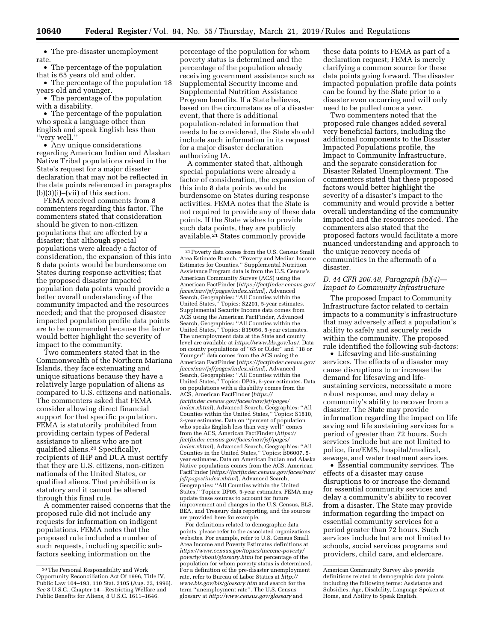• The pre-disaster unemployment rate.

• The percentage of the population that is 65 years old and older.

• The percentage of the population 18 years old and younger.

• The percentage of the population with a disability.

• The percentage of the population who speak a language other than English and speak English less than ''very well.''

• Any unique considerations regarding American Indian and Alaskan Native Tribal populations raised in the State's request for a major disaster declaration that may not be reflected in the data points referenced in paragraphs  $(b)(3)(i)$ –(vii) of this section.

FEMA received comments from 8 commenters regarding this factor. The commenters stated that consideration should be given to non-citizen populations that are affected by a disaster; that although special populations were already a factor of consideration, the expansion of this into 8 data points would be burdensome on States during response activities; that the proposed disaster impacted population data points would provide a better overall understanding of the community impacted and the resources needed; and that the proposed disaster impacted population profile data points are to be commended because the factor would better highlight the severity of impact to the community.

Two commenters stated that in the Commonwealth of the Northern Mariana Islands, they face extenuating and unique situations because they have a relatively large population of aliens as compared to U.S. citizens and nationals. The commenters asked that FEMA consider allowing direct financial support for that specific population. FEMA is statutorily prohibited from providing certain types of Federal assistance to aliens who are not qualified aliens.20 Specifically, recipients of IHP and DUA must certify that they are U.S. citizens, non-citizen nationals of the United States, or qualified aliens. That prohibition is statutory and it cannot be altered through this final rule.

A commenter raised concerns that the proposed rule did not include any requests for information on indigent populations. FEMA notes that the proposed rule included a number of such requests, including specific subfactors seeking information on the

percentage of the population for whom poverty status is determined and the percentage of the population already receiving government assistance such as Supplemental Security Income and Supplemental Nutrition Assistance Program benefits. If a State believes, based on the circumstances of a disaster event, that there is additional population-related information that needs to be considered, the State should include such information in its request for a major disaster declaration authorizing IA.

A commenter stated that, although special populations were already a factor of consideration, the expansion of this into 8 data points would be burdensome on States during response activities. FEMA notes that the State is not required to provide any of these data points. If the State wishes to provide such data points, they are publicly available.21 States commonly provide

21Poverty data comes from the U.S. Census Small Area Estimate Branch, ''Poverty and Median Income Estimates for Counties.'' Supplemental Nutrition Assistance Program data is from the U.S. Census's American Community Survey (ACS) using the American FactFinder (*[https://factfinder.census.gov/](https://factfinder.census.gov/faces/nav/jsf/pages/index.xhtml) [faces/nav/jsf/pages/index.xhtml](https://factfinder.census.gov/faces/nav/jsf/pages/index.xhtml)*), Advanced Search, Geographies: ''All Counties within the United States,'' Topics: S2201, 5-year estimates. Supplemental Security Income data comes from ACS using the American FactFinder, Advanced Search, Geographies: ''All Counties within the United States,'' Topics: B19056, 5-year estimates. The unemployment data at the State and county level are available at *[https://www.bls.gov/lau/.](https://www.bls.gov/lau/)* Data on county populations of ''65 or Older'' and ''18 or Younger'' data comes from the ACS using the American FactFinder (*[https://factfinder.census.gov/](https://factfinder.census.gov/faces/nav/jsf/pages/index.xhtml) [faces/nav/jsf/pages/index.xhtml](https://factfinder.census.gov/faces/nav/jsf/pages/index.xhtml)*), Advanced Search, Geographies: ''All Counties within the United States,'' Topics: DP05, 5-year estimates. Data on populations with a disability comes from the ACS, American FactFinder (*[https://](https://factfinder.census.gov/faces/nav/jsf/pages/index.xhtml) [factfinder.census.gov/faces/nav/jsf/pages/](https://factfinder.census.gov/faces/nav/jsf/pages/index.xhtml) [index.xhtml](https://factfinder.census.gov/faces/nav/jsf/pages/index.xhtml)*), Advanced Search, Geographies: ''All Counties within the United States,'' Topics: S1810, 3-year estimates. Data on ''percent of population who speaks English less than very well'' comes from the ACS, American FactFinder (*[https://](https://factfinder.census.gov/faces/nav/jsf/pages/index.xhtml) [factfinder.census.gov/faces/nav/jsf/pages/](https://factfinder.census.gov/faces/nav/jsf/pages/index.xhtml) [index.xhtml](https://factfinder.census.gov/faces/nav/jsf/pages/index.xhtml)*), Advanced Search, Geographies: ''All Counties in the United States,'' Topics: B06007, 5 year estimates. Data on American Indian and Alaska Native populations comes from the ACS, American FactFinder (*[https://factfinder.census.gov/faces/nav/](https://factfinder.census.gov/faces/nav/jsf/pages/index.xhtml) [jsf/pages/index.xhtml](https://factfinder.census.gov/faces/nav/jsf/pages/index.xhtml)*), Advanced Search, Geographies: ''All Counties within the United States," Topics: DP05, 5-year estimates. FEMA may update these sources to account for future improvement and changes in the U.S. Census, BLS, BEA, and Treasury data reporting, and the sources are provided here for example.

For definitions related to demographic data points, please refer to the associated organizations websites. For example, refer to U.S. Census Small Area Income and Poverty Estimates definitions at *[https://www.census.gov/topics/income-poverty/](https://www.census.gov/topics/income-poverty/poverty/about/glossary.html)  [poverty/about/glossary.html](https://www.census.gov/topics/income-poverty/poverty/about/glossary.html)* for percentage of the population for whom poverty status is determined. For a definition of the pre-disaster unemployment rate, refer to Bureau of Labor Statics at *[http://](http://www.bls.gov/bls/glossary.htm) [www.bls.gov/bls/glossary.htm](http://www.bls.gov/bls/glossary.htm)* and search for the term ''unemployment rate''. The U.S. Census glossary at *<http://www.census.gov/glossary>*and

these data points to FEMA as part of a declaration request; FEMA is merely clarifying a common source for these data points going forward. The disaster impacted population profile data points can be found by the State prior to a disaster even occurring and will only need to be pulled once a year.

Two commenters noted that the proposed rule changes added several very beneficial factors, including the additional components to the Disaster Impacted Populations profile, the Impact to Community Infrastructure, and the separate consideration for Disaster Related Unemployment. The commenters stated that these proposed factors would better highlight the severity of a disaster's impact to the community and would provide a better overall understanding of the community impacted and the resources needed. The commenters also stated that the proposed factors would facilitate a more nuanced understanding and approach to the unique recovery needs of communities in the aftermath of a disaster.

# *D. 44 CFR 206.48, Paragraph (b)(4)— Impact to Community Infrastructure*

The proposed Impact to Community Infrastructure factor related to certain impacts to a community's infrastructure that may adversely affect a population's ability to safely and securely reside within the community. The proposed rule identified the following sub-factors:

• Lifesaving and life-sustaining services. The effects of a disaster may cause disruptions to or increase the demand for lifesaving and lifesustaining services, necessitate a more robust response, and may delay a community's ability to recover from a disaster. The State may provide information regarding the impact on life saving and life sustaining services for a period of greater than 72 hours. Such services include but are not limited to police, fire/EMS, hospital/medical, sewage, and water treatment services.

• Essential community services. The effects of a disaster may cause disruptions to or increase the demand for essential community services and delay a community's ability to recover from a disaster. The State may provide information regarding the impact on essential community services for a period greater than 72 hours. Such services include but are not limited to schools, social services programs and providers, child care, and eldercare.

<sup>20</sup>The Personal Responsibility and Work Opportunity Reconciliation Act Of 1996, Title IV, Public Law 104–193, 110 Stat. 2105 (Aug. 22, 1996). *See* 8 U.S.C., Chapter 14—Restricting Welfare and Public Benefits for Aliens, 8 U.S.C. 1611–1646.

American Community Survey also provide definitions related to demographic data points including the following terms: Assistance and Subsidies, Age, Disability, Language Spoken at Home, and Ability to Speak English.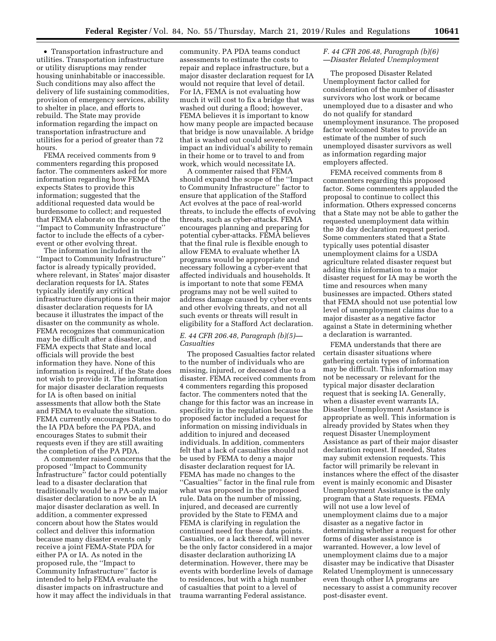• Transportation infrastructure and utilities. Transportation infrastructure or utility disruptions may render housing uninhabitable or inaccessible. Such conditions may also affect the delivery of life sustaining commodities, provision of emergency services, ability to shelter in place, and efforts to rebuild. The State may provide information regarding the impact on transportation infrastructure and utilities for a period of greater than 72 hours.

FEMA received comments from 9 commenters regarding this proposed factor. The commenters asked for more information regarding how FEMA expects States to provide this information; suggested that the additional requested data would be burdensome to collect; and requested that FEMA elaborate on the scope of the ''Impact to Community Infrastructure'' factor to include the effects of a cyberevent or other evolving threat.

The information included in the ''Impact to Community Infrastructure'' factor is already typically provided, where relevant, in States' major disaster declaration requests for IA. States typically identify any critical infrastructure disruptions in their major disaster declaration requests for IA because it illustrates the impact of the disaster on the community as whole. FEMA recognizes that communication may be difficult after a disaster, and FEMA expects that State and local officials will provide the best information they have. None of this information is required, if the State does not wish to provide it. The information for major disaster declaration requests for IA is often based on initial assessments that allow both the State and FEMA to evaluate the situation. FEMA currently encourages States to do the IA PDA before the PA PDA, and encourages States to submit their requests even if they are still awaiting the completion of the PA PDA.

A commenter raised concerns that the proposed ''Impact to Community Infrastructure'' factor could potentially lead to a disaster declaration that traditionally would be a PA-only major disaster declaration to now be an IA major disaster declaration as well. In addition, a commenter expressed concern about how the States would collect and deliver this information because many disaster events only receive a joint FEMA-State PDA for either PA or IA. As noted in the proposed rule, the ''Impact to Community Infrastructure'' factor is intended to help FEMA evaluate the disaster impacts on infrastructure and how it may affect the individuals in that community. PA PDA teams conduct assessments to estimate the costs to repair and replace infrastructure, but a major disaster declaration request for IA would not require that level of detail. For IA, FEMA is not evaluating how much it will cost to fix a bridge that was washed out during a flood; however, FEMA believes it is important to know how many people are impacted because that bridge is now unavailable. A bridge that is washed out could severely impact an individual's ability to remain in their home or to travel to and from work, which would necessitate IA.

A commenter raised that FEMA should expand the scope of the ''Impact to Community Infrastructure'' factor to ensure that application of the Stafford Act evolves at the pace of real-world threats, to include the effects of evolving threats, such as cyber-attacks. FEMA encourages planning and preparing for potential cyber-attacks. FEMA believes that the final rule is flexible enough to allow FEMA to evaluate whether IA programs would be appropriate and necessary following a cyber-event that affected individuals and households. It is important to note that some FEMA programs may not be well suited to address damage caused by cyber events and other evolving threats, and not all such events or threats will result in eligibility for a Stafford Act declaration.

# *E. 44 CFR 206.48, Paragraph (b)(5)— Casualties*

The proposed Casualties factor related to the number of individuals who are missing, injured, or deceased due to a disaster. FEMA received comments from 4 commenters regarding this proposed factor. The commenters noted that the change for this factor was an increase in specificity in the regulation because the proposed factor included a request for information on missing individuals in addition to injured and deceased individuals. In addition, commenters felt that a lack of casualties should not be used by FEMA to deny a major disaster declaration request for IA. FEMA has made no changes to the ''Casualties'' factor in the final rule from what was proposed in the proposed rule. Data on the number of missing, injured, and deceased are currently provided by the State to FEMA and FEMA is clarifying in regulation the continued need for these data points. Casualties, or a lack thereof, will never be the only factor considered in a major disaster declaration authorizing IA determination. However, there may be events with borderline levels of damage to residences, but with a high number of casualties that point to a level of trauma warranting Federal assistance.

# *F. 44 CFR 206.48, Paragraph (b)(6) —Disaster Related Unemployment*

The proposed Disaster Related Unemployment factor called for consideration of the number of disaster survivors who lost work or became unemployed due to a disaster and who do not qualify for standard unemployment insurance. The proposed factor welcomed States to provide an estimate of the number of such unemployed disaster survivors as well as information regarding major employers affected.

FEMA received comments from 8 commenters regarding this proposed factor. Some commenters applauded the proposal to continue to collect this information. Others expressed concerns that a State may not be able to gather the requested unemployment data within the 30 day declaration request period. Some commenters stated that a State typically uses potential disaster unemployment claims for a USDA agriculture related disaster request but adding this information to a major disaster request for IA may be worth the time and resources when many businesses are impacted. Others stated that FEMA should not use potential low level of unemployment claims due to a major disaster as a negative factor against a State in determining whether a declaration is warranted.

FEMA understands that there are certain disaster situations where gathering certain types of information may be difficult. This information may not be necessary or relevant for the typical major disaster declaration request that is seeking IA. Generally, when a disaster event warrants IA, Disaster Unemployment Assistance is appropriate as well. This information is already provided by States when they request Disaster Unemployment Assistance as part of their major disaster declaration request. If needed, States may submit extension requests. This factor will primarily be relevant in instances where the effect of the disaster event is mainly economic and Disaster Unemployment Assistance is the only program that a State requests. FEMA will not use a low level of unemployment claims due to a major disaster as a negative factor in determining whether a request for other forms of disaster assistance is warranted. However, a low level of unemployment claims due to a major disaster may be indicative that Disaster Related Unemployment is unnecessary even though other IA programs are necessary to assist a community recover post-disaster event.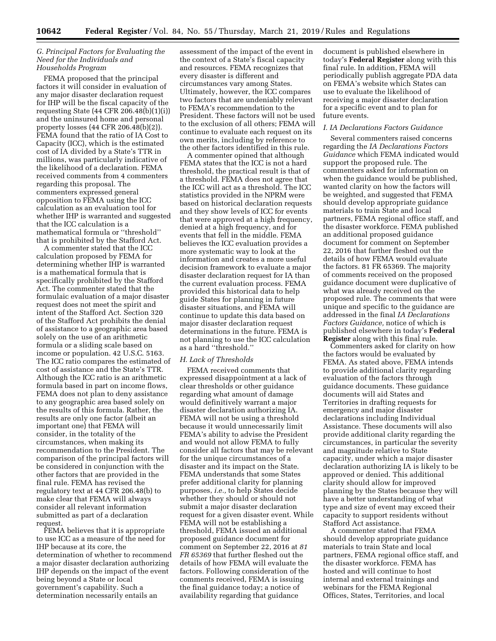### *G. Principal Factors for Evaluating the Need for the Individuals and Households Program*

FEMA proposed that the principal factors it will consider in evaluation of any major disaster declaration request for IHP will be the fiscal capacity of the requesting State (44 CFR 206.48(b)(1)(i)) and the uninsured home and personal property losses (44 CFR 206.48(b)(2)). FEMA found that the ratio of IA Cost to Capacity (ICC), which is the estimated cost of IA divided by a State's TTR in millions, was particularly indicative of the likelihood of a declaration. FEMA received comments from 4 commenters regarding this proposal. The commenters expressed general opposition to FEMA using the ICC calculation as an evaluation tool for whether IHP is warranted and suggested that the ICC calculation is a mathematical formula or ''threshold'' that is prohibited by the Stafford Act.

A commenter stated that the ICC calculation proposed by FEMA for determining whether IHP is warranted is a mathematical formula that is specifically prohibited by the Stafford Act. The commenter stated that the formulaic evaluation of a major disaster request does not meet the spirit and intent of the Stafford Act. Section 320 of the Stafford Act prohibits the denial of assistance to a geographic area based solely on the use of an arithmetic formula or a sliding scale based on income or population. 42 U.S.C. 5163. The ICC ratio compares the estimated of cost of assistance and the State's TTR. Although the ICC ratio is an arithmetic formula based in part on income flows, FEMA does not plan to deny assistance to any geographic area based solely on the results of this formula. Rather, the results are only one factor (albeit an important one) that FEMA will consider, in the totality of the circumstances, when making its recommendation to the President. The comparison of the principal factors will be considered in conjunction with the other factors that are provided in the final rule. FEMA has revised the regulatory text at 44 CFR 206.48(b) to make clear that FEMA will always consider all relevant information submitted as part of a declaration request.

FEMA believes that it is appropriate to use ICC as a measure of the need for IHP because at its core, the determination of whether to recommend a major disaster declaration authorizing IHP depends on the impact of the event being beyond a State or local government's capability. Such a determination necessarily entails an

assessment of the impact of the event in the context of a State's fiscal capacity and resources. FEMA recognizes that every disaster is different and circumstances vary among States. Ultimately, however, the ICC compares two factors that are undeniably relevant to FEMA's recommendation to the President. These factors will not be used to the exclusion of all others; FEMA will continue to evaluate each request on its own merits, including by reference to the other factors identified in this rule.

A commenter opined that although FEMA states that the ICC is not a hard threshold, the practical result is that of a threshold. FEMA does not agree that the ICC will act as a threshold. The ICC statistics provided in the NPRM were based on historical declaration requests and they show levels of ICC for events that were approved at a high frequency, denied at a high frequency, and for events that fell in the middle. FEMA believes the ICC evaluation provides a more systematic way to look at the information and creates a more useful decision framework to evaluate a major disaster declaration request for IA than the current evaluation process. FEMA provided this historical data to help guide States for planning in future disaster situations, and FEMA will continue to update this data based on major disaster declaration request determinations in the future. FEMA is not planning to use the ICC calculation as a hard ''threshold.''

#### *H. Lack of Thresholds*

FEMA received comments that expressed disappointment at a lack of clear thresholds or other guidance regarding what amount of damage would definitively warrant a major disaster declaration authorizing IA. FEMA will not be using a threshold because it would unnecessarily limit FEMA's ability to advise the President and would not allow FEMA to fully consider all factors that may be relevant for the unique circumstances of a disaster and its impact on the State. FEMA understands that some States prefer additional clarity for planning purposes, *i.e.,* to help States decide whether they should or should not submit a major disaster declaration request for a given disaster event. While FEMA will not be establishing a threshold, FEMA issued an additional proposed guidance document for comment on September 22, 2016 at *81 FR 65369* that further fleshed out the details of how FEMA will evaluate the factors. Following consideration of the comments received, FEMA is issuing the final guidance today; a notice of availability regarding that guidance

document is published elsewhere in today's **Federal Register** along with this final rule. In addition, FEMA will periodically publish aggregate PDA data on FEMA's website which States can use to evaluate the likelihood of receiving a major disaster declaration for a specific event and to plan for future events.

## *I. IA Declarations Factors Guidance*

Several commenters raised concerns regarding the *IA Declarations Factors Guidance* which FEMA indicated would support the proposed rule. The commenters asked for information on when the guidance would be published, wanted clarity on how the factors will be weighted, and suggested that FEMA should develop appropriate guidance materials to train State and local partners, FEMA regional office staff, and the disaster workforce. FEMA published an additional proposed guidance document for comment on September 22, 2016 that further fleshed out the details of how FEMA would evaluate the factors. 81 FR 65369. The majority of comments received on the proposed guidance document were duplicative of what was already received on the proposed rule. The comments that were unique and specific to the guidance are addressed in the final *IA Declarations Factors Guidance,* notice of which is published elsewhere in today's **Federal Register** along with this final rule.

Commenters asked for clarity on how the factors would be evaluated by FEMA. As stated above, FEMA intends to provide additional clarity regarding evaluation of the factors through guidance documents. These guidance documents will aid States and Territories in drafting requests for emergency and major disaster declarations including Individual Assistance. These documents will also provide additional clarity regarding the circumstances, in particular the severity and magnitude relative to State capacity, under which a major disaster declaration authorizing IA is likely to be approved or denied. This additional clarity should allow for improved planning by the States because they will have a better understanding of what type and size of event may exceed their capacity to support residents without Stafford Act assistance.

A commenter stated that FEMA should develop appropriate guidance materials to train State and local partners, FEMA regional office staff, and the disaster workforce. FEMA has hosted and will continue to host internal and external trainings and webinars for the FEMA Regional Offices, States, Territories, and local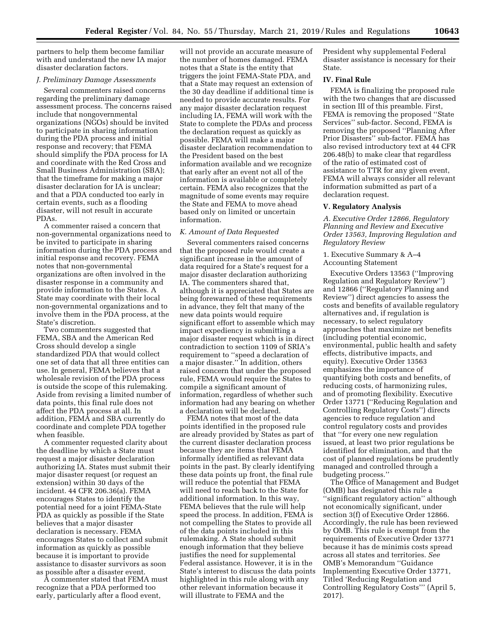partners to help them become familiar with and understand the new IA major disaster declaration factors.

#### *J. Preliminary Damage Assessments*

Several commenters raised concerns regarding the preliminary damage assessment process. The concerns raised include that nongovernmental organizations (NGOs) should be invited to participate in sharing information during the PDA process and initial response and recovery; that FEMA should simplify the PDA process for IA and coordinate with the Red Cross and Small Business Administration (SBA); that the timeframe for making a major disaster declaration for IA is unclear; and that a PDA conducted too early in certain events, such as a flooding disaster, will not result in accurate PDAs.

A commenter raised a concern that non-governmental organizations need to be invited to participate in sharing information during the PDA process and initial response and recovery. FEMA notes that non-governmental organizations are often involved in the disaster response in a community and provide information to the States. A State may coordinate with their local non-governmental organizations and to involve them in the PDA process, at the State's discretion.

Two commenters suggested that FEMA, SBA and the American Red Cross should develop a single standardized PDA that would collect one set of data that all three entities can use. In general, FEMA believes that a wholesale revision of the PDA process is outside the scope of this rulemaking. Aside from revising a limited number of data points, this final rule does not affect the PDA process at all. In addition, FEMA and SBA currently do coordinate and complete PDA together when feasible.

A commenter requested clarity about the deadline by which a State must request a major disaster declaration authorizing IA. States must submit their major disaster request (or request an extension) within 30 days of the incident. 44 CFR 206.36(a). FEMA encourages States to identify the potential need for a joint FEMA-State PDA as quickly as possible if the State believes that a major disaster declaration is necessary. FEMA encourages States to collect and submit information as quickly as possible because it is important to provide assistance to disaster survivors as soon as possible after a disaster event.

A commenter stated that FEMA must recognize that a PDA performed too early, particularly after a flood event,

will not provide an accurate measure of the number of homes damaged. FEMA notes that a State is the entity that triggers the joint FEMA-State PDA, and that a State may request an extension of the 30 day deadline if additional time is needed to provide accurate results. For any major disaster declaration request including IA, FEMA will work with the State to complete the PDAs and process the declaration request as quickly as possible. FEMA will make a major disaster declaration recommendation to the President based on the best information available and we recognize that early after an event not all of the information is available or completely certain. FEMA also recognizes that the magnitude of some events may require the State and FEMA to move ahead based only on limited or uncertain information.

#### *K. Amount of Data Requested*

Several commenters raised concerns that the proposed rule would create a significant increase in the amount of data required for a State's request for a major disaster declaration authorizing IA. The commenters shared that, although it is appreciated that States are being forewarned of these requirements in advance, they felt that many of the new data points would require significant effort to assemble which may impact expediency in submitting a major disaster request which is in direct contradiction to section 1109 of SRIA's requirement to ''speed a declaration of a major disaster.'' In addition, others raised concern that under the proposed rule, FEMA would require the States to compile a significant amount of information, regardless of whether such information had any bearing on whether a declaration will be declared.

FEMA notes that most of the data points identified in the proposed rule are already provided by States as part of the current disaster declaration process because they are items that FEMA informally identified as relevant data points in the past. By clearly identifying these data points up front, the final rule will reduce the potential that FEMA will need to reach back to the State for additional information. In this way, FEMA believes that the rule will help speed the process. In addition, FEMA is not compelling the States to provide all of the data points included in this rulemaking. A State should submit enough information that they believe justifies the need for supplemental Federal assistance. However, it is in the State's interest to discuss the data points highlighted in this rule along with any other relevant information because it will illustrate to FEMA and the

President why supplemental Federal disaster assistance is necessary for their State.

### **IV. Final Rule**

FEMA is finalizing the proposed rule with the two changes that are discussed in section III of this preamble. First, FEMA is removing the proposed ''State Services'' sub-factor. Second, FEMA is removing the proposed ''Planning After Prior Disasters'' sub-factor. FEMA has also revised introductory text at 44 CFR 206.48(b) to make clear that regardless of the ratio of estimated cost of assistance to TTR for any given event, FEMA will always consider all relevant information submitted as part of a declaration request.

#### **V. Regulatory Analysis**

*A. Executive Order 12866, Regulatory Planning and Review and Executive Order 13563, Improving Regulation and Regulatory Review* 

# 1. Executive Summary & A–4 Accounting Statement

Executive Orders 13563 (''Improving Regulation and Regulatory Review'') and 12866 (''Regulatory Planning and Review'') direct agencies to assess the costs and benefits of available regulatory alternatives and, if regulation is necessary, to select regulatory approaches that maximize net benefits (including potential economic, environmental, public health and safety effects, distributive impacts, and equity). Executive Order 13563 emphasizes the importance of quantifying both costs and benefits, of reducing costs, of harmonizing rules, and of promoting flexibility. Executive Order 13771 (''Reducing Regulation and Controlling Regulatory Costs'') directs agencies to reduce regulation and control regulatory costs and provides that ''for every one new regulation issued, at least two prior regulations be identified for elimination, and that the cost of planned regulations be prudently managed and controlled through a budgeting process.''

The Office of Management and Budget (OMB) has designated this rule a ''significant regulatory action'' although not economically significant, under section 3(f) of Executive Order 12866. Accordingly, the rule has been reviewed by OMB. This rule is exempt from the requirements of Executive Order 13771 because it has de minimis costs spread across all states and territories. *See*  OMB's Memorandum ''Guidance Implementing Executive Order 13771, Titled 'Reducing Regulation and Controlling Regulatory Costs''' (April 5, 2017).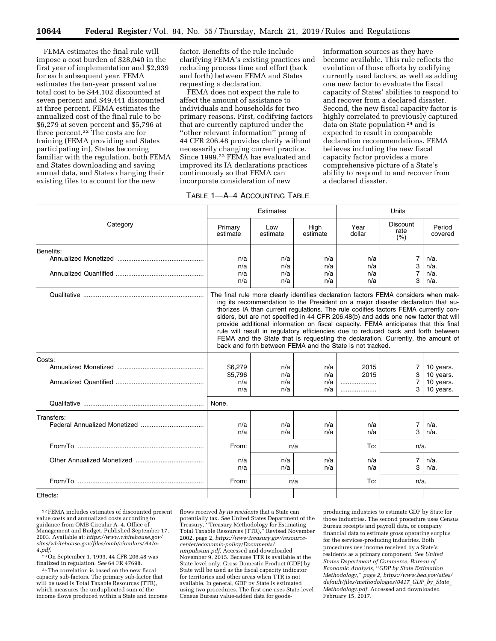FEMA estimates the final rule will impose a cost burden of \$28,040 in the first year of implementation and \$2,939 for each subsequent year. FEMA estimates the ten-year present value total cost to be \$44,102 discounted at seven percent and \$49,441 discounted at three percent. FEMA estimates the annualized cost of the final rule to be \$6,279 at seven percent and \$5,796 at three percent.22 The costs are for training (FEMA providing and States participating in), States becoming familiar with the regulation, both FEMA and States downloading and saving annual data, and States changing their existing files to account for the new

factor. Benefits of the rule include clarifying FEMA's existing practices and reducing process time and effort (back and forth) between FEMA and States requesting a declaration.

FEMA does not expect the rule to affect the amount of assistance to individuals and households for two primary reasons. First, codifying factors that are currently captured under the ''other relevant information'' prong of 44 CFR 206.48 provides clarity without necessarily changing current practice. Since 1999,23 FEMA has evaluated and improved its IA declarations practices continuously so that FEMA can incorporate consideration of new

information sources as they have become available. This rule reflects the evolution of those efforts by codifying currently used factors, as well as adding one new factor to evaluate the fiscal capacity of States' abilities to respond to and recover from a declared disaster. Second, the new fiscal capacity factor is highly correlated to previously captured data on State population 24 and is expected to result in comparable declaration recommendations. FEMA believes including the new fiscal capacity factor provides a more comprehensive picture of a State's ability to respond to and recover from a declared disaster.

|  |  | TABLE 1-A-4 ACCOUNTING TABLE |  |
|--|--|------------------------------|--|
|--|--|------------------------------|--|

|            |                                                                                                                                                                                                                                                                                                                                                                                                                                                                                                                                                                                                                                                                                   | Estimates       |                  | Units          |                                 |                        |  |
|------------|-----------------------------------------------------------------------------------------------------------------------------------------------------------------------------------------------------------------------------------------------------------------------------------------------------------------------------------------------------------------------------------------------------------------------------------------------------------------------------------------------------------------------------------------------------------------------------------------------------------------------------------------------------------------------------------|-----------------|------------------|----------------|---------------------------------|------------------------|--|
| Category   | Primary<br>estimate                                                                                                                                                                                                                                                                                                                                                                                                                                                                                                                                                                                                                                                               | Low<br>estimate | High<br>estimate | Year<br>dollar | <b>Discount</b><br>rate<br>(% ) | Period<br>covered      |  |
| Benefits:  |                                                                                                                                                                                                                                                                                                                                                                                                                                                                                                                                                                                                                                                                                   |                 |                  |                |                                 |                        |  |
|            | n/a                                                                                                                                                                                                                                                                                                                                                                                                                                                                                                                                                                                                                                                                               | n/a             | n/a              | n/a            | $\overline{7}$                  | $n/a$ .                |  |
|            | n/a                                                                                                                                                                                                                                                                                                                                                                                                                                                                                                                                                                                                                                                                               | n/a             | n/a              | n/a            | 3                               | $n/a$ .                |  |
|            | n/a<br>n/a                                                                                                                                                                                                                                                                                                                                                                                                                                                                                                                                                                                                                                                                        | n/a<br>n/a      | n/a<br>n/a       | n/a<br>n/a     | $\overline{7}$<br>3             | $n/a$ .<br>$n/a$ .     |  |
|            | The final rule more clearly identifies declaration factors FEMA considers when mak-<br>ing its recommendation to the President on a major disaster declaration that au-<br>thorizes IA than current regulations. The rule codifies factors FEMA currently con-<br>siders, but are not specified in 44 CFR 206.48(b) and adds one new factor that will<br>provide additional information on fiscal capacity. FEMA anticipates that this final<br>rule will result in regulatory efficiencies due to reduced back and forth between<br>FEMA and the State that is requesting the declaration. Currently, the amount of<br>back and forth between FEMA and the State is not tracked. |                 |                  |                |                                 |                        |  |
| Costs:     |                                                                                                                                                                                                                                                                                                                                                                                                                                                                                                                                                                                                                                                                                   |                 |                  |                |                                 |                        |  |
|            | \$6,279                                                                                                                                                                                                                                                                                                                                                                                                                                                                                                                                                                                                                                                                           | n/a             | n/a              | 2015           | 7                               | 10 years.              |  |
|            | \$5,796                                                                                                                                                                                                                                                                                                                                                                                                                                                                                                                                                                                                                                                                           | n/a             | n/a              | 2015           | 3                               | 10 years.              |  |
|            | n/a<br>n/a                                                                                                                                                                                                                                                                                                                                                                                                                                                                                                                                                                                                                                                                        | n/a<br>n/a      | n/a<br>n/a       |                | 3                               | 10 years.<br>10 years. |  |
|            | None.                                                                                                                                                                                                                                                                                                                                                                                                                                                                                                                                                                                                                                                                             |                 |                  |                |                                 |                        |  |
| Transfers: |                                                                                                                                                                                                                                                                                                                                                                                                                                                                                                                                                                                                                                                                                   |                 |                  |                |                                 |                        |  |
|            | n/a                                                                                                                                                                                                                                                                                                                                                                                                                                                                                                                                                                                                                                                                               | n/a             | n/a              | n/a            | 7                               | $n/a$ .                |  |
|            | n/a                                                                                                                                                                                                                                                                                                                                                                                                                                                                                                                                                                                                                                                                               | n/a             | n/a              | n/a            | 3                               | $n/a$ .                |  |
|            | From:                                                                                                                                                                                                                                                                                                                                                                                                                                                                                                                                                                                                                                                                             |                 | n/a              | To:            | $n/a$ .                         |                        |  |
|            | n/a                                                                                                                                                                                                                                                                                                                                                                                                                                                                                                                                                                                                                                                                               | n/a             | n/a              | n/a            | 7                               | $n/a$ .                |  |
|            | n/a                                                                                                                                                                                                                                                                                                                                                                                                                                                                                                                                                                                                                                                                               | n/a             | n/a              | n/a            | 3                               | $n/a$ .                |  |
|            | From:                                                                                                                                                                                                                                                                                                                                                                                                                                                                                                                                                                                                                                                                             |                 | n/a              | To:            | $n/a$ .                         |                        |  |
| Effects:   |                                                                                                                                                                                                                                                                                                                                                                                                                                                                                                                                                                                                                                                                                   |                 |                  |                |                                 |                        |  |

Effects:

 $\mathrm{^{22}FEMA}$  includes estimates of discounted present value costs and annualized costs according to guidance from OMB Circular A–4. Office of Management and Budget, Published September 17, 2003. Available at: *[https://www.whitehouse.gov/](https://www.whitehouse.gov/sites/whitehouse.gov/files/omb/circulars/A4/a-4.pdf)  [sites/whitehouse.gov/files/omb/circulars/A4/a-](https://www.whitehouse.gov/sites/whitehouse.gov/files/omb/circulars/A4/a-4.pdf)[4.pdf.](https://www.whitehouse.gov/sites/whitehouse.gov/files/omb/circulars/A4/a-4.pdf)* 

23On September 1, 1999, 44 CFR 206.48 was finalized in regulation. *See* 64 FR 47698.

24The correlation is based on the new fiscal capacity sub-factors. The primary sub-factor that will be used is Total Taxable Resources (TTR), which measures the unduplicated sum of the income flows produced within a State and income flows received *by its residents* that a State can potentially tax. *See* United States Department of the Treasury, ''Treasury Methodology for Estimating Total Taxable Resources (TTR),'' Revised November 2002, page 2, *[https://www.treasury.gov/resource](https://www.treasury.gov/resource-center/economic-policy/Documents/nmpubsum.pdf)[center/economic-policy/Documents/](https://www.treasury.gov/resource-center/economic-policy/Documents/nmpubsum.pdf) [nmpubsum.pdf.](https://www.treasury.gov/resource-center/economic-policy/Documents/nmpubsum.pdf)* Accessed and downloaded November 9, 2015. Because TTR is available at the State level only, Gross Domestic Product (GDP) by State will be used as the fiscal capacity indicator for territories and other areas when TTR is not available. In general, GDP by State is estimated using two procedures. The first one uses State-level Census Bureau value-added data for goods-

producing industries to estimate GDP by State for those industries. The second procedure uses Census Bureau receipts and payroll data, or company financial data to estimate gross operating surplus for the services-producing industries. Both procedures use income received by a State's residents as a primary component. *See United States Department of Commerce, Bureau of Economic Analysis,* ''*GDP by State Estimation Methodology,*'' *page 2, [https://www.bea.gov/sites/](https://www.bea.gov/sites/default/files/methodologies/0417_GDP_by_State_Methodology.pdf)  [default/files/methodologies/0417](https://www.bea.gov/sites/default/files/methodologies/0417_GDP_by_State_Methodology.pdf)*\_*GDP*\_*by*\_*State*\_ *[Methodology.pdf.](https://www.bea.gov/sites/default/files/methodologies/0417_GDP_by_State_Methodology.pdf)* Accessed and downloaded February 15, 2017.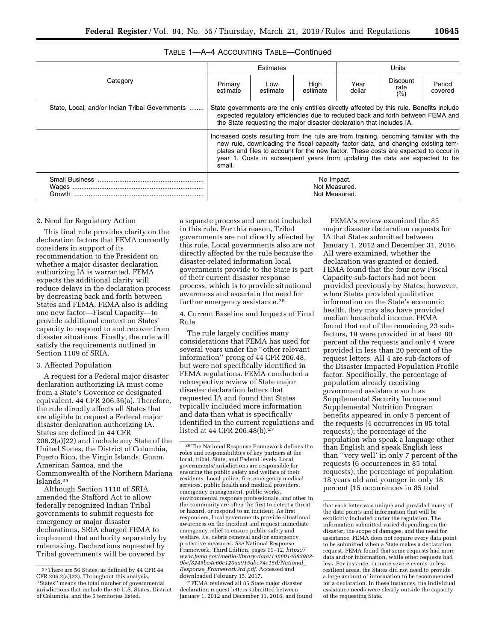# TABLE 1—A–4 ACCOUNTING TABLE—Continued

|                                                |                                                                                                                                                                                                                                                                                                                                                             | Estimates       |                  | Units          |                                |                   |
|------------------------------------------------|-------------------------------------------------------------------------------------------------------------------------------------------------------------------------------------------------------------------------------------------------------------------------------------------------------------------------------------------------------------|-----------------|------------------|----------------|--------------------------------|-------------------|
| Category                                       | Primary<br>estimate                                                                                                                                                                                                                                                                                                                                         | Low<br>estimate | High<br>estimate | Year<br>dollar | <b>Discount</b><br>rate<br>(%) | Period<br>covered |
| State, Local, and/or Indian Tribal Governments | State governments are the only entities directly affected by this rule. Benefits include<br>expected regulatory efficiencies due to reduced back and forth between FEMA and<br>the State requesting the major disaster declaration that includes IA.                                                                                                        |                 |                  |                |                                |                   |
|                                                | Increased costs resulting from the rule are from training, becoming familiar with the<br>new rule, downloading the fiscal capacity factor data, and changing existing tem-<br>plates and files to account for the new factor. These costs are expected to occur in<br>year 1. Costs in subsequent years from updating the data are expected to be<br>small. |                 |                  |                |                                |                   |
| Growth                                         | No Impact.<br>Not Measured.<br>Not Measured.                                                                                                                                                                                                                                                                                                                |                 |                  |                |                                |                   |

#### 2. Need for Regulatory Action

This final rule provides clarity on the declaration factors that FEMA currently considers in support of its recommendation to the President on whether a major disaster declaration authorizing IA is warranted. FEMA expects the additional clarity will reduce delays in the declaration process by decreasing back and forth between States and FEMA. FEMA also is adding one new factor—Fiscal Capacity—to provide additional context on States' capacity to respond to and recover from disaster situations. Finally, the rule will satisfy the requirements outlined in Section 1109 of SRIA.

#### 3. Affected Population

A request for a Federal major disaster declaration authorizing IA must come from a State's Governor or designated equivalent. 44 CFR 206.36(a). Therefore, the rule directly affects all States that are eligible to request a Federal major disaster declaration authorizing IA. States are defined in 44 CFR 206.2(a)(22) and include any State of the United States, the District of Columbia, Puerto Rico, the Virgin Islands, Guam, American Samoa, and the Commonwealth of the Northern Mariana Islands.25

Although Section 1110 of SRIA amended the Stafford Act to allow federally recognized Indian Tribal governments to submit requests for emergency or major disaster declarations, SRIA charged FEMA to implement that authority separately by rulemaking. Declarations requested by Tribal governments will be covered by

a separate process and are not included in this rule. For this reason, Tribal governments are not directly affected by this rule. Local governments also are not directly affected by the rule because the disaster-related information local governments provide to the State is part of their current disaster response process, which is to provide situational awareness and ascertain the need for further emergency assistance.<sup>26</sup>

4. Current Baseline and Impacts of Final Rule

The rule largely codifies many considerations that FEMA has used for several years under the ''other relevant information'' prong of 44 CFR 206.48, but were not specifically identified in FEMA regulations. FEMA conducted a retrospective review of State major disaster declaration letters that requested IA and found that States typically included more information and data than what is specifically identified in the current regulations and listed at 44 CFR 206.48(b).<sup>27</sup>

27FEMA reviewed all 85 State major disaster declaration request letters submitted between January 1, 2012 and December 31, 2016, and found

FEMA's review examined the 85 major disaster declaration requests for IA that States submitted between January 1, 2012 and December 31, 2016. All were examined, whether the declaration was granted or denied. FEMA found that the four new Fiscal Capacity sub-factors had not been provided previously by States; however, when States provided qualitative information on the State's economic health, they may also have provided median household income. FEMA found that out of the remaining 23 subfactors, 19 were provided in at least 80 percent of the requests and only 4 were provided in less than 20 percent of the request letters. All 4 are sub-factors of the Disaster Impacted Population Profile factor. Specifically, the percentage of population already receiving government assistance such as Supplemental Security Income and Supplemental Nutrition Program benefits appeared in only 5 percent of the requests (4 occurrences in 85 total requests); the percentage of the population who speak a language other than English and speak English less than ''very well' in only 7 percent of the requests (6 occurrences in 85 total requests); the percentage of population 18 years old and younger in only 18 percent (15 occurrences in 85 total

<sup>25</sup>There are 56 States, as defined by 44 CFR 44 CFR 206.2(a)(22). Throughout this analysis, ''States'' means the total number of governmental jurisdictions that include the 50 U.S. States, District of Columbia, and the 5 territories listed.

<sup>26</sup>The National Response Framework defines the roles and responsibilities of key partners at the local, tribal, State, and Federal levels. Local governments/jurisdictions are responsible for ensuring the public safety and welfare of their residents. Local police, fire, emergency medical services, public health and medical providers, emergency management, public works, environmental response professionals, and other in the community are often the first to detect a threat or hazard, or respond to an incident. As first responders, local governments provide situational awareness on the incident and request immediate emergency relief to ensure public safety and welfare, *i.e.* debris removal and/or emergency protective measures. *See* National Response Framework, Third Edition, pages 11–12, *[https://](https://www.fema.gov/media-library-data/1466014682982-9bcf8245ba4c60c120aa915abe74e15d/National_Response_Framework3rd.pdf) [www.fema.gov/media-library-data/1466014682982-](https://www.fema.gov/media-library-data/1466014682982-9bcf8245ba4c60c120aa915abe74e15d/National_Response_Framework3rd.pdf)  [9bcf8245ba4c60c120aa915abe74e15d/National](https://www.fema.gov/media-library-data/1466014682982-9bcf8245ba4c60c120aa915abe74e15d/National_Response_Framework3rd.pdf)*\_ *Response*\_*[Framework3rd.pdf.](https://www.fema.gov/media-library-data/1466014682982-9bcf8245ba4c60c120aa915abe74e15d/National_Response_Framework3rd.pdf)* Accessed and downloaded February 15, 2017.

that each letter was unique and provided many of the data points and information that will be explicitly included under the regulation. The information submitted varied depending on the disaster, the scope of damages, and the need for assistance. FEMA does not require every data point to be submitted when a State makes a declaration request. FEMA found that some requests had more data and/or information, while other requests had less. For instance, in more severe events in less resilient areas, the States did not need to provide a large amount of information to be recommended for a declaration. In these instances, the individual assistance needs were clearly outside the capacity of the requesting State.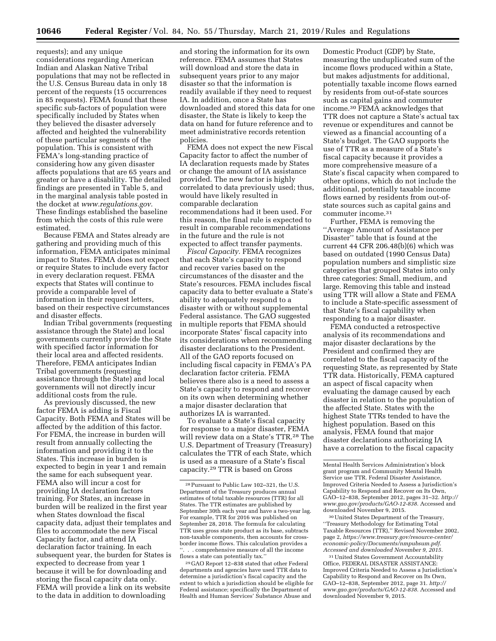requests); and any unique considerations regarding American Indian and Alaskan Native Tribal populations that may not be reflected in the U.S. Census Bureau data in only 18 percent of the requests (15 occurrences in 85 requests). FEMA found that these specific sub-factors of population were specifically included by States when they believed the disaster adversely affected and heighted the vulnerability of these particular segments of the population. This is consistent with FEMA's long-standing practice of considering how any given disaster affects populations that are 65 years and greater or have a disability. The detailed findings are presented in Table 5, and in the marginal analysis table posted in the docket at *[www.regulations.gov.](http://www.regulations.gov)*  These findings established the baseline from which the costs of this rule were estimated.

Because FEMA and States already are gathering and providing much of this information, FEMA anticipates minimal impact to States. FEMA does not expect or require States to include every factor in every declaration request. FEMA expects that States will continue to provide a comparable level of information in their request letters, based on their respective circumstances and disaster effects.

Indian Tribal governments (requesting assistance through the State) and local governments currently provide the State with specified factor information for their local area and affected residents. Therefore, FEMA anticipates Indian Tribal governments (requesting assistance through the State) and local governments will not directly incur additional costs from the rule.

As previously discussed, the new factor FEMA is adding is Fiscal Capacity. Both FEMA and States will be affected by the addition of this factor. For FEMA, the increase in burden will result from annually collecting the information and providing it to the States. This increase in burden is expected to begin in year 1 and remain the same for each subsequent year. FEMA also will incur a cost for providing IA declaration factors training. For States, an increase in burden will be realized in the first year when States download the fiscal capacity data, adjust their templates and files to accommodate the new Fiscal Capacity factor, and attend IA declaration factor training. In each subsequent year, the burden for States is expected to decrease from year 1 because it will be for downloading and storing the fiscal capacity data only. FEMA will provide a link on its website to the data in addition to downloading

and storing the information for its own reference. FEMA assumes that States will download and store the data in subsequent years prior to any major disaster so that the information is readily available if they need to request IA. In addition, once a State has downloaded and stored this data for one disaster, the State is likely to keep the data on hand for future reference and to meet administrative records retention policies.

FEMA does not expect the new Fiscal Capacity factor to affect the number of IA declaration requests made by States or change the amount of IA assistance provided. The new factor is highly correlated to data previously used; thus, would have likely resulted in comparable declaration recommendations had it been used. For this reason, the final rule is expected to result in comparable recommendations in the future and the rule is not expected to affect transfer payments.

*Fiscal Capacity.* FEMA recognizes that each State's capacity to respond and recover varies based on the circumstances of the disaster and the State's resources. FEMA includes fiscal capacity data to better evaluate a State's ability to adequately respond to a disaster with or without supplemental Federal assistance. The GAO suggested in multiple reports that FEMA should incorporate States' fiscal capacity into its considerations when recommending disaster declarations to the President. All of the GAO reports focused on including fiscal capacity in FEMA's PA declaration factor criteria. FEMA believes there also is a need to assess a State's capacity to respond and recover on its own when determining whether a major disaster declaration that authorizes IA is warranted.

To evaluate a State's fiscal capacity for response to a major disaster, FEMA will review data on a State's TTR.28 The U.S. Department of Treasury (Treasury) calculates the TTR of each State, which is used as a measure of a State's fiscal capacity.29 TTR is based on Gross

29 GAO Report 12–838 stated that other Federal departments and agencies have used TTR data to determine a jurisdiction's fiscal capacity and the extent to which a jurisdiction should be eligible for Federal assistance; specifically the Department of Health and Human Services' Substance Abuse and

Domestic Product (GDP) by State, measuring the unduplicated sum of the income flows produced within a State, but makes adjustments for additional, potentially taxable income flows earned by residents from out-of-state sources such as capital gains and commuter income.30 FEMA acknowledges that TTR does not capture a State's actual tax revenue or expenditures and cannot be viewed as a financial accounting of a State's budget. The GAO supports the use of TTR as a measure of a State's fiscal capacity because it provides a more comprehensive measure of a State's fiscal capacity when compared to other options, which do not include the additional, potentially taxable income flows earned by residents from out-ofstate sources such as capital gains and commuter income.31

Further, FEMA is removing the ''Average Amount of Assistance per Disaster'' table that is found at the current 44 CFR 206.48(b)(6) which was based on outdated (1990 Census Data) population numbers and simplistic size categories that grouped States into only three categories: Small, medium, and large. Removing this table and instead using TTR will allow a State and FEMA to include a State-specific assessment of that State's fiscal capability when responding to a major disaster.

FEMA conducted a retrospective analysis of its recommendations and major disaster declarations by the President and confirmed they are correlated to the fiscal capacity of the requesting State, as represented by State TTR data. Historically, FEMA captured an aspect of fiscal capacity when evaluating the damage caused by each disaster in relation to the population of the affected State. States with the highest State TTRs tended to have the highest population. Based on this analysis, FEMA found that major disaster declarations authorizing IA have a correlation to the fiscal capacity

30United States Department of the Treasury, ''Treasury Methodology for Estimating Total Taxable Resources (TTR),'' Revised November 2002, page 2, *[https://www.treasury.gov/resource-center/](https://www.treasury.gov/resource-center/economic-policy/Documents/nmpubsum.pdf) [economic-policy/Documents/nmpubsum.pdf.](https://www.treasury.gov/resource-center/economic-policy/Documents/nmpubsum.pdf)  Accessed and downloaded November 9, 2015.* 

31United States Government Accountability Office, FEDERAL DISASTER ASSISTANCE: Improved Criteria Needed to Assess a Jurisdiction's Capability to Respond and Recover on Its Own, GAO–12–838, September 2012, page 31. *[http://](http://www.gao.gov/products/GAO-12-838) [www.gao.gov/products/GAO-12-838.](http://www.gao.gov/products/GAO-12-838)* Accessed and downloaded November 9, 2015.

<sup>28</sup>Pursuant to Public Law 102–321, the U.S. Department of the Treasury produces annual estimates of total taxable resources (TTR) for all States. The TTR estimates are published by September 30th each year and have a two-year lag. For example, TTR for 2016 was published on September 28, 2018. The formula for calculating TTR uses gross state product as its base, subtracts non-taxable components, then accounts for crossborder income flows. This calculation provides a ... comprehensive measure of all the income flows a state can potentially tax.''

Mental Health Services Administration's block grant program and Community Mental Health Service use TTR. Federal Disaster Assistance, Improved Criteria Needed to Assess a Jurisdiction's Capability to Respond and Recover on Its Own, GAO–12–838, September 2012, pages 31–32. *[http://](http://www.gao.gov/products/GAO-12-838) [www.gao.gov/products/GAO-12-838.](http://www.gao.gov/products/GAO-12-838)* Accessed and downloaded November 9, 2015.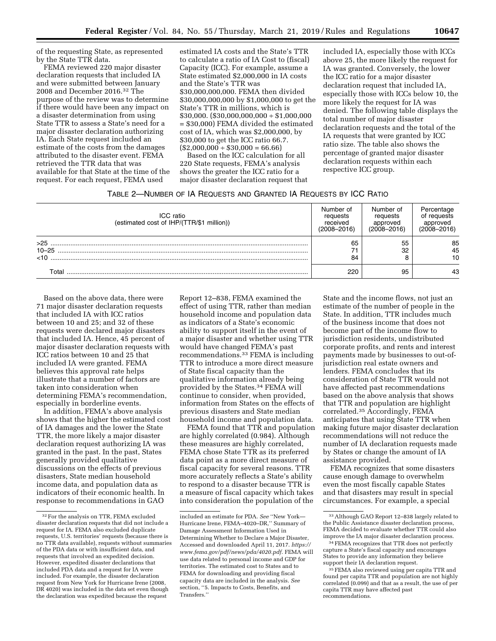of the requesting State, as represented by the State TTR data.

FEMA reviewed 220 major disaster declaration requests that included IA and were submitted between January 2008 and December 2016.32 The purpose of the review was to determine if there would have been any impact on a disaster determination from using State TTR to assess a State's need for a major disaster declaration authorizing IA. Each State request included an estimate of the costs from the damages attributed to the disaster event. FEMA retrieved the TTR data that was available for that State at the time of the request. For each request, FEMA used

estimated IA costs and the State's TTR to calculate a ratio of IA Cost to (fiscal) Capacity (ICC). For example, assume a State estimated \$2,000,000 in IA costs and the State's TTR was \$30,000,000,000. FEMA then divided \$30,000,000,000 by \$1,000,000 to get the State's TTR in millions, which is  $$30,000$ . (\$30,000,000,000 ÷ \$1,000,000 = \$30,000) FEMA divided the estimated cost of IA, which was \$2,000,000, by \$30,000 to get the ICC ratio 66.7.  $($2,000,000 \div $30,000 = 66.66)$ 

Based on the ICC calculation for all 220 State requests, FEMA's analysis shows the greater the ICC ratio for a major disaster declaration request that included IA, especially those with ICCs above 25, the more likely the request for IA was granted. Conversely, the lower the ICC ratio for a major disaster declaration request that included IA, especially those with ICCs below 10, the more likely the request for IA was denied. The following table displays the total number of major disaster declaration requests and the total of the IA requests that were granted by ICC ratio size. The table also shows the percentage of granted major disaster declaration requests within each respective ICC group.

| TABLE 2-NUMBER OF IA REQUESTS AND GRANTED IA REQUESTS BY ICC RATIO |  |  |  |
|--------------------------------------------------------------------|--|--|--|
|--------------------------------------------------------------------|--|--|--|

| ICC ratio<br>(estimated cost of IHP/(TTR/\$1 million)) | Number of<br>requests<br>received<br>$(2008 - 2016)$ | Number of<br>requests<br>approved<br>$(2008 - 2016)$ | Percentage<br>of requests<br>approved<br>$(2008 - 2016)$ |
|--------------------------------------------------------|------------------------------------------------------|------------------------------------------------------|----------------------------------------------------------|
| $>25$                                                  | 65                                                   | 55                                                   | 85                                                       |
| $10 - 25$                                              |                                                      | 32                                                   | 45                                                       |
| <10                                                    | 84                                                   |                                                      | 10                                                       |
| Total                                                  | 220                                                  | 95                                                   | 43                                                       |

Based on the above data, there were 71 major disaster declaration requests that included IA with ICC ratios between 10 and 25; and 32 of these requests were declared major disasters that included IA. Hence, 45 percent of major disaster declaration requests with ICC ratios between 10 and 25 that included IA were granted. FEMA believes this approval rate helps illustrate that a number of factors are taken into consideration when determining FEMA's recommendation, especially in borderline events.

In addition, FEMA's above analysis shows that the higher the estimated cost of IA damages and the lower the State TTR, the more likely a major disaster declaration request authorizing IA was granted in the past. In the past, States generally provided qualitative discussions on the effects of previous disasters, State median household income data, and population data as indicators of their economic health. In response to recommendations in GAO

Report 12–838, FEMA examined the effect of using TTR, rather than median household income and population data as indicators of a State's economic ability to support itself in the event of a major disaster and whether using TTR would have changed FEMA's past recommendations.33 FEMA is including TTR to introduce a more direct measure of State fiscal capacity than the qualitative information already being provided by the States.34 FEMA will continue to consider, when provided, information from States on the effects of previous disasters and State median household income and population data.

FEMA found that TTR and population are highly correlated (0.984). Although these measures are highly correlated, FEMA chose State TTR as its preferred data point as a more direct measure of fiscal capacity for several reasons. TTR more accurately reflects a State's ability to respond to a disaster because TTR is a measure of fiscal capacity which takes into consideration the population of the

State and the income flows, not just an estimate of the number of people in the State. In addition, TTR includes much of the business income that does not become part of the income flow to jurisdiction residents, undistributed corporate profits, and rents and interest payments made by businesses to out-ofjurisdiction real estate owners and lenders. FEMA concludes that its consideration of State TTR would not have affected past recommendations based on the above analysis that shows that TTR and population are highlight correlated.35 Accordingly, FEMA anticipates that using State TTR when making future major disaster declaration recommendations will not reduce the number of IA declaration requests made by States or change the amount of IA assistance provided.

FEMA recognizes that some disasters cause enough damage to overwhelm even the most fiscally capable States and that disasters may result in special circumstances. For example, a special

<sup>32</sup>For the analysis on TTR, FEMA excluded disaster declaration requests that did not include a request for IA. FEMA also excluded duplicate requests, U.S. territories' requests (because there is no TTR data available), requests without summaries of the PDA data or with insufficient data, and requests that involved an expedited decision. However, expedited disaster declarations that included PDA data and a request for IA were included. For example, the disaster declaration request from New York for Hurricane Irene (2008, DR 4020) was included in the data set even though the declaration was expedited because the request

included an estimate for PDA. *See* ''New York— Hurricane Irene, FEMA–4020–DR,'' Summary of Damage Assessment Information Used in Determining Whether to Declare a Major Disaster, Accessed and downloaded April 11, 2017. *[https://](https://www.fema.gov/pdf/news/pda/4020.pdf)  [www.fema.gov/pdf/news/pda/4020.pdf.](https://www.fema.gov/pdf/news/pda/4020.pdf)* FEMA will use data related to personal income and GDP for territories. The estimated cost to States and to FEMA for downloading and providing fiscal capacity data are included in the analysis. *See*  section, ''5. Impacts to Costs, Benefits, and Transfers.''

<sup>33</sup>Although GAO Report 12–838 largely related to the Public Assistance disaster declaration process, FEMA decided to evaluate whether TTR could also improve the IA major disaster declaration process.

 $\rm ^{34}$  FEMA recognizes that TTR does not perfectly capture a State's fiscal capacity and encourages States to provide any information they believe support their IA declaration request.

<sup>35</sup>FEMA also reviewed using per capita TTR and found per capita TTR and population are not highly correlated (0.099) and that as a result, the use of per capita TTR may have affected past recommendations.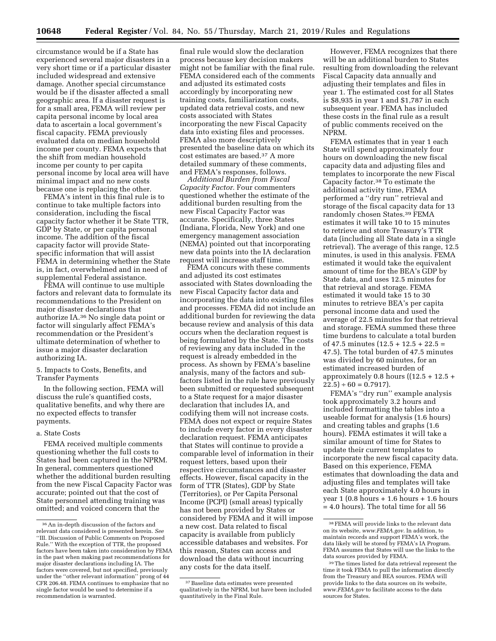circumstance would be if a State has experienced several major disasters in a very short time or if a particular disaster included widespread and extensive damage. Another special circumstance would be if the disaster affected a small geographic area. If a disaster request is for a small area, FEMA will review per capita personal income by local area data to ascertain a local government's fiscal capacity. FEMA previously evaluated data on median household income per county. FEMA expects that the shift from median household income per county to per capita personal income by local area will have minimal impact and no new costs because one is replacing the other.

FEMA's intent in this final rule is to continue to take multiple factors into consideration, including the fiscal capacity factor whether it be State TTR, GDP by State, or per capita personal income. The addition of the fiscal capacity factor will provide Statespecific information that will assist FEMA in determining whether the State is, in fact, overwhelmed and in need of supplemental Federal assistance.

FEMA will continue to use multiple factors and relevant data to formulate its recommendations to the President on major disaster declarations that authorize IA.36 No single data point or factor will singularly affect FEMA's recommendation or the President's ultimate determination of whether to issue a major disaster declaration authorizing IA.

5. Impacts to Costs, Benefits, and Transfer Payments

In the following section, FEMA will discuss the rule's quantified costs, qualitative benefits, and why there are no expected effects to transfer payments.

#### a. State Costs

FEMA received multiple comments questioning whether the full costs to States had been captured in the NPRM. In general, commenters questioned whether the additional burden resulting from the new Fiscal Capacity Factor was accurate; pointed out that the cost of State personnel attending training was omitted; and voiced concern that the

final rule would slow the declaration process because key decision makers might not be familiar with the final rule. FEMA considered each of the comments and adjusted its estimated costs accordingly by incorporating new training costs, familiarization costs, updated data retrieval costs, and new costs associated with States incorporating the new Fiscal Capacity data into existing files and processes. FEMA also more descriptively presented the baseline data on which its cost estimates are based.37 A more detailed summary of these comments, and FEMA's responses, follows.

*Additional Burden from Fiscal Capacity Factor.* Four commenters questioned whether the estimate of the additional burden resulting from the new Fiscal Capacity Factor was accurate. Specifically, three States (Indiana, Florida, New York) and one emergency management association (NEMA) pointed out that incorporating new data points into the IA declaration request will increase staff time.

FEMA concurs with these comments and adjusted its cost estimates associated with States downloading the new Fiscal Capacity factor data and incorporating the data into existing files and processes. FEMA did not include an additional burden for reviewing the data because review and analysis of this data occurs when the declaration request is being formulated by the State. The costs of reviewing any data included in the request is already embedded in the process. As shown by FEMA's baseline analysis, many of the factors and subfactors listed in the rule have previously been submitted or requested subsequent to a State request for a major disaster declaration that includes IA, and codifying them will not increase costs. FEMA does not expect or require States to include every factor in every disaster declaration request. FEMA anticipates that States will continue to provide a comparable level of information in their request letters, based upon their respective circumstances and disaster effects. However, fiscal capacity in the form of TTR (States), GDP by State (Territories), or Per Capita Personal Income (PCPI) (small areas) typically has not been provided by States or considered by FEMA and it will impose a new cost. Data related to fiscal capacity is available from publicly accessible databases and websites. For this reason, States can access and download the data without incurring any costs for the data itself.

However, FEMA recognizes that there will be an additional burden to States resulting from downloading the relevant Fiscal Capacity data annually and adjusting their templates and files in year 1. The estimated cost for all States is \$8,935 in year 1 and \$1,787 in each subsequent year. FEMA has included these costs in the final rule as a result of public comments received on the NPRM.

FEMA estimates that in year 1 each State will spend approximately four hours on downloading the new fiscal capacity data and adjusting files and templates to incorporate the new Fiscal Capacity factor.38 To estimate the additional activity time, FEMA performed a ''dry run'' retrieval and storage of the fiscal capacity data for 13 randomly chosen States.39 FEMA estimates it will take 10 to 15 minutes to retrieve and store Treasury's TTR data (including all State data in a single retrieval). The average of this range, 12.5 minutes, is used in this analysis. FEMA estimated it would take the equivalent amount of time for the BEA's GDP by State data, and uses 12.5 minutes for that retrieval and storage. FEMA estimated it would take 15 to 30 minutes to retrieve BEA's per capita personal income data and used the average of 22.5 minutes for that retrieval and storage. FEMA summed these three time burdens to calculate a total burden of 47.5 minutes (12.5 + 12.5 + 22.5 = 47.5). The total burden of 47.5 minutes was divided by 60 minutes, for an estimated increased burden of approximately 0.8 hours  $((12.5 + 12.5 +$  $22.5$  ÷ 60 = 0.7917).

FEMA's ''dry run'' example analysis took approximately 3.2 hours and included formatting the tables into a useable format for analysis (1.6 hours) and creating tables and graphs (1.6 hours). FEMA estimates it will take a similar amount of time for States to update their current templates to incorporate the new fiscal capacity data. Based on this experience, FEMA estimates that downloading the data and adjusting files and templates will take each State approximately 4.0 hours in year 1 (0.8 hours + 1.6 hours + 1.6 hours  $\,=4.0$  hours). The total time for all  $56$ 

 $^{\rm 36}$  An in-depth discussion of the factors and relevant data considered is presented herein. *See*  ''III. Discussion of Public Comments on Proposed Rule.'' With the exception of TTR, the proposed factors have been taken into consideration by FEMA in the past when making past recommendations for major disaster declarations including IA. The factors were covered, but not specified, previously under the ''other relevant information'' prong of 44 CFR 206.48. FEMA continues to emphasize that no single factor would be used to determine if a recommendation is warranted.

<sup>37</sup>Baseline data estimates were presented qualitatively in the NPRM, but have been included quantitatively in the Final Rule.

<sup>38</sup>FEMA will provide links to the relevant data on its website, *[www.FEMA.gov.](http://www.FEMA.gov)* In addition, to maintain records and support FEMA's work, the data likely will be stored by FEMA's IA Program. FEMA assumes that States will use the links to the data sources provided by FEMA.

<sup>39</sup>The times listed for data retrieval represent the time it took FEMA to pull the information directly from the Treasury and BEA sources. FEMA will provide links to the data sources on its website, *[www.FEMA.gov](http://www.FEMA.gov)* to facilitate access to the data sources for States.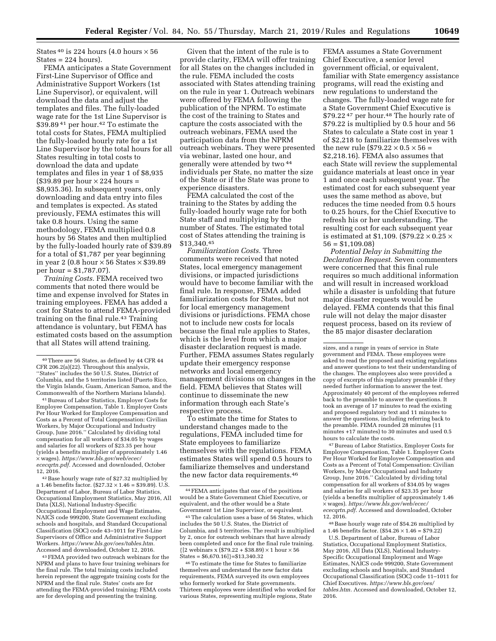States <sup>40</sup> is 224 hours (4.0 hours  $\times$  56  $States = 224 hours$ .

FEMA anticipates a State Government First-Line Supervisor of Office and Administrative Support Workers (1st Line Supervisor), or equivalent, will download the data and adjust the templates and files. The fully-loaded wage rate for the 1st Line Supervisor is \$39.89 41 per hour.42 To estimate the total costs for States, FEMA multiplied the fully-loaded hourly rate for a 1st Line Supervisor by the total hours for all States resulting in total costs to download the data and update templates and files in year 1 of \$8,935  $($39.89$  per hour  $\times$  224 hours = \$8,935.36). In subsequent years, only downloading and data entry into files and templates is expected. As stated previously, FEMA estimates this will take 0.8 hours. Using the same methodology, FEMA multiplied 0.8 hours by 56 States and then multiplied by the fully-loaded hourly rate of \$39.89 for a total of \$1,787 per year beginning in year 2 (0.8 hour  $\times$  56 States  $\times$  \$39.89 per hour = \$1,787.07).

*Training Costs.* FEMA received two comments that noted there would be time and expense involved for States in training employees. FEMA has added a cost for States to attend FEMA-provided training on the final rule.<sup>43</sup> Training attendance is voluntary, but FEMA has estimated costs based on the assumption that all States will attend training.

41Bureau of Labor Statistics, Employer Costs for Employee Compensation, Table 1. Employer Costs Per Hour Worked for Employee Compensation and Costs as a Percent of Total Compensation: Civilian Workers, by Major Occupational and Industry Group, June 2016.'' Calculated by dividing total compensation for all workers of \$34.05 by wages and salaries for all workers of \$23.35 per hour (yields a benefits multiplier of approximately 1.46 × wages). *[https://www.bls.gov/web/ecec/](https://www.bls.gov/web/ecec/ececqrtn.pdf)  [ececqrtn.pdf.](https://www.bls.gov/web/ecec/ececqrtn.pdf)* Accessed and downloaded, October 12, 2016.

42Base hourly wage rate of \$27.32 multiplied by a 1.46 benefits factor.  $(\$27.32 \times 1.46 = \$39.89)$ . U.S. Department of Labor, Bureau of Labor Statistics, Occupational Employment Statistics, May 2016, All Data (XLS), National Industry-Specific Occupational Employment and Wage Estimates, NAICS code 999200, State Government excluding schools and hospitals, and Standard Occupational Classification (SOC) code 43–1011 for First-Line Supervisors of Office and Administrative Support Workers. *[https://www.bls.gov/oes/tables.htm.](https://www.bls.gov/oes/tables.htm)*  Accessed and downloaded, October 12, 2016.

43FEMA provided two outreach webinars for the NPRM and plans to have four training webinars for the final rule. The total training costs included herein represent the aggregate training costs for the NPRM and the final rule. States' costs are for attending the FEMA-provided training; FEMA costs are for developing and presenting the training.

Given that the intent of the rule is to provide clarity, FEMA will offer training for all States on the changes included in the rule. FEMA included the costs associated with States attending training on the rule in year 1. Outreach webinars were offered by FEMA following the publication of the NPRM. To estimate the cost of the training to States and capture the costs associated with the outreach webinars, FEMA used the participation data from the NPRM outreach webinars. They were presented via webinar, lasted one hour, and generally were attended by two 44 individuals per State, no matter the size of the State or if the State was prone to experience disasters.

FEMA calculated the cost of the training to the States by adding the fully-loaded hourly wage rate for both State staff and multiplying by the number of States. The estimated total cost of States attending the training is \$13,340.45

*Familiarization Costs.* Three comments were received that noted States, local emergency management divisions, or impacted jurisdictions would have to become familiar with the final rule. In response, FEMA added familiarization costs for States, but not for local emergency management divisions or jurisdictions. FEMA chose not to include new costs for locals because the final rule applies to States, which is the level from which a major disaster declaration request is made. Further, FEMA assumes States regularly update their emergency response networks and local emergency management divisions on changes in the field. FEMA believes that States will continue to disseminate the new information through each State's respective process.

To estimate the time for States to understand changes made to the regulations, FEMA included time for State employees to familiarize themselves with the regulations. FEMA estimates States will spend 0.5 hours to familiarize themselves and understand the new factor data requirements.46

46To estimate the time for States to familiarize themselves and understand the new factor data requirements, FEMA surveyed its own employees who formerly worked for State governments. Thirteen employees were identified who worked for various States, representing multiple regions, State

FEMA assumes a State Government Chief Executive, a senior level government official, or equivalent, familiar with State emergency assistance programs, will read the existing and new regulations to understand the changes. The fully-loaded wage rate for a State Government Chief Executive is \$79.22 47 per hour.48 The hourly rate of \$79.22 is multiplied by 0.5 hour and 56 States to calculate a State cost in year 1 of \$2,218 to familiarize themselves with the new rule  $(\$79.22 \times 0.5 \times 56 =$ \$2,218.16). FEMA also assumes that each State will review the supplemental guidance materials at least once in year 1 and once each subsequent year. The estimated cost for each subsequent year uses the same method as above, but reduces the time needed from 0.5 hours to 0.25 hours, for the Chief Executive to refresh his or her understanding. The resulting cost for each subsequent year is estimated at \$1,109. (\$79.22  $\times$  0.25  $\times$  $56 = $1,109.08$ 

*Potential Delay in Submitting the Declaration Request.* Seven commenters were concerned that this final rule requires so much additional information and will result in increased workload while a disaster is unfolding that future major disaster requests would be delayed. FEMA contends that this final rule will not delay the major disaster request process, based on its review of the 85 major disaster declaration

47Bureau of Labor Statistics, Employer Costs for Employee Compensation, Table 1. Employer Costs Per Hour Worked for Employee Compensation and Costs as a Percent of Total Compensation: Civilian Workers, by Major Occupational and Industry Group, June 2016.'' Calculated by dividing total compensation for all workers of \$34.05 by wages and salaries for all workers of \$23.35 per hour (yields a benefits multiplier of approximately 1.46 × wages). *[https://www.bls.gov/web/ecec/](https://www.bls.gov/web/ecec/ececqrtn.pdf)  [ececqrtn.pdf.](https://www.bls.gov/web/ecec/ececqrtn.pdf)* Accessed and downloaded, October 12, 2016.

48Base hourly wage rate of \$54.26 multiplied by a 1.46 benefits factor.  $(\$54.26 \times 1.46 = \$79.22)$ 

U.S. Department of Labor, Bureau of Labor Statistics, Occupational Employment Statistics, May 2016, All Data (XLS), National Industry-Specific Occupational Employment and Wage Estimates, NAICS code 999200, State Government excluding schools and hospitals, and Standard Occupational Classification (SOC) code 11–1011 for Chief Executives. *[https://www.bls.gov/oes/](https://www.bls.gov/oes/tables.htm) [tables.htm.](https://www.bls.gov/oes/tables.htm)* Accessed and downloaded, October 12, 2016.

<sup>40</sup>There are 56 States, as defined by 44 CFR 44 CFR 206.2(a)(22). Throughout this analysis, ''States'' includes the 50 U.S. States, District of Columbia, and the 5 territories listed (Puerto Rico, the Virgin Islands, Guam, American Samoa, and the Commonwealth of the Northern Mariana Islands).

<sup>44</sup>FEMA anticipates that one of the positions would be a State Government Chief Executive, or equivalent, and the other would be a State Government 1st Line Supervisor, or equivalent.

<sup>45</sup>The calculation uses a base of 56 States, which includes the 50 U.S. States, the District of Columbia, and 5 territories. The result is multiplied by 2, once for outreach webinars that have already been completed and once for the final rule training.  ${12}$  webinars x (\$79.22 + \$38.89)  $\times$  1 hour  $\times$  56 States = \$6,670.16]}=\$13,340.32

sizes, and a range in years of service in State government and FEMA. These employees were asked to read the proposed and existing regulations and answer questions to test their understanding of the changes. The employees also were provided a copy of excerpts of this regulatory preamble if they needed further information to answer the test. Approximately 40 percent of the employees referred back to the preamble to answer the questions. It took an average of 17 minutes to read the existing and proposed regulatory text and 11 minutes to answer the questions, including referring back to the preamble. FEMA rounded 28 minutes (11 minutes +17 minutes) to 30 minutes and used 0.5 hours to calculate the costs.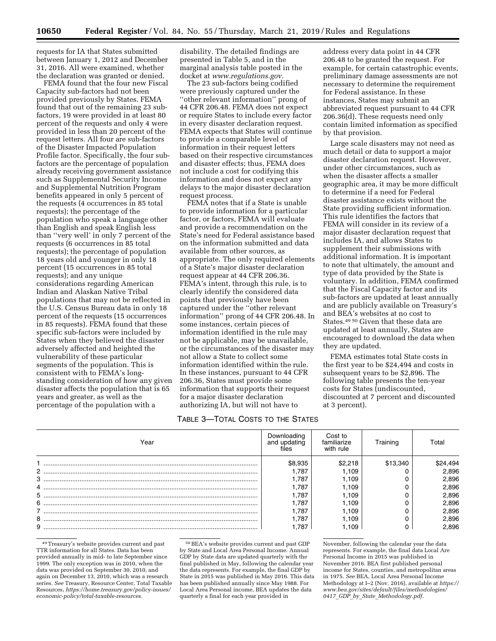requests for IA that States submitted between January 1, 2012 and December 31, 2016. All were examined, whether the declaration was granted or denied.

FEMA found that the four new Fiscal Capacity sub-factors had not been provided previously by States. FEMA found that out of the remaining 23 subfactors, 19 were provided in at least 80 percent of the requests and only 4 were provided in less than 20 percent of the request letters. All four are sub-factors of the Disaster Impacted Population Profile factor. Specifically, the four subfactors are the percentage of population already receiving government assistance such as Supplemental Security Income and Supplemental Nutrition Program benefits appeared in only 5 percent of the requests (4 occurrences in 85 total requests); the percentage of the population who speak a language other than English and speak English less than ''very well' in only 7 percent of the requests (6 occurrences in 85 total requests); the percentage of population 18 years old and younger in only 18 percent (15 occurrences in 85 total requests); and any unique considerations regarding American Indian and Alaskan Native Tribal populations that may not be reflected in the U.S. Census Bureau data in only 18 percent of the requests (15 occurrences in 85 requests). FEMA found that these specific sub-factors were included by States when they believed the disaster adversely affected and heighted the vulnerability of these particular segments of the population. This is consistent with to FEMA's longstanding consideration of how any given disaster affects the population that is 65 years and greater, as well as the percentage of the population with a

disability. The detailed findings are presented in Table 5, and in the marginal analysis table posted in the docket at *[www.regulations.gov.](http://www.regulations.gov)* 

The 23 sub-factors being codified were previously captured under the ''other relevant information'' prong of 44 CFR 206.48. FEMA does not expect or require States to include every factor in every disaster declaration request. FEMA expects that States will continue to provide a comparable level of information in their request letters based on their respective circumstances and disaster effects; thus, FEMA does not include a cost for codifying this information and does not expect any delays to the major disaster declaration request process.

FEMA notes that if a State is unable to provide information for a particular factor, or factors, FEMA will evaluate and provide a recommendation on the State's need for Federal assistance based on the information submitted and data available from other sources, as appropriate. The only required elements of a State's major disaster declaration request appear at 44 CFR 206.36. FEMA's intent, through this rule, is to clearly identify the considered data points that previously have been captured under the ''other relevant information'' prong of 44 CFR 206.48. In some instances, certain pieces of information identified in the rule may not be applicable, may be unavailable, or the circumstances of the disaster may not allow a State to collect some information identified within the rule. In these instances, pursuant to 44 CFR 206.36, States must provide some information that supports their request for a major disaster declaration authorizing IA, but will not have to

## TABLE 3—TOTAL COSTS TO THE STATES

address every data point in 44 CFR 206.48 to be granted the request. For example, for certain catastrophic events, preliminary damage assessments are not necessary to determine the requirement for Federal assistance. In these instances, States may submit an abbreviated request pursuant to 44 CFR 206.36(d). These requests need only contain limited information as specified by that provision.

Large scale disasters may not need as much detail or data to support a major disaster declaration request. However, under other circumstances, such as when the disaster affects a smaller geographic area, it may be more difficult to determine if a need for Federal disaster assistance exists without the State providing sufficient information. This rule identifies the factors that FEMA will consider in its review of a major disaster declaration request that includes IA, and allows States to supplement their submissions with additional information. It is important to note that ultimately, the amount and type of data provided by the State is voluntary. In addition, FEMA confirmed that the Fiscal Capacity factor and its sub-factors are updated at least annually and are publicly available on Treasury's and BEA's websites at no cost to States.49 50 Given that these data are updated at least annually, States are encouraged to download the data when they are updated.

FEMA estimates total State costs in the first year to be \$24,494 and costs in subsequent years to be \$2,896. The following table presents the ten-year costs for States (undiscounted, discounted at 7 percent and discounted at 3 percent).

| Year | Downloading<br>and updating<br>files | Cost to<br>familiarize<br>with rule | Training | Total |
|------|--------------------------------------|-------------------------------------|----------|-------|
|      | \$8.935                              | \$2.218                             | \$13,340 | 4,494 |
|      | 1.787                                | l.109                               |          | 2,896 |
|      | 1.787                                | l.109                               |          | 2,896 |
|      | 1.787                                | l.109                               |          | 2,896 |
|      | 1.787                                | 1.109                               |          | 2,896 |
|      | 1.787                                | 1.109                               |          | 2,896 |
|      | 787. ا                               | 1.109                               |          | 2,896 |
|      | 1.787                                | 1.109                               |          | 2,896 |
|      | .787                                 | 109                                 |          | 2.896 |

49Treasury's website provides current and past TTR information for all States. Data has been provided annually in mid- to late September since 1999. The only exception was in 2010, when the data was provided on September 30, 2010, and again on December 13, 2010, which was a research series. *See* Treasury, Resource Center, Total Taxable Resources, *[https://home.treasury.gov/policy-issues/](https://home.treasury.gov/policy-issues/economic-policy/total-taxable-resources)  [economic-policy/total-taxable-resources.](https://home.treasury.gov/policy-issues/economic-policy/total-taxable-resources)* 

50BEA's website provides current and past GDP by State and Local Area Personal Income. Annual GDP by State data are updated quarterly with the final published in May, following the calendar year the data represents. For example, the final GDP by State in 2015 was published in May 2016. This data has been published annually since May 1988. For Local Area Personal income, BEA updates the data quarterly a final for each year provided in

November, following the calendar year the data represents. For example, the final data Local Are Personal Income in 2015 was published in November 2016. BEA first published personal income for States, counties, and metropolitan areas in 1975. *See* BEA, Local Area Personal Income Methodology at I–2 (Nov. 2016), available at *[https://](https://www.bea.gov/sites/default/files/methodologies/0417_GDP_by_State_Methodology.pdf) [www.bea.gov/sites/default/files/methodologies/](https://www.bea.gov/sites/default/files/methodologies/0417_GDP_by_State_Methodology.pdf)  0417*\_*GDP*\_*by*\_*State*\_*[Methodology.pdf.](https://www.bea.gov/sites/default/files/methodologies/0417_GDP_by_State_Methodology.pdf)*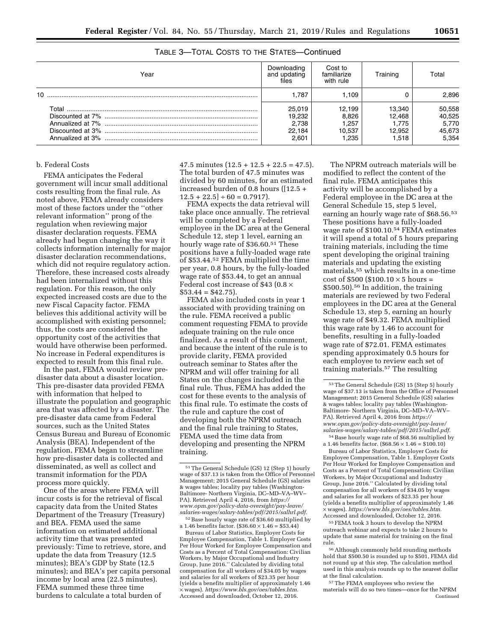| Year | Downloading<br>and updating<br>files         | Cost to<br>familiarize<br>with rule       | Training                                     | Total                                        |
|------|----------------------------------------------|-------------------------------------------|----------------------------------------------|----------------------------------------------|
| 10   | 1.787                                        | l.109                                     |                                              | 2,896                                        |
|      | 25.019<br>19,232<br>2.738<br>22.184<br>2.601 | 12.199<br>8.826<br>.257<br>10.537<br>.235 | 13.340<br>12.468<br>1.775<br>12.952<br>1.518 | 50,558<br>40,525<br>5,770<br>45,673<br>5.354 |

# TABLE 3—TOTAL COSTS TO THE STATES—Continued

#### b. Federal Costs

FEMA anticipates the Federal government will incur small additional costs resulting from the final rule. As noted above, FEMA already considers most of these factors under the ''other relevant information'' prong of the regulation when reviewing major disaster declaration requests. FEMA already had begun changing the way it collects information internally for major disaster declaration recommendations, which did not require regulatory action. Therefore, these increased costs already had been internalized without this regulation. For this reason, the only expected increased costs are due to the new Fiscal Capacity factor. FEMA believes this additional activity will be accomplished with existing personnel; thus, the costs are considered the opportunity cost of the activities that would have otherwise been performed. No increase in Federal expenditures is expected to result from this final rule.

In the past, FEMA would review predisaster data about a disaster location. This pre-disaster data provided FEMA with information that helped to illustrate the population and geographic area that was affected by a disaster. The pre-disaster data came from Federal sources, such as the United States Census Bureau and Bureau of Economic Analysis (BEA). Independent of the regulation, FEMA began to streamline how pre-disaster data is collected and disseminated, as well as collect and transmit information for the PDA process more quickly.

One of the areas where FEMA will incur costs is for the retrieval of fiscal capacity data from the United States Department of the Treasury (Treasury) and BEA. FEMA used the same information on estimated additional activity time that was presented previously: Time to retrieve, store, and update the data from Treasury (12.5 minutes); BEA's GDP by State (12.5 minutes); and BEA's per capita personal income by local area (22.5 minutes). FEMA summed these three time burdens to calculate a total burden of

 $47.5$  minutes  $(12.5 + 12.5 + 22.5 = 47.5)$ . The total burden of 47.5 minutes was divided by 60 minutes, for an estimated increased burden of 0.8 hours ([12.5 +  $12.5 + 22.5$  ÷ 60 = 0.7917).

FEMA expects the data retrieval will take place once annually. The retrieval will be completed by a Federal employee in the DC area at the General Schedule 12, step 1 level, earning an hourly wage rate of \$36.60.51 These positions have a fully-loaded wage rate of \$53.44.52 FEMA multiplied the time per year, 0.8 hours, by the fully-loaded wage rate of \$53.44, to get an annual Federal cost increase of \$43 (0.8  $\times$  $$53.44 = $42.75$ ).

FEMA also included costs in year 1 associated with providing training on the rule. FEMA received a public comment requesting FEMA to provide adequate training on the rule once finalized. As a result of this comment, and because the intent of the rule is to provide clarity, FEMA provided outreach seminar to States after the NPRM and will offer training for all States on the changes included in the final rule. Thus, FEMA has added the cost for these events to the analysis of this final rule. To estimate the costs of the rule and capture the cost of developing both the NPRM outreach and the final rule training to States, FEMA used the time data from developing and presenting the NPRM training.

a 1.46 benefits factor.  $(\$36.60 \times 1.46 = \$53.44)$ 

Bureau of Labor Statistics, Employer Costs for Employee Compensation, Table 1. Employer Costs Per Hour Worked for Employee Compensation and Costs as a Percent of Total Compensation: Civilian Workers, by Major Occupational and Industry Group, June 2016.'' Calculated by dividing total compensation for all workers of \$34.05 by wages and salaries for all workers of \$23.35 per hour (yields a benefits multiplier of approximately 1.46 × wages). *[https://www.bls.gov/oes/tables.htm.](https://www.bls.gov/oes/tables.htm)*  Accessed and downloaded, October 12, 2016.

The NPRM outreach materials will be modified to reflect the content of the final rule. FEMA anticipates this activity will be accomplished by a Federal employee in the DC area at the General Schedule 15, step 5 level, earning an hourly wage rate of \$68.56.53 These positions have a fully-loaded wage rate of \$100.10.54 FEMA estimates it will spend a total of 5 hours preparing training materials, including the time spent developing the original training materials and updating the existing materials,55 which results in a one-time cost of  $$500 ($100.10 \times 5 \text{ hours} =$ \$500.50).56 In addition, the training materials are reviewed by two Federal employees in the DC area at the General Schedule 13, step 5, earning an hourly wage rate of \$49.32. FEMA multiplied this wage rate by 1.46 to account for benefits, resulting in a fully-loaded wage rate of \$72.01. FEMA estimates spending approximately 0.5 hours for each employee to review each set of training materials.57 The resulting

54Base hourly wage rate of \$68.56 multiplied by a 1.46 benefits factor.  $(\$68.56 \times 1.46 = \$100.10)$ 

Bureau of Labor Statistics, Employer Costs for Employee Compensation, Table 1. Employer Costs Per Hour Worked for Employee Compensation and Costs as a Percent of Total Compensation: Civilian Workers, by Major Occupational and Industry Group, June 2016.'' Calculated by dividing total compensation for all workers of \$34.05 by wages and salaries for all workers of \$23.35 per hour (yields a benefits multiplier of approximately 1.46 × wages). *[https://www.bls.gov/oes/tables.htm.](https://www.bls.gov/oes/tables.htm)*  Accessed and downloaded, October 12, 2016.

55FEMA took 3 hours to develop the NPRM outreach webinar and expects to take 2 hours to update that same material for training on the final rule.

56Although commonly held rounding methods hold that \$500.50 is rounded up to \$501, FEMA did not round up at this step. The calculation method used in this analysis rounds up to the nearest dollar at the final calculation.

57The FEMA employees who review the materials will do so two times—once for the NPRM Continued

<sup>51</sup>The General Schedule (GS) 12 (Step 1) hourly wage of \$37.13 is taken from the Office of Personnel Management; 2015 General Schedule (GS) salaries & wages tables; locality pay tables (Washington-Baltimore- Northern Virginia, DC–MD–VA–WV– PA). Retrieved April 4, 2016, from *[https://](https://www.opm.gov/policy-data-oversight/pay-leave/salaries-wages/salary-tables/pdf/2015/salhrl.pdf) [www.opm.gov/policy-data-oversight/pay-leave/](https://www.opm.gov/policy-data-oversight/pay-leave/salaries-wages/salary-tables/pdf/2015/salhrl.pdf) [salaries-wages/salary-tables/pdf/2015/salhrl.pdf.](https://www.opm.gov/policy-data-oversight/pay-leave/salaries-wages/salary-tables/pdf/2015/salhrl.pdf)* 52Base hourly wage rate of \$36.60 multiplied by

<sup>53</sup>The General Schedule (GS) 15 (Step 5) hourly wage of \$37.13 is taken from the Office of Personnel Management; 2015 General Schedule (GS) salaries & wages tables; locality pay tables (Washington-Baltimore- Northern Virginia, DC–MD–VA–WV– PA). Retrieved April 4, 2016 from *[https://](https://www.opm.gov/policy-data-oversight/pay-leave/salaries-wages/salary-tables/pdf/2015/salhrl.pdf) [www.opm.gov/policy-data-oversight/pay-leave/](https://www.opm.gov/policy-data-oversight/pay-leave/salaries-wages/salary-tables/pdf/2015/salhrl.pdf) [salaries-wages/salary-tables/pdf/2015/salhrl.pdf.](https://www.opm.gov/policy-data-oversight/pay-leave/salaries-wages/salary-tables/pdf/2015/salhrl.pdf)*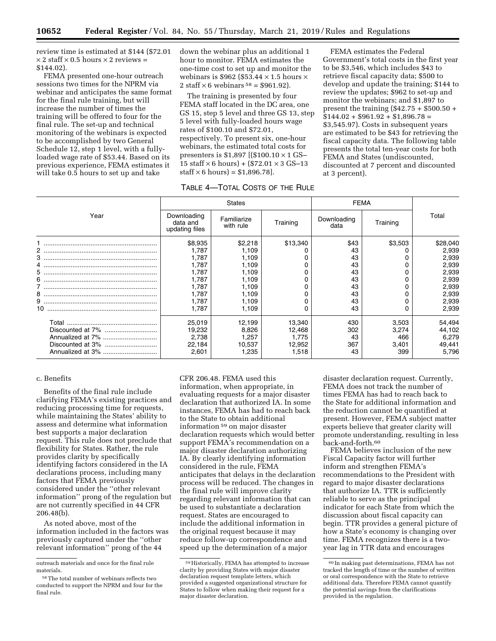review time is estimated at \$144 (\$72.01  $\times$  2 staff  $\times$  0.5 hours  $\times$  2 reviews = \$144.02).

FEMA presented one-hour outreach sessions two times for the NPRM via webinar and anticipates the same format for the final rule training, but will increase the number of times the training will be offered to four for the final rule. The set-up and technical monitoring of the webinars is expected to be accomplished by two General Schedule 12, step 1 level, with a fullyloaded wage rate of \$53.44. Based on its previous experience, FEMA estimates it will take 0.5 hours to set up and take

down the webinar plus an additional 1 hour to monitor. FEMA estimates the one-time cost to set up and monitor the webinars is \$962 (\$53.44  $\times$  1.5 hours  $\times$ 2 staff  $\times$  6 webinars <sup>58</sup> = \$961.92).

The training is presented by four FEMA staff located in the DC area, one GS 15, step 5 level and three GS 13, step 5 level with fully-loaded hours wage rates of \$100.10 and \$72.01, respectively. To present six, one-hour webinars, the estimated total costs for presenters is \$1,897 [(\$100.10 × 1 GS– 15 staff  $\times$  6 hours) + (\$72.01  $\times$  3 GS-13  $\text{staff} \times 6 \text{ hours} = $1,896.78$ .

FEMA estimates the Federal Government's total costs in the first year to be \$3,546, which includes \$43 to retrieve fiscal capacity data; \$500 to develop and update the training; \$144 to review the updates; \$962 to set-up and monitor the webinars; and \$1,897 to present the training  $(\$42.75 + \$500.50 +$  $$144.02 + $961.92 + $1,896.78 =$ \$3,545.97). Costs in subsequent years are estimated to be \$43 for retrieving the fiscal capacity data. The following table presents the total ten-year costs for both FEMA and States (undiscounted, discounted at 7 percent and discounted at 3 percent).

TABLE 4—TOTAL COSTS OF THE RULE

|      |                                           | <b>States</b>            |          | <b>FEMA</b>         |          |          |
|------|-------------------------------------------|--------------------------|----------|---------------------|----------|----------|
| Year | Downloading<br>data and<br>updating files | Familiarize<br>with rule | Training | Downloading<br>data | Training | Total    |
|      | \$8,935                                   | \$2,218                  | \$13,340 | \$43                | \$3,503  | \$28,040 |
|      | 1.787                                     | 1,109                    |          | 43                  |          | 2,939    |
|      | 1.787                                     | 1,109                    |          | 43                  |          | 2,939    |
|      | 1,787                                     | 1,109                    |          | 43                  |          | 2,939    |
|      | 1,787                                     | 1,109                    |          | 43                  |          | 2,939    |
|      | 1.787                                     | 1.109                    |          | 43                  |          | 2,939    |
|      | 1.787                                     | 1,109                    |          | 43                  |          | 2,939    |
|      | 1,787                                     | 1,109                    |          | 43                  |          | 2,939    |
|      | 1.787                                     | 1.109                    |          | 43                  |          | 2,939    |
|      | 1.787                                     | 1,109                    |          | 43                  |          | 2,939    |
|      | 25,019                                    | 12,199                   | 13,340   | 430                 | 3,503    | 54,494   |
|      | 19,232                                    | 8,826                    | 12,468   | 302                 | 3,274    | 44,102   |
|      | 2,738                                     | 1,257                    | 1,775    | 43                  | 466      | 6,279    |
|      | 22,184                                    | 10,537                   | 12,952   | 367                 | 3,401    | 49,441   |
|      | 2,601                                     | 1,235                    | 1,518    | 43                  | 399      | 5,796    |

#### c. Benefits

Benefits of the final rule include clarifying FEMA's existing practices and reducing processing time for requests, while maintaining the States' ability to assess and determine what information best supports a major declaration request. This rule does not preclude that flexibility for States. Rather, the rule provides clarity by specifically identifying factors considered in the IA declarations process, including many factors that FEMA previously considered under the ''other relevant information'' prong of the regulation but are not currently specified in 44 CFR 206.48(b).

As noted above, most of the information included in the factors was previously captured under the ''other relevant information'' prong of the 44

CFR 206.48. FEMA used this information, when appropriate, in evaluating requests for a major disaster declaration that authorized IA. In some instances, FEMA has had to reach back to the State to obtain additional information 59 on major disaster declaration requests which would better support FEMA's recommendation on a major disaster declaration authorizing IA. By clearly identifying information considered in the rule, FEMA anticipates that delays in the declaration process will be reduced. The changes in the final rule will improve clarity regarding relevant information that can be used to substantiate a declaration request. States are encouraged to include the additional information in the original request because it may reduce follow-up correspondence and speed up the determination of a major

disaster declaration request. Currently, FEMA does not track the number of times FEMA has had to reach back to the State for additional information and the reduction cannot be quantified at present. However, FEMA subject matter experts believe that greater clarity will promote understanding, resulting in less back-and-forth.60

FEMA believes inclusion of the new Fiscal Capacity factor will further inform and strengthen FEMA's recommendations to the President with regard to major disaster declarations that authorize IA. TTR is sufficiently reliable to serve as the principal indicator for each State from which the discussion about fiscal capacity can begin. TTR provides a general picture of how a State's economy is changing over time. FEMA recognizes there is a twoyear lag in TTR data and encourages

outreach materials and once for the final rule materials.

<sup>58</sup>The total number of webinars reflects two conducted to support the NPRM and four for the final rule.

<sup>59</sup>Historically, FEMA has attempted to increase clarity by providing States with major disaster declaration request template letters, which provided a suggested organizational structure for States to follow when making their request for a major disaster declaration.

<sup>60</sup> In making past determinations, FEMA has not tracked the length of time or the number of written or oral correspondence with the State to retrieve additional data. Therefore FEMA cannot quantify the potential savings from the clarifications provided in the regulation.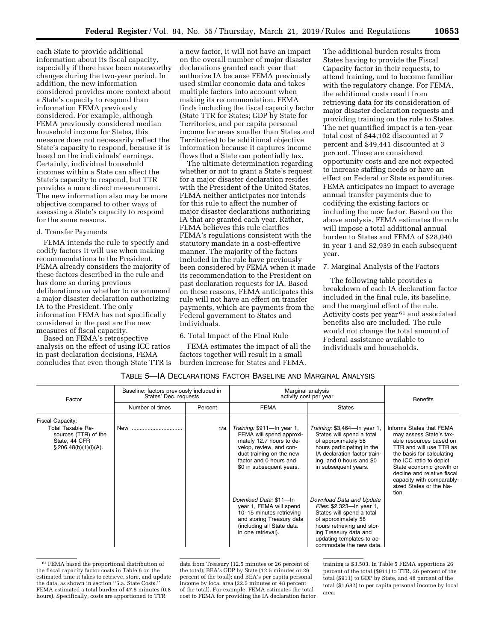each State to provide additional information about its fiscal capacity, especially if there have been noteworthy changes during the two-year period. In addition, the new information considered provides more context about a State's capacity to respond than information FEMA previously considered. For example, although FEMA previously considered median household income for States, this measure does not necessarily reflect the State's capacity to respond, because it is based on the individuals' earnings. Certainly, individual household incomes within a State can affect the State's capacity to respond, but TTR provides a more direct measurement. The new information also may be more objective compared to other ways of assessing a State's capacity to respond for the same reasons.

#### d. Transfer Payments

FEMA intends the rule to specify and codify factors it will use when making recommendations to the President. FEMA already considers the majority of these factors described in the rule and has done so during previous deliberations on whether to recommend a major disaster declaration authorizing IA to the President. The only information FEMA has not specifically considered in the past are the new measures of fiscal capacity.

Based on FEMA's retrospective analysis on the effect of using ICC ratios in past declaration decisions, FEMA concludes that even though State TTR is

a new factor, it will not have an impact on the overall number of major disaster declarations granted each year that authorize IA because FEMA previously used similar economic data and takes multiple factors into account when making its recommendation. FEMA finds including the fiscal capacity factor (State TTR for States; GDP by State for Territories, and per capita personal income for areas smaller than States and Territories) to be additional objective information because it captures income flows that a State can potentially tax.

The ultimate determination regarding whether or not to grant a State's request for a major disaster declaration resides with the President of the United States. FEMA neither anticipates nor intends for this rule to affect the number of major disaster declarations authorizing IA that are granted each year. Rather, FEMA believes this rule clarifies FEMA's regulations consistent with the statutory mandate in a cost-effective manner. The majority of the factors included in the rule have previously been considered by FEMA when it made its recommendation to the President on past declaration requests for IA. Based on these reasons, FEMA anticipates this rule will not have an effect on transfer payments, which are payments from the Federal government to States and individuals.

### 6. Total Impact of the Final Rule

FEMA estimates the impact of all the factors together will result in a small burden increase for States and FEMA.

The additional burden results from States having to provide the Fiscal Capacity factor in their requests, to attend training, and to become familiar with the regulatory change. For FEMA, the additional costs result from retrieving data for its consideration of major disaster declaration requests and providing training on the rule to States. The net quantified impact is a ten-year total cost of \$44,102 discounted at 7 percent and \$49,441 discounted at 3 percent. These are considered opportunity costs and are not expected to increase staffing needs or have an effect on Federal or State expenditures. FEMA anticipates no impact to average annual transfer payments due to codifying the existing factors or including the new factor. Based on the above analysis, FEMA estimates the rule will impose a total additional annual burden to States and FEMA of \$28,040 in year 1 and \$2,939 in each subsequent year.

#### 7. Marginal Analysis of the Factors

The following table provides a breakdown of each IA declaration factor included in the final rule, its baseline, and the marginal effect of the rule. Activity costs per year 61 and associated benefits also are included. The rule would not change the total amount of Federal assistance available to individuals and households.

# TABLE 5—IA DECLARATIONS FACTOR BASELINE AND MARGINAL ANALYSIS

| Factor                                                                                                      | Baseline: factors previously included in<br>States' Dec. requests |         | Marginal analysis<br>activity cost per year                                                                                                                                                     | <b>Benefits</b>                                                                                                                                                                                                          |                                                                                                                                                                                                                                                                                               |
|-------------------------------------------------------------------------------------------------------------|-------------------------------------------------------------------|---------|-------------------------------------------------------------------------------------------------------------------------------------------------------------------------------------------------|--------------------------------------------------------------------------------------------------------------------------------------------------------------------------------------------------------------------------|-----------------------------------------------------------------------------------------------------------------------------------------------------------------------------------------------------------------------------------------------------------------------------------------------|
|                                                                                                             | Number of times                                                   | Percent | <b>FEMA</b>                                                                                                                                                                                     | <b>States</b>                                                                                                                                                                                                            |                                                                                                                                                                                                                                                                                               |
| Fiscal Capacity:<br>Total Taxable Re-<br>sources (TTR) of the<br>State, 44 CFR<br>$\S 206.48(b)(1)(i)(A)$ . | New                                                               | n/a     | Training: \$911-In year 1,<br>FEMA will spend approxi-<br>mately 12.7 hours to de-<br>velop, review, and con-<br>duct training on the new<br>factor and 0 hours and<br>\$0 in subsequent years. | Training: \$3,464-In year 1,<br>States will spend a total<br>of approximately 58<br>hours participating in the<br>IA declaration factor train-<br>ing, and 0 hours and \$0<br>in subsequent years.                       | Informs States that FEMA<br>may assess State's tax-<br>able resources based on<br>TTR and will use TTR as<br>the basis for calculating<br>the ICC ratio to depict<br>State economic growth or<br>decline and relative fiscal<br>capacity with comparably-<br>sized States or the Na-<br>tion. |
|                                                                                                             |                                                                   |         | Download Data: \$11-In<br>year 1, FEMA will spend<br>10-15 minutes retrieving<br>and storing Treasury data<br>(including all State data<br>in one retrieval).                                   | Download Data and Update<br>Files: \$2,323-In year 1,<br>States will spend a total<br>of approximately 58<br>hours retrieving and stor-<br>ing Treasury data and<br>updating templates to ac-<br>commodate the new data. |                                                                                                                                                                                                                                                                                               |

<sup>61</sup>FEMA based the proportional distribution of the fiscal capacity factor costs in Table 6 on the estimated time it takes to retrieve, store, and update the data, as shown in section ''5.a. State Costs.'' FEMA estimated a total burden of 47.5 minutes (0.8 hours). Specifically, costs are apportioned to TTR

data from Treasury (12.5 minutes or 26 percent of the total); BEA's GDP by State (12.5 minutes or 26 percent of the total); and BEA's per capita personal income by local area (22.5 minutes or 48 percent of the total). For example, FEMA estimates the total cost to FEMA for providing the IA declaration factor training is \$3,503. In Table 5 FEMA apportions 26 percent of the total (\$911) to TTR, 26 percent of the total (\$911) to GDP by State, and 48 percent of the total (\$1,682) to per capita personal income by local area.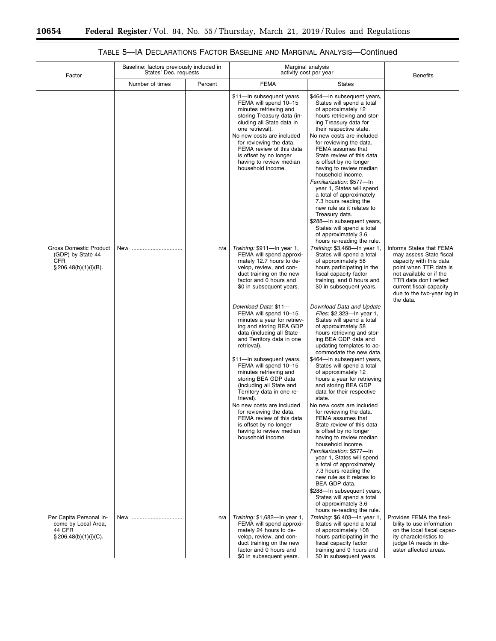$\equiv$ 

٠

| Factor                                                                                        | Baseline: factors previously included in<br>States' Dec. requests |         | Marginal analysis<br>activity cost per year                                                                                                                                                                                                                                                                              | <b>Benefits</b>                                                                                                                                                                                                                                                                                                                                                                                                                                                                                                                                                                                       |                                                                                                                                                                                                                                     |
|-----------------------------------------------------------------------------------------------|-------------------------------------------------------------------|---------|--------------------------------------------------------------------------------------------------------------------------------------------------------------------------------------------------------------------------------------------------------------------------------------------------------------------------|-------------------------------------------------------------------------------------------------------------------------------------------------------------------------------------------------------------------------------------------------------------------------------------------------------------------------------------------------------------------------------------------------------------------------------------------------------------------------------------------------------------------------------------------------------------------------------------------------------|-------------------------------------------------------------------------------------------------------------------------------------------------------------------------------------------------------------------------------------|
|                                                                                               | Number of times                                                   | Percent | <b>FEMA</b>                                                                                                                                                                                                                                                                                                              | <b>States</b>                                                                                                                                                                                                                                                                                                                                                                                                                                                                                                                                                                                         |                                                                                                                                                                                                                                     |
|                                                                                               |                                                                   |         | \$11-In subsequent years,<br>FEMA will spend 10-15<br>minutes retrieving and<br>storing Treasury data (in-<br>cluding all State data in<br>one retrieval).<br>No new costs are included<br>for reviewing the data.<br>FEMA review of this data<br>is offset by no longer<br>having to review median<br>household income. | \$464-In subsequent years,<br>States will spend a total<br>of approximately 12<br>hours retrieving and stor-<br>ing Treasury data for<br>their respective state.<br>No new costs are included<br>for reviewing the data.<br>FEMA assumes that<br>State review of this data<br>is offset by no longer<br>having to review median<br>household income.<br>Familiarization: \$577-In<br>year 1, States will spend<br>a total of approximately<br>7.3 hours reading the<br>new rule as it relates to<br>Treasury data.<br>\$288-In subsequent years,<br>States will spend a total<br>of approximately 3.6 |                                                                                                                                                                                                                                     |
| <b>Gross Domestic Product</b><br>(GDP) by State 44<br><b>CFR</b><br>$\S 206.48(b)(1)(i)(B)$ . | New                                                               | n/a     | Training: \$911-In year 1,<br>FEMA will spend approxi-<br>mately 12.7 hours to de-<br>velop, review, and con-<br>duct training on the new<br>factor and 0 hours and<br>\$0 in subsequent years.<br>Download Data: \$11-                                                                                                  | hours re-reading the rule.<br>Training: \$3,468-In year 1,<br>States will spend a total<br>of approximately 58<br>hours participating in the<br>fiscal capacity factor<br>training, and 0 hours and<br>\$0 in subsequent years.<br>Download Data and Update                                                                                                                                                                                                                                                                                                                                           | Informs States that FEMA<br>may assess State fiscal<br>capacity with this data<br>point when TTR data is<br>not available or if the<br>TTR data don't reflect<br>current fiscal capacity<br>due to the two-year lag in<br>the data. |
|                                                                                               |                                                                   |         | FEMA will spend 10-15<br>minutes a year for retriev-<br>ing and storing BEA GDP<br>data (including all State<br>and Territory data in one<br>retrieval).                                                                                                                                                                 | Files: \$2,323-In year 1,<br>States will spend a total<br>of approximately 58<br>hours retrieving and stor-<br>ing BEA GDP data and<br>updating templates to ac-<br>commodate the new data.                                                                                                                                                                                                                                                                                                                                                                                                           |                                                                                                                                                                                                                                     |
|                                                                                               |                                                                   |         | \$11-In subsequent years,<br>FEMA will spend 10-15<br>minutes retrieving and<br>storing BEA GDP data<br>(including all State and<br>Territory data in one re-<br>trieval).                                                                                                                                               | \$464-In subsequent years,<br>States will spend a total<br>of approximately 12<br>hours a year for retrieving<br>and storing BEA GDP<br>data for their respective<br>state.                                                                                                                                                                                                                                                                                                                                                                                                                           |                                                                                                                                                                                                                                     |
|                                                                                               |                                                                   |         | No new costs are included<br>for reviewing the data.<br>FEMA review of this data<br>is offset by no longer<br>having to review median<br>household income.                                                                                                                                                               | No new costs are included<br>for reviewing the data.<br>FEMA assumes that<br>State review of this data<br>is offset by no longer<br>having to review median<br>household income.<br>Familiarization: \$577-In                                                                                                                                                                                                                                                                                                                                                                                         |                                                                                                                                                                                                                                     |
|                                                                                               |                                                                   |         |                                                                                                                                                                                                                                                                                                                          | year 1, States will spend<br>a total of approximately<br>7.3 hours reading the<br>new rule as it relates to<br>BEA GDP data.<br>\$288-In subsequent years,                                                                                                                                                                                                                                                                                                                                                                                                                                            |                                                                                                                                                                                                                                     |
| Per Capita Personal In-<br>come by Local Area,<br>44 CFR<br>$\S 206.48(b)(1)(i)(C)$ .         | New                                                               | n/a     | Training: \$1,682-In year 1,<br>FEMA will spend approxi-<br>mately 24 hours to de-<br>velop, review, and con-                                                                                                                                                                                                            | States will spend a total<br>of approximately 3.6<br>hours re-reading the rule.<br>Training: \$6,403-In year 1,<br>States will spend a total<br>of approximately 108<br>hours participating in the                                                                                                                                                                                                                                                                                                                                                                                                    | Provides FEMA the flexi-<br>bility to use information<br>on the local fiscal capac-<br>ity characteristics to                                                                                                                       |
|                                                                                               |                                                                   |         | duct training on the new<br>factor and 0 hours and<br>\$0 in subsequent years.                                                                                                                                                                                                                                           | fiscal capacity factor<br>training and 0 hours and<br>\$0 in subsequent years.                                                                                                                                                                                                                                                                                                                                                                                                                                                                                                                        | judge IA needs in dis-<br>aster affected areas.                                                                                                                                                                                     |

# TABLE 5—IA DECLARATIONS FACTOR BASELINE AND MARGINAL ANALYSIS—Continued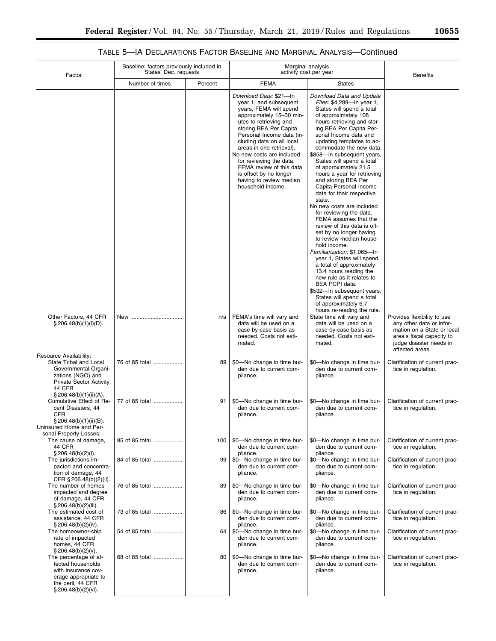# TABLE 5—IA DECLARATIONS FACTOR BASELINE AND MARGINAL ANALYSIS—Continued

| Factor                                                                                                                                          |                 | Baseline: factors previously included in<br>States' Dec. requests |                                                                                                                                                                                                                                                                                                                                                                                                                | Marginal analysis<br>activity cost per year                                                                                                                                                                                                                                                                                                                                                                                                                                                                                                                                                                                                                                                                                                                                                                                                                                                                                             |                                                                                                                                                                  |  |  |  |
|-------------------------------------------------------------------------------------------------------------------------------------------------|-----------------|-------------------------------------------------------------------|----------------------------------------------------------------------------------------------------------------------------------------------------------------------------------------------------------------------------------------------------------------------------------------------------------------------------------------------------------------------------------------------------------------|-----------------------------------------------------------------------------------------------------------------------------------------------------------------------------------------------------------------------------------------------------------------------------------------------------------------------------------------------------------------------------------------------------------------------------------------------------------------------------------------------------------------------------------------------------------------------------------------------------------------------------------------------------------------------------------------------------------------------------------------------------------------------------------------------------------------------------------------------------------------------------------------------------------------------------------------|------------------------------------------------------------------------------------------------------------------------------------------------------------------|--|--|--|
|                                                                                                                                                 | Number of times | Percent                                                           | <b>FEMA</b>                                                                                                                                                                                                                                                                                                                                                                                                    | <b>States</b>                                                                                                                                                                                                                                                                                                                                                                                                                                                                                                                                                                                                                                                                                                                                                                                                                                                                                                                           | <b>Benefits</b>                                                                                                                                                  |  |  |  |
|                                                                                                                                                 |                 |                                                                   | Download Data: \$21-In<br>year 1, and subsequent<br>years, FEMA will spend<br>approximately 15-30 min-<br>utes to retrieving and<br>storing BEA Per Capita<br>Personal Income data (in-<br>cluding data on all local<br>areas in one retrieval).<br>No new costs are included<br>for reviewing the data.<br>FEMA review of this data<br>is offset by no longer<br>having to review median<br>household income. | Download Data and Update<br>Files: \$4,289-In year 1,<br>States will spend a total<br>of approximately 108<br>hours retrieving and stor-<br>ing BEA Per Capita Per-<br>sonal Income data and<br>updating templates to ac-<br>commodate the new data.<br>\$858-In subsequent years,<br>States will spend a total<br>of approximately 21.5<br>hours a year for retrieving<br>and storing BEA Per<br>Capita Personal Income<br>data for their respective<br>state.<br>No new costs are included<br>for reviewing the data.<br>FEMA assumes that the<br>review of this data is off-<br>set by no longer having<br>to review median house-<br>hold income.<br>Familiarization: \$1,065-In<br>year 1, States will spend<br>a total of approximately<br>13.4 hours reading the<br>new rule as it relates to<br>BEA PCPI data.<br>\$532-In subsequent years,<br>States will spend a total<br>of approximately 6.7<br>hours re-reading the rule. |                                                                                                                                                                  |  |  |  |
| Other Factors, 44 CFR<br>$\S 206.48(b)(1)(i)(D)$ .<br>Resource Availability:                                                                    | New             | n/a                                                               | FEMA's time will vary and<br>data will be used on a<br>case-by-case basis as<br>needed. Costs not esti-<br>mated.                                                                                                                                                                                                                                                                                              | State time will vary and<br>data will be used on a<br>case-by-case basis as<br>needed. Costs not esti-<br>mated.                                                                                                                                                                                                                                                                                                                                                                                                                                                                                                                                                                                                                                                                                                                                                                                                                        | Provides flexibility to use<br>any other data or infor-<br>mation on a State or local<br>area's fiscal capacity to<br>judge disaster needs in<br>affected areas. |  |  |  |
| State Tribal and Local<br>Governmental Organi-<br>zations (NGO) and<br>Private Sector Activity,<br>44 CFR<br>$\S 206.48(b)(1)(ii)(A)$ .         | 76 of 85 total  | 89                                                                | \$0-No change in time bur-<br>den due to current com-<br>pliance.                                                                                                                                                                                                                                                                                                                                              | \$0-No change in time bur-<br>den due to current com-<br>pliance.                                                                                                                                                                                                                                                                                                                                                                                                                                                                                                                                                                                                                                                                                                                                                                                                                                                                       | Clarification of current prac-<br>tice in regulation.                                                                                                            |  |  |  |
| Cumulative Effect of Re-<br>cent Disasters, 44<br><b>CFR</b><br>$\S 206.48(b)(1)(ii)(B)$ .<br>Uninsured Home and Per-<br>sonal Property Losses: | 77 of 85 total  | 91                                                                | \$0-No change in time bur-<br>den due to current com-<br>pliance.                                                                                                                                                                                                                                                                                                                                              | \$0-No change in time bur-<br>den due to current com-<br>pliance.                                                                                                                                                                                                                                                                                                                                                                                                                                                                                                                                                                                                                                                                                                                                                                                                                                                                       | Clarification of current prac-<br>tice in regulation.                                                                                                            |  |  |  |
| The cause of damage,<br>44 CFR<br>$\S 206.48(b)(2)(i)$ .                                                                                        | 85 of 85 total  | 100                                                               | \$0-No change in time bur-<br>den due to current com-<br>pliance.                                                                                                                                                                                                                                                                                                                                              | \$0-No change in time bur-<br>den due to current com-<br>pliance.                                                                                                                                                                                                                                                                                                                                                                                                                                                                                                                                                                                                                                                                                                                                                                                                                                                                       | Clarification of current prac-<br>tice in regulation.                                                                                                            |  |  |  |
| The jurisdictions im-<br>pacted and concentra-<br>tion of damage, 44<br>CFR § 206.48(b)(2)(ii).                                                 | 84 of 85 total  | 99                                                                | \$0-No change in time bur-<br>den due to current com-<br>pliance.                                                                                                                                                                                                                                                                                                                                              | \$0-No change in time bur-<br>den due to current com-<br>pliance.                                                                                                                                                                                                                                                                                                                                                                                                                                                                                                                                                                                                                                                                                                                                                                                                                                                                       | Clarification of current prac-<br>tice in regulation.                                                                                                            |  |  |  |
| The number of homes<br>impacted and degree<br>of damage, 44 CFR<br>§ 206.48(b)(2)(iii).                                                         | 76 of 85 total  | 89                                                                | \$0-No change in time bur-<br>den due to current com-<br>pliance.                                                                                                                                                                                                                                                                                                                                              | \$0-No change in time bur-<br>den due to current com-<br>pliance.                                                                                                                                                                                                                                                                                                                                                                                                                                                                                                                                                                                                                                                                                                                                                                                                                                                                       | Clarification of current prac-<br>tice in regulation.                                                                                                            |  |  |  |
| The estimated cost of<br>assistance, 44 CFR<br>$\S 206.48(b)(2)(iv).$                                                                           | 73 of 85 total  | 86                                                                | \$0-No change in time bur-<br>den due to current com-<br>pliance.                                                                                                                                                                                                                                                                                                                                              | \$0-No change in time bur-<br>den due to current com-<br>pliance.                                                                                                                                                                                                                                                                                                                                                                                                                                                                                                                                                                                                                                                                                                                                                                                                                                                                       | Clarification of current prac-<br>tice in regulation.                                                                                                            |  |  |  |
| The homeowner-ship<br>rate of impacted<br>homes, 44 CFR<br>$\S 206.48(b)(2)(v)$ .                                                               | 54 of 85 total  | 64 l                                                              | \$0-No change in time bur-<br>den due to current com-<br>pliance.                                                                                                                                                                                                                                                                                                                                              | \$0-No change in time bur-<br>den due to current com-<br>pliance.                                                                                                                                                                                                                                                                                                                                                                                                                                                                                                                                                                                                                                                                                                                                                                                                                                                                       | Clarification of current prac-<br>tice in regulation.                                                                                                            |  |  |  |
| The percentage of af-<br>fected households<br>with insurance cov-<br>erage appropriate to<br>the peril, 44 CFR<br>$\S 206.48(b)(2)(vi)$ .       | 68 of 85 total  | 80                                                                | \$0-No change in time bur-<br>den due to current com-<br>pliance.                                                                                                                                                                                                                                                                                                                                              | \$0-No change in time bur-<br>den due to current com-<br>pliance.                                                                                                                                                                                                                                                                                                                                                                                                                                                                                                                                                                                                                                                                                                                                                                                                                                                                       | Clarification of current prac-<br>tice in regulation.                                                                                                            |  |  |  |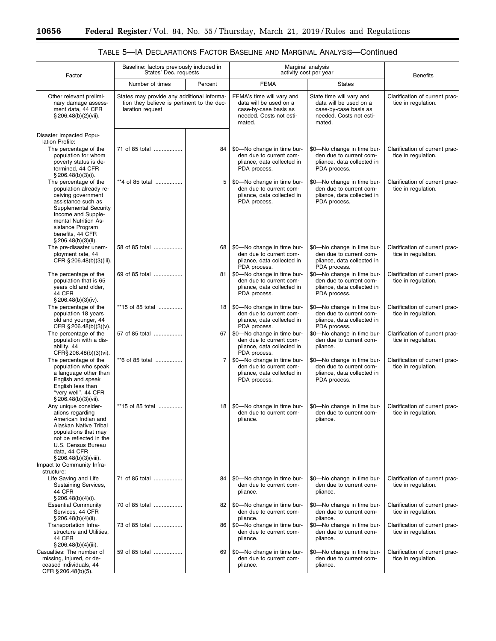$\equiv$ 

۲

# TABLE 5—IA DECLARATIONS FACTOR BASELINE AND MARGINAL ANALYSIS—Continued

| Factor                                                                                                                                                                                                                                       |                                                                                                              | Baseline: factors previously included in<br>States' Dec. requests |                                                                                                                   | Marginal analysis<br>activity cost per year                                                                      |                                                       |
|----------------------------------------------------------------------------------------------------------------------------------------------------------------------------------------------------------------------------------------------|--------------------------------------------------------------------------------------------------------------|-------------------------------------------------------------------|-------------------------------------------------------------------------------------------------------------------|------------------------------------------------------------------------------------------------------------------|-------------------------------------------------------|
|                                                                                                                                                                                                                                              | Number of times                                                                                              | Percent                                                           | <b>FEMA</b>                                                                                                       | <b>States</b>                                                                                                    | <b>Benefits</b>                                       |
| Other relevant prelimi-<br>nary damage assess-<br>ment data, 44 CFR<br>$\S 206.48(b)(2)(vii)$ .                                                                                                                                              | States may provide any additional informa-<br>tion they believe is pertinent to the dec-<br>laration request |                                                                   | FEMA's time will vary and<br>data will be used on a<br>case-by-case basis as<br>needed. Costs not esti-<br>mated. | State time will vary and<br>data will be used on a<br>case-by-case basis as<br>needed. Costs not esti-<br>mated. | Clarification of current prac-<br>tice in regulation. |
| Disaster Impacted Popu-<br>lation Profile:                                                                                                                                                                                                   |                                                                                                              |                                                                   |                                                                                                                   |                                                                                                                  |                                                       |
| The percentage of the<br>population for whom<br>poverty status is de-<br>termined, 44 CFR<br>$§$ 206.48(b)(3)(i).                                                                                                                            | 71 of 85 total                                                                                               | 84                                                                | \$0-No change in time bur-<br>den due to current com-<br>pliance, data collected in<br>PDA process.               | \$0-No change in time bur-<br>den due to current com-<br>pliance, data collected in<br>PDA process.              | Clarification of current prac-<br>tice in regulation. |
| The percentage of the<br>population already re-<br>ceiving government<br>assistance such as<br><b>Supplemental Security</b><br>Income and Supple-<br>mental Nutrition As-<br>sistance Program<br>benefits, 44 CFR<br>§ 206.48(b)(3)(ii).     | **4 of 85 total                                                                                              | 5                                                                 | \$0-No change in time bur-<br>den due to current com-<br>pliance, data collected in<br>PDA process.               | \$0-No change in time bur-<br>den due to current com-<br>pliance, data collected in<br>PDA process.              | Clarification of current prac-<br>tice in regulation. |
| The pre-disaster unem-<br>ployment rate, 44<br>CFR § 206.48(b)(3)(iii).                                                                                                                                                                      | 58 of 85 total                                                                                               | 68                                                                | \$0-No change in time bur-<br>den due to current com-<br>pliance, data collected in<br>PDA process.               | \$0-No change in time bur-<br>den due to current com-<br>pliance, data collected in<br>PDA process.              | Clarification of current prac-<br>tice in regulation. |
| The percentage of the<br>population that is 65<br>years old and older,<br>44 CFR<br>$\S 206.48(b)(3)(iv).$                                                                                                                                   | 69 of 85 total                                                                                               | 81                                                                | \$0-No change in time bur-<br>den due to current com-<br>pliance, data collected in<br>PDA process.               | \$0-No change in time bur-<br>den due to current com-<br>pliance, data collected in<br>PDA process.              | Clarification of current prac-<br>tice in regulation. |
| The percentage of the<br>population 18 years<br>old and younger, 44<br>CFR § 206.48(b)(3)(v).                                                                                                                                                | **15 of 85 total                                                                                             | 18 <sup>1</sup>                                                   | \$0-No change in time bur-<br>den due to current com-<br>pliance, data collected in<br>PDA process.               | \$0-No change in time bur-<br>den due to current com-<br>pliance, data collected in<br>PDA process.              | Clarification of current prac-<br>tice in regulation. |
| The percentage of the<br>population with a dis-<br>ability, 44<br>CFR§ 206.48(b)(3)(vi).                                                                                                                                                     | 57 of 85 total                                                                                               | 67                                                                | \$0-No change in time bur-<br>den due to current com-<br>pliance, data collected in<br>PDA process.               | \$0-No change in time bur-<br>den due to current com-<br>pliance.                                                | Clarification of current prac-<br>tice in regulation. |
| The percentage of the<br>population who speak<br>a language other than<br>English and speak<br>English less than<br>"very well", 44 CFR<br>$§$ 206.48(b)(3)(vii).                                                                            | **6 of 85 total                                                                                              | $\overline{7}$                                                    | \$0-No change in time bur-<br>den due to current com-<br>pliance, data collected in<br>PDA process.               | \$0-No change in time bur-<br>den due to current com-<br>pliance, data collected in<br>PDA process.              | Clarification of current prac-<br>tice in regulation. |
| Any unique consider-<br>ations regarding<br>American Indian and<br>Alaskan Native Tribal<br>populations that may<br>not be reflected in the<br>U.S. Census Bureau<br>data, 44 CFR<br>$\S 206.48(b)(3)(viii)$ .<br>Impact to Community Infra- | **15 of 85 total                                                                                             | 18                                                                | \$0-No change in time bur-<br>den due to current com-<br>pliance.                                                 | \$0-No change in time bur-<br>den due to current com-<br>pliance.                                                | Clarification of current prac-<br>tice in regulation. |
| structure:<br>Life Saving and Life<br>Sustaining Services,<br>44 CFR<br>$\S 206.48(b)(4)(i)$ .                                                                                                                                               | 71 of 85 total                                                                                               | 84                                                                | \$0-No change in time bur-<br>den due to current com-<br>pliance.                                                 | \$0-No change in time bur-<br>den due to current com-<br>pliance.                                                | Clarification of current prac-<br>tice in regulation. |
| <b>Essential Community</b><br>Services, 44 CFR<br>§ 206.48(b)(4)(ii).                                                                                                                                                                        | 70 of 85 total                                                                                               | 82                                                                | \$0-No change in time bur-<br>den due to current com-<br>pliance.                                                 | \$0-No change in time bur-<br>den due to current com-<br>pliance.                                                | Clarification of current prac-<br>tice in regulation. |
| Transportation Infra-<br>structure and Utilities.<br>44 CFR<br>$\S 206.48(b)(4)(iii)$ .                                                                                                                                                      | 73 of 85 total                                                                                               | 86                                                                | \$0-No change in time bur-<br>den due to current com-<br>pliance.                                                 | \$0-No change in time bur-<br>den due to current com-<br>pliance.                                                | Clarification of current prac-<br>tice in regulation. |
| Casualties: The number of<br>missing, injured, or de-<br>ceased individuals, 44<br>CFR § 206.48(b)(5).                                                                                                                                       | 59 of 85 total                                                                                               | 69                                                                | \$0-No change in time bur-<br>den due to current com-<br>pliance.                                                 | \$0-No change in time bur-<br>den due to current com-<br>pliance.                                                | Clarification of current prac-<br>tice in regulation. |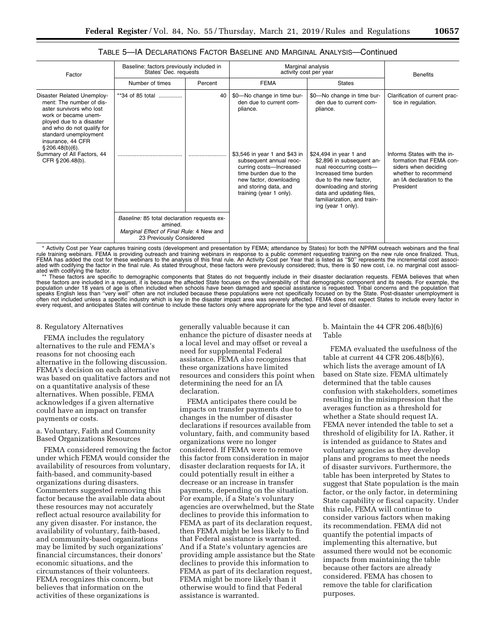# TABLE 5—IA DECLARATIONS FACTOR BASELINE AND MARGINAL ANALYSIS—Continued

| Factor                                                                                                                                                                                                             | Baseline: factors previously included in<br>States' Dec. requests                                                              |         | Marginal analysis<br>activity cost per year                                                                                                                                                  |                                                                                                                                                                                                                                               | <b>Benefits</b>                                                                                                                                  |  |
|--------------------------------------------------------------------------------------------------------------------------------------------------------------------------------------------------------------------|--------------------------------------------------------------------------------------------------------------------------------|---------|----------------------------------------------------------------------------------------------------------------------------------------------------------------------------------------------|-----------------------------------------------------------------------------------------------------------------------------------------------------------------------------------------------------------------------------------------------|--------------------------------------------------------------------------------------------------------------------------------------------------|--|
|                                                                                                                                                                                                                    | Number of times                                                                                                                | Percent | <b>FEMA</b>                                                                                                                                                                                  | <b>States</b>                                                                                                                                                                                                                                 |                                                                                                                                                  |  |
| Disaster Related Unemploy-<br>ment: The number of dis-<br>aster survivors who lost<br>work or became unem-<br>ployed due to a disaster<br>and who do not qualify for<br>standard unemployment<br>insurance, 44 CFR | **34 of 85 total                                                                                                               | 40      | \$0-No change in time bur-<br>den due to current com-<br>pliance.                                                                                                                            | \$0-No change in time bur-<br>den due to current com-<br>pliance.                                                                                                                                                                             | Clarification of current prac-<br>tice in regulation.                                                                                            |  |
| \$206.48(b)(6).<br>Summary of All Factors, 44<br>CFR § 206.48(b).                                                                                                                                                  |                                                                                                                                |         | \$3,546 in year 1 and \$43 in<br>subsequent annual reoc-<br>curring costs-Increased<br>time burden due to the<br>new factor, downloading<br>and storing data, and<br>training (year 1 only). | \$24,494 in year 1 and<br>\$2,896 in subsequent an-<br>nual reoccurring costs-<br>Increased time burden<br>due to the new factor,<br>downloading and storing<br>data and updating files,<br>familiarization, and train-<br>ing (year 1 only). | Informs States with the in-<br>formation that FEMA con-<br>siders when deciding<br>whether to recommend<br>an IA declaration to the<br>President |  |
|                                                                                                                                                                                                                    | Baseline: 85 total declaration requests ex-<br>amined.<br>Marginal Effect of Final Rule: 4 New and<br>23 Previously Considered |         |                                                                                                                                                                                              |                                                                                                                                                                                                                                               |                                                                                                                                                  |  |

\* Activity Cost per Year captures training costs (development and presentation by FEMA; attendance by States) for both the NPRM outreach webinars and the final rule training webinars. FEMA is providing outreach and training webinars in response to a public comment requesting training on the new rule once finalized. Thus,<br>FEMA has added the cost for these webinars to the analysis ated with codifying the factor.

\*\* These factors are specific to demographic components that States do not frequently include in their disaster declaration requests. FEMA believes that when<br>these factors are included in a request, it is because the affec population under 18 years of age is often included when schools have been damaged and special assistance is requested. Tribal concerns and the population that<br>speaks English less than 'very well" often are not included bec every request, and anticipates States will continue to include these factors only where appropriate for the type and level of disaster.

#### 8. Regulatory Alternatives

FEMA includes the regulatory alternatives to the rule and FEMA's reasons for not choosing each alternative in the following discussion. FEMA's decision on each alternative was based on qualitative factors and not on a quantitative analysis of these alternatives. When possible, FEMA acknowledges if a given alternative could have an impact on transfer payments or costs.

a. Voluntary, Faith and Community Based Organizations Resources

FEMA considered removing the factor under which FEMA would consider the availability of resources from voluntary, faith-based, and community-based organizations during disasters. Commenters suggested removing this factor because the available data about these resources may not accurately reflect actual resource availability for any given disaster. For instance, the availability of voluntary, faith-based, and community-based organizations may be limited by such organizations' financial circumstances, their donors' economic situations, and the circumstances of their volunteers. FEMA recognizes this concern, but believes that information on the activities of these organizations is

generally valuable because it can enhance the picture of disaster needs at a local level and may offset or reveal a need for supplemental Federal assistance. FEMA also recognizes that these organizations have limited resources and considers this point when determining the need for an IA declaration.

FEMA anticipates there could be impacts on transfer payments due to changes in the number of disaster declarations if resources available from voluntary, faith, and community based organizations were no longer considered. If FEMA were to remove this factor from consideration in major disaster declaration requests for IA, it could potentially result in either a decrease or an increase in transfer payments, depending on the situation. For example, if a State's voluntary agencies are overwhelmed, but the State declines to provide this information to FEMA as part of its declaration request, then FEMA might be less likely to find that Federal assistance is warranted. And if a State's voluntary agencies are providing ample assistance but the State declines to provide this information to FEMA as part of its declaration request, FEMA might be more likely than it otherwise would to find that Federal assistance is warranted.

### b. Maintain the 44 CFR 206.48(b)(6) Table

FEMA evaluated the usefulness of the table at current 44 CFR 206.48(b)(6), which lists the average amount of IA based on State size. FEMA ultimately determined that the table causes confusion with stakeholders, sometimes resulting in the misimpression that the averages function as a threshold for whether a State should request IA. FEMA never intended the table to set a threshold of eligibility for IA. Rather, it is intended as guidance to States and voluntary agencies as they develop plans and programs to meet the needs of disaster survivors. Furthermore, the table has been interpreted by States to suggest that State population is the main factor, or the only factor, in determining State capability or fiscal capacity. Under this rule, FEMA will continue to consider various factors when making its recommendation. FEMA did not quantify the potential impacts of implementing this alternative, but assumed there would not be economic impacts from maintaining the table because other factors are already considered. FEMA has chosen to remove the table for clarification purposes.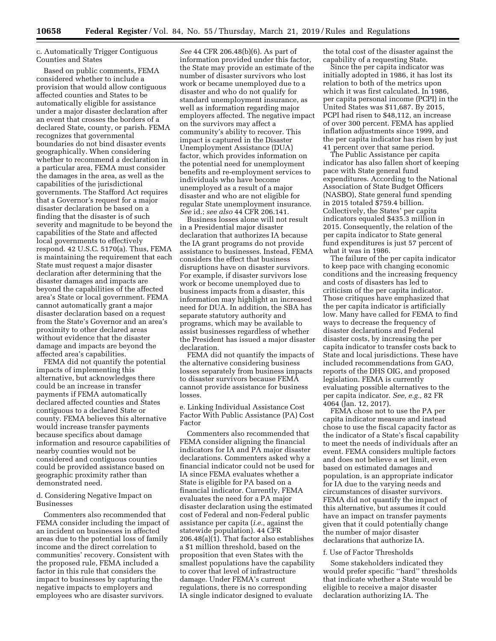# c. Automatically Trigger Contiguous Counties and States

Based on public comments, FEMA considered whether to include a provision that would allow contiguous affected counties and States to be automatically eligible for assistance under a major disaster declaration after an event that crosses the borders of a declared State, county, or parish. FEMA recognizes that governmental boundaries do not bind disaster events geographically. When considering whether to recommend a declaration in a particular area, FEMA must consider the damages in the area, as well as the capabilities of the jurisdictional governments. The Stafford Act requires that a Governor's request for a major disaster declaration be based on a finding that the disaster is of such severity and magnitude to be beyond the capabilities of the State and affected local governments to effectively respond. 42 U.S.C. 5170(a). Thus, FEMA is maintaining the requirement that each State must request a major disaster declaration after determining that the disaster damages and impacts are beyond the capabilities of the affected area's State or local government. FEMA cannot automatically grant a major disaster declaration based on a request from the State's Governor and an area's proximity to other declared areas without evidence that the disaster damage and impacts are beyond the affected area's capabilities.

FEMA did not quantify the potential impacts of implementing this alternative, but acknowledges there could be an increase in transfer payments if FEMA automatically declared affected counties and States contiguous to a declared State or county. FEMA believes this alternative would increase transfer payments because specifics about damage information and resource capabilities of nearby counties would not be considered and contiguous counties could be provided assistance based on geographic proximity rather than demonstrated need.

### d. Considering Negative Impact on Businesses

Commenters also recommended that FEMA consider including the impact of an incident on businesses in affected areas due to the potential loss of family income and the direct correlation to communities' recovery. Consistent with the proposed rule, FEMA included a factor in this rule that considers the impact to businesses by capturing the negative impacts to employers and employees who are disaster survivors.

*See* 44 CFR 206.48(b)(6). As part of information provided under this factor, the State may provide an estimate of the number of disaster survivors who lost work or became unemployed due to a disaster and who do not qualify for standard unemployment insurance, as well as information regarding major employers affected. The negative impact on the survivors may affect a community's ability to recover. This impact is captured in the Disaster Unemployment Assistance (DUA) factor, which provides information on the potential need for unemployment benefits and re-employment services to individuals who have become unemployed as a result of a major disaster and who are not eligible for regular State unemployment insurance. *See* id.; *see also* 44 CFR 206.141.

Business losses alone will not result in a Presidential major disaster declaration that authorizes IA because the IA grant programs do not provide assistance to businesses. Instead, FEMA considers the effect that business disruptions have on disaster survivors. For example, if disaster survivors lose work or become unemployed due to business impacts from a disaster, this information may highlight an increased need for DUA. In addition, the SBA has separate statutory authority and programs, which may be available to assist businesses regardless of whether the President has issued a major disaster declaration.

FEMA did not quantify the impacts of the alternative considering business losses separately from business impacts to disaster survivors because FEMA cannot provide assistance for business losses.

e. Linking Individual Assistance Cost Factor With Public Assistance (PA) Cost Factor

Commenters also recommended that FEMA consider aligning the financial indicators for IA and PA major disaster declarations. Commenters asked why a financial indicator could not be used for IA since FEMA evaluates whether a State is eligible for PA based on a financial indicator. Currently, FEMA evaluates the need for a PA major disaster declaration using the estimated cost of Federal and non-Federal public assistance per capita (*i.e.,* against the statewide population). 44 CFR 206.48(a)(1). That factor also establishes a \$1 million threshold, based on the proposition that even States with the smallest populations have the capability to cover that level of infrastructure damage. Under FEMA's current regulations, there is no corresponding IA single indicator designed to evaluate

the total cost of the disaster against the capability of a requesting State.

Since the per capita indicator was initially adopted in 1986, it has lost its relation to both of the metrics upon which it was first calculated. In 1986, per capita personal income (PCPI) in the United States was \$11,687. By 2015, PCPI had risen to \$48,112, an increase of over 300 percent. FEMA has applied inflation adjustments since 1999, and the per capita indicator has risen by just 41 percent over that same period.

The Public Assistance per capita indicator has also fallen short of keeping pace with State general fund expenditures. According to the National Association of State Budget Officers (NASBO), State general fund spending in 2015 totaled \$759.4 billion. Collectively, the States' per capita indicators equaled \$435.3 million in 2015. Consequently, the relation of the per capita indicator to State general fund expenditures is just 57 percent of what it was in 1986.

The failure of the per capita indicator to keep pace with changing economic conditions and the increasing frequency and costs of disasters has led to criticism of the per capita indicator. Those critiques have emphasized that the per capita indicator is artificially low. Many have called for FEMA to find ways to decrease the frequency of disaster declarations and Federal disaster costs, by increasing the per capita indicator to transfer costs back to State and local jurisdictions. These have included recommendations from GAO, reports of the DHS OIG, and proposed legislation. FEMA is currently evaluating possible alternatives to the per capita indicator. *See, e.g.,* 82 FR 4064 (Jan. 12, 2017).

FEMA chose not to use the PA per capita indicator measure and instead chose to use the fiscal capacity factor as the indicator of a State's fiscal capability to meet the needs of individuals after an event. FEMA considers multiple factors and does not believe a set limit, even based on estimated damages and population, is an appropriate indicator for IA due to the varying needs and circumstances of disaster survivors. FEMA did not quantify the impact of this alternative, but assumes it could have an impact on transfer payments given that it could potentially change the number of major disaster declarations that authorize IA.

#### f. Use of Factor Thresholds

Some stakeholders indicated they would prefer specific ''hard'' thresholds that indicate whether a State would be eligible to receive a major disaster declaration authorizing IA. The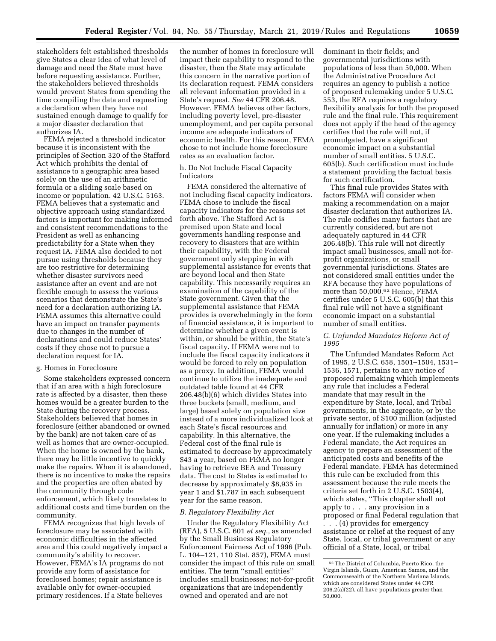stakeholders felt established thresholds give States a clear idea of what level of damage and need the State must have before requesting assistance. Further, the stakeholders believed thresholds would prevent States from spending the time compiling the data and requesting a declaration when they have not sustained enough damage to qualify for a major disaster declaration that authorizes IA.

FEMA rejected a threshold indicator because it is inconsistent with the principles of Section 320 of the Stafford Act which prohibits the denial of assistance to a geographic area based solely on the use of an arithmetic formula or a sliding scale based on income or population. 42 U.S.C. 5163. FEMA believes that a systematic and objective approach using standardized factors is important for making informed and consistent recommendations to the President as well as enhancing predictability for a State when they request IA. FEMA also decided to not pursue using thresholds because they are too restrictive for determining whether disaster survivors need assistance after an event and are not flexible enough to assess the various scenarios that demonstrate the State's need for a declaration authorizing IA. FEMA assumes this alternative could have an impact on transfer payments due to changes in the number of declarations and could reduce States' costs if they chose not to pursue a declaration request for IA.

# g. Homes in Foreclosure

Some stakeholders expressed concern that if an area with a high foreclosure rate is affected by a disaster, then these homes would be a greater burden to the State during the recovery process. Stakeholders believed that homes in foreclosure (either abandoned or owned by the bank) are not taken care of as well as homes that are owner-occupied. When the home is owned by the bank, there may be little incentive to quickly make the repairs. When it is abandoned, there is no incentive to make the repairs and the properties are often abated by the community through code enforcement, which likely translates to additional costs and time burden on the community.

FEMA recognizes that high levels of foreclosure may be associated with economic difficulties in the affected area and this could negatively impact a community's ability to recover. However, FEMA's IA programs do not provide any form of assistance for foreclosed homes; repair assistance is available only for owner-occupied primary residences. If a State believes

the number of homes in foreclosure will impact their capability to respond to the disaster, then the State may articulate this concern in the narrative portion of its declaration request. FEMA considers all relevant information provided in a State's request. *See* 44 CFR 206.48. However, FEMA believes other factors, including poverty level, pre-disaster unemployment, and per capita personal income are adequate indicators of economic health. For this reason, FEMA chose to not include home foreclosure rates as an evaluation factor.

### h. Do Not Include Fiscal Capacity Indicators

FEMA considered the alternative of not including fiscal capacity indicators. FEMA chose to include the fiscal capacity indicators for the reasons set forth above. The Stafford Act is premised upon State and local governments handling response and recovery to disasters that are within their capability, with the Federal government only stepping in with supplemental assistance for events that are beyond local and then State capability. This necessarily requires an examination of the capability of the State government. Given that the supplemental assistance that FEMA provides is overwhelmingly in the form of financial assistance, it is important to determine whether a given event is within, or should be within, the State's fiscal capacity. If FEMA were not to include the fiscal capacity indicators it would be forced to rely on population as a proxy. In addition, FEMA would continue to utilize the inadequate and outdated table found at 44 CFR 206.48(b)(6) which divides States into three buckets (small, medium, and large) based solely on population size instead of a more individualized look at each State's fiscal resources and capability. In this alternative, the Federal cost of the final rule is estimated to decrease by approximately \$43 a year, based on FEMA no longer having to retrieve BEA and Treasury data. The cost to States is estimated to decrease by approximately \$8,935 in year 1 and \$1,787 in each subsequent year for the same reason.

#### *B. Regulatory Flexibility Act*

Under the Regulatory Flexibility Act (RFA), 5 U.S.C. 601 *et seq.,* as amended by the Small Business Regulatory Enforcement Fairness Act of 1996 (Pub. L. 104–121, 110 Stat. 857), FEMA must consider the impact of this rule on small entities. The term ''small entities'' includes small businesses; not-for-profit organizations that are independently owned and operated and are not

dominant in their fields; and governmental jurisdictions with populations of less than 50,000. When the Administrative Procedure Act requires an agency to publish a notice of proposed rulemaking under 5 U.S.C. 553, the RFA requires a regulatory flexibility analysis for both the proposed rule and the final rule. This requirement does not apply if the head of the agency certifies that the rule will not, if promulgated, have a significant economic impact on a substantial number of small entities. 5 U.S.C. 605(b). Such certification must include a statement providing the factual basis for such certification.

This final rule provides States with factors FEMA will consider when making a recommendation on a major disaster declaration that authorizes IA. The rule codifies many factors that are currently considered, but are not adequately captured in 44 CFR 206.48(b). This rule will not directly impact small businesses, small not-forprofit organizations, or small governmental jurisdictions. States are not considered small entities under the RFA because they have populations of more than 50,000.<sup>62</sup> Hence, FEMA certifies under 5 U.S.C. 605(b) that this final rule will not have a significant economic impact on a substantial number of small entities.

#### *C. Unfunded Mandates Reform Act of 1995*

The Unfunded Mandates Reform Act of 1995, 2 U.S.C. 658, 1501–1504, 1531– 1536, 1571, pertains to any notice of proposed rulemaking which implements any rule that includes a Federal mandate that may result in the expenditure by State, local, and Tribal governments, in the aggregate, or by the private sector, of \$100 million (adjusted annually for inflation) or more in any one year. If the rulemaking includes a Federal mandate, the Act requires an agency to prepare an assessment of the anticipated costs and benefits of the Federal mandate. FEMA has determined this rule can be excluded from this assessment because the rule meets the criteria set forth in 2 U.S.C. 1503(4), which states, ''This chapter shall not apply to . . . any provision in a proposed or final Federal regulation that . . . (4) provides for emergency assistance or relief at the request of any State, local, or tribal government or any official of a State, local, or tribal

<sup>62</sup>The District of Columbia, Puerto Rico, the Virgin Islands, Guam, American Samoa, and the Commonwealth of the Northern Mariana Islands, which are considered States under 44 CFR 206.2(a)(22), all have populations greater than 50,000.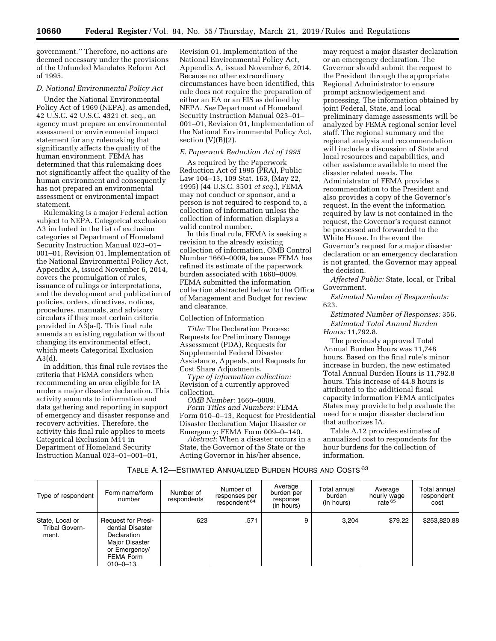government.'' Therefore, no actions are deemed necessary under the provisions of the Unfunded Mandates Reform Act of 1995.

## *D. National Environmental Policy Act*

Under the National Environmental Policy Act of 1969 (NEPA), as amended, 42 U.S.C. 42 U.S.C. 4321 et. seq., an agency must prepare an environmental assessment or environmental impact statement for any rulemaking that significantly affects the quality of the human environment. FEMA has determined that this rulemaking does not significantly affect the quality of the human environment and consequently has not prepared an environmental assessment or environmental impact statement.

Rulemaking is a major Federal action subject to NEPA. Categorical exclusion A3 included in the list of exclusion categories at Department of Homeland Security Instruction Manual 023–01– 001–01, Revision 01, Implementation of the National Environmental Policy Act, Appendix A, issued November 6, 2014, covers the promulgation of rules, issuance of rulings or interpretations, and the development and publication of policies, orders, directives, notices, procedures, manuals, and advisory circulars if they meet certain criteria provided in A3(a-f). This final rule amends an existing regulation without changing its environmental effect, which meets Categorical Exclusion A3(d).

In addition, this final rule revises the criteria that FEMA considers when recommending an area eligible for IA under a major disaster declaration. This activity amounts to information and data gathering and reporting in support of emergency and disaster response and recovery activities. Therefore, the activity this final rule applies to meets Categorical Exclusion M11 in Department of Homeland Security Instruction Manual 023–01–001–01,

Revision 01, Implementation of the National Environmental Policy Act, Appendix A, issued November 6, 2014. Because no other extraordinary circumstances have been identified, this rule does not require the preparation of either an EA or an EIS as defined by NEPA. *See* Department of Homeland Security Instruction Manual 023–01– 001–01, Revision 01, Implementation of the National Environmental Policy Act, section  $(V)(B)(2)$ .

### *E. Paperwork Reduction Act of 1995*

As required by the Paperwork Reduction Act of 1995 (PRA), Public Law 104–13, 109 Stat. 163, (May 22, 1995) (44 U.S.C. 3501 *et seq.*), FEMA may not conduct or sponsor, and a person is not required to respond to, a collection of information unless the collection of information displays a valid control number.

In this final rule, FEMA is seeking a revision to the already existing collection of information, OMB Control Number 1660–0009, because FEMA has refined its estimate of the paperwork burden associated with 1660–0009. FEMA submitted the information collection abstracted below to the Office of Management and Budget for review and clearance.

#### Collection of Information

*Title:* The Declaration Process: Requests for Preliminary Damage Assessment (PDA), Requests for Supplemental Federal Disaster Assistance, Appeals, and Requests for Cost Share Adjustments.

*Type of information collection:*  Revision of a currently approved collection.

*OMB Number:* 1660–0009. *Form Titles and Numbers:* FEMA Form 010–0–13, Request for Presidential Disaster Declaration Major Disaster or Emergency; FEMA Form 009–0–140.

*Abstract:* When a disaster occurs in a State, the Governor of the State or the Acting Governor in his/her absence,

may request a major disaster declaration or an emergency declaration. The Governor should submit the request to the President through the appropriate Regional Administrator to ensure prompt acknowledgement and processing. The information obtained by joint Federal, State, and local preliminary damage assessments will be analyzed by FEMA regional senior level staff. The regional summary and the regional analysis and recommendation will include a discussion of State and local resources and capabilities, and other assistance available to meet the disaster related needs. The Administrator of FEMA provides a recommendation to the President and also provides a copy of the Governor's request. In the event the information required by law is not contained in the request, the Governor's request cannot be processed and forwarded to the White House. In the event the Governor's request for a major disaster declaration or an emergency declaration is not granted, the Governor may appeal the decision.

*Affected Public:* State, local, or Tribal Government.

*Estimated Number of Respondents:*  623.

*Estimated Number of Responses:* 356. *Estimated Total Annual Burden Hours:* 11,792.8.

The previously approved Total Annual Burden Hours was 11,748 hours. Based on the final rule's minor increase in burden, the new estimated Total Annual Burden Hours is 11,792.8 hours. This increase of 44.8 hours is attributed to the additional fiscal capacity information FEMA anticipates States may provide to help evaluate the need for a major disaster declaration that authorizes IA.

Table A.12 provides estimates of annualized cost to respondents for the hour burdens for the collection of information.

# TABLE A.12—ESTIMATED ANNUALIZED BURDEN HOURS AND COSTS 63

| Type of respondent                         | Form name/form<br>number                                                                                                         | Number of<br>respondents | Number of<br>responses per<br>respondent <sup>64</sup> | Average<br>burden per<br>response<br>(in hours) | Total annual<br>burden<br>(in hours) | Average<br>hourly wage<br>rate 65 | Total annual<br>respondent<br>cost |
|--------------------------------------------|----------------------------------------------------------------------------------------------------------------------------------|--------------------------|--------------------------------------------------------|-------------------------------------------------|--------------------------------------|-----------------------------------|------------------------------------|
| State, Local or<br>Tribal Govern-<br>ment. | <b>Request for Presi-</b><br>dential Disaster<br>Declaration<br>Major Disaster<br>or Emergency/<br>FEMA Form<br>$010 - 0 - 13$ . | 623                      | .571                                                   | 9                                               | 3.204                                | \$79.22                           | \$253,820.88                       |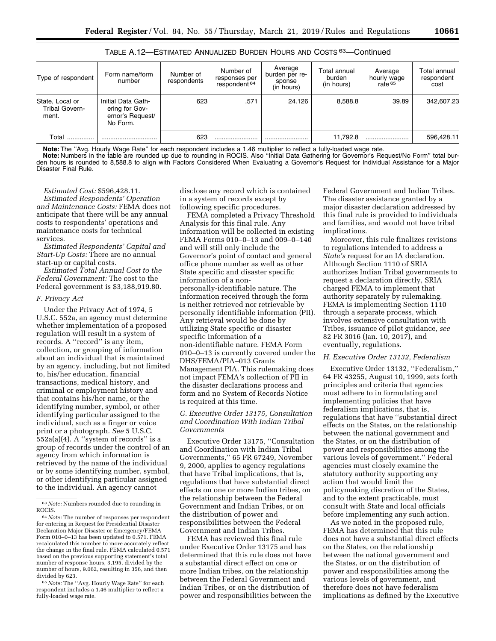| Type of respondent                                | Form name/form<br>number                                             | Number of<br>respondents | Number of<br>responses per<br>respondent 64 | Average<br>burden per re-<br>sponse<br>(in hours) | Total annual<br>burden<br>(in hours) | Average<br>hourly wage<br>rate <sup>65</sup> | Total annual<br>respondent<br>cost |
|---------------------------------------------------|----------------------------------------------------------------------|--------------------------|---------------------------------------------|---------------------------------------------------|--------------------------------------|----------------------------------------------|------------------------------------|
| State, Local or<br><b>Tribal Govern-</b><br>ment. | Initial Data Gath-<br>ering for Gov-<br>ernor's Request/<br>No Form. | 623                      | .571                                        | 24.126                                            | 8.588.8                              | 39.89                                        | 342,607.23                         |
| Total                                             |                                                                      | 623                      |                                             |                                                   | 11.792.8                             |                                              | 596.428.11                         |

TABLE A.12—ESTIMATED ANNUALIZED BURDEN HOURS AND COSTS 63—Continued

**Note:** The ''Avg. Hourly Wage Rate'' for each respondent includes a 1.46 multiplier to reflect a fully-loaded wage rate.

**Note:** Numbers in the table are rounded up due to rounding in ROCIS. Also ''Initial Data Gathering for Governor's Request/No Form'' total burden hours is rounded to 8,588.8 to align with Factors Considered When Evaluating a Governor's Request for Individual Assistance for a Major Disaster Final Rule.

### *Estimated Cost:* \$596,428.11. *Estimated Respondents' Operation and Maintenance Costs:* FEMA does not anticipate that there will be any annual costs to respondents' operations and maintenance costs for technical

services. *Estimated Respondents' Capital and Start-Up Costs:* There are no annual start-up or capital costs.

*Estimated Total Annual Cost to the Federal Government:* The cost to the Federal government is \$3,188,919.80.

### *F. Privacy Act*

Under the Privacy Act of 1974, 5 U.S.C. 552a, an agency must determine whether implementation of a proposed regulation will result in a system of records. A ''record'' is any item, collection, or grouping of information about an individual that is maintained by an agency, including, but not limited to, his/her education, financial transactions, medical history, and criminal or employment history and that contains his/her name, or the identifying number, symbol, or other identifying particular assigned to the individual, such as a finger or voice print or a photograph. *See* 5 U.S.C. 552a(a)(4). A ''system of records'' is a group of records under the control of an agency from which information is retrieved by the name of the individual or by some identifying number, symbol, or other identifying particular assigned to the individual. An agency cannot

65*Note:* The ''Avg. Hourly Wage Rate'' for each respondent includes a 1.46 multiplier to reflect a fully-loaded wage rate.

disclose any record which is contained in a system of records except by following specific procedures.

FEMA completed a Privacy Threshold Analysis for this final rule. Any information will be collected in existing FEMA Forms 010–0–13 and 009–0–140 and will still only include the Governor's point of contact and general office phone number as well as other State specific and disaster specific information of a nonpersonally-identifiable nature. The information received through the form is neither retrieved nor retrievable by personally identifiable information (PII). Any retrieval would be done by utilizing State specific or disaster specific information of a non-identifiable nature. FEMA Form 010–0–13 is currently covered under the DHS/FEMA/PIA–013 Grants Management PIA. This rulemaking does not impact FEMA's collection of PII in the disaster declarations process and form and no System of Records Notice is required at this time.

### *G. Executive Order 13175, Consultation and Coordination With Indian Tribal Governments*

Executive Order 13175, ''Consultation and Coordination with Indian Tribal Governments,'' 65 FR 67249, November 9, 2000, applies to agency regulations that have Tribal implications, that is, regulations that have substantial direct effects on one or more Indian tribes, on the relationship between the Federal Government and Indian Tribes, or on the distribution of power and responsibilities between the Federal Government and Indian Tribes.

FEMA has reviewed this final rule under Executive Order 13175 and has determined that this rule does not have a substantial direct effect on one or more Indian tribes, on the relationship between the Federal Government and Indian Tribes, or on the distribution of power and responsibilities between the

Federal Government and Indian Tribes. The disaster assistance granted by a major disaster declaration addressed by this final rule is provided to individuals and families, and would not have tribal implications.

Moreover, this rule finalizes revisions to regulations intended to address a *State's* request for an IA declaration. Although Section 1110 of SRIA authorizes Indian Tribal governments to request a declaration directly, SRIA charged FEMA to implement that authority separately by rulemaking. FEMA is implementing Section 1110 through a separate process, which involves extensive consultation with Tribes, issuance of pilot guidance, *see*  82 FR 3016 (Jan. 10, 2017), and eventually, regulations.

# *H. Executive Order 13132, Federalism*

Executive Order 13132, ''Federalism,'' 64 FR 43255, August 10, 1999, sets forth principles and criteria that agencies must adhere to in formulating and implementing policies that have federalism implications, that is, regulations that have ''substantial direct effects on the States, on the relationship between the national government and the States, or on the distribution of power and responsibilities among the various levels of government.'' Federal agencies must closely examine the statutory authority supporting any action that would limit the policymaking discretion of the States, and to the extent practicable, must consult with State and local officials before implementing any such action.

As we noted in the proposed rule, FEMA has determined that this rule does not have a substantial direct effects on the States, on the relationship between the national government and the States, or on the distribution of power and responsibilities among the various levels of government, and therefore does not have federalism implications as defined by the Executive

<sup>63</sup>*Note:* Numbers rounded due to rounding in ROCIS.

<sup>64</sup>*Note:* The number of responses per respondent for entering in Request for Presidential Disaster Declaration Major Disaster or Emergency/FEMA Form 010–0–13 has been updated to 0.571. FEMA recalculated this number to more accurately reflect the change in the final rule. FEMA calculated 0.571 based on the previous supporting statement's total number of response hours, 3,195, divided by the number of hours, 9.062, resulting in 356, and then divided by 623.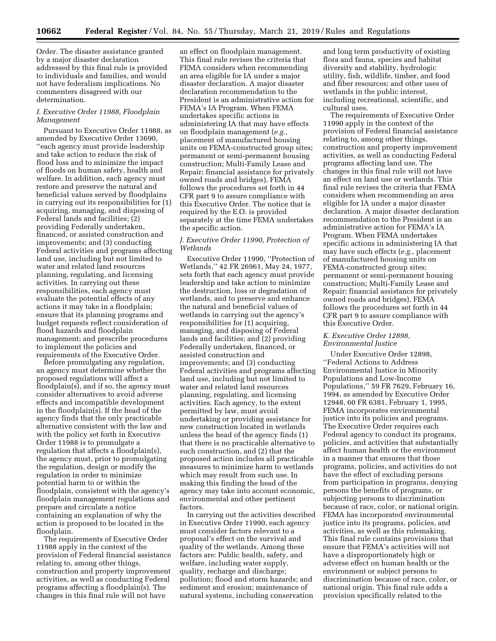Order. The disaster assistance granted by a major disaster declaration addressed by this final rule is provided to individuals and families, and would not have federalism implications. No commenters disagreed with our determination.

### *I. Executive Order 11988, Floodplain Management*

Pursuant to Executive Order 11988, as amended by Executive Order 13690, ''each agency must provide leadership and take action to reduce the risk of flood loss and to minimize the impact of floods on human safety, health and welfare. In addition, each agency must restore and preserve the natural and beneficial values served by floodplains in carrying out its responsibilities for (1) acquiring, managing, and disposing of Federal lands and facilities; (2) providing Federally undertaken, financed, or assisted construction and improvements; and (3) conducting Federal activities and programs affecting land use, including but not limited to water and related land resources planning, regulating, and licensing activities. In carrying out these responsibilities, each agency must evaluate the potential effects of any actions it may take in a floodplain; ensure that its planning programs and budget requests reflect consideration of flood hazards and floodplain management; and prescribe procedures to implement the policies and requirements of the Executive Order.

Before promulgating any regulation, an agency must determine whether the proposed regulations will affect a floodplain(s), and if so, the agency must consider alternatives to avoid adverse effects and incompatible development in the floodplain(s). If the head of the agency finds that the only practicable alternative consistent with the law and with the policy set forth in Executive Order 11988 is to promulgate a regulation that affects a floodplain(s), the agency must, prior to promulgating the regulation, design or modify the regulation in order to minimize potential harm to or within the floodplain, consistent with the agency's floodplain management regulations and prepare and circulate a notice containing an explanation of why the action is proposed to be located in the floodplain.

The requirements of Executive Order 11988 apply in the context of the provision of Federal financial assistance relating to, among other things, construction and property improvement activities, as well as conducting Federal programs affecting a floodplain(s). The changes in this final rule will not have

an effect on floodplain management. This final rule revises the criteria that FEMA considers when recommending an area eligible for IA under a major disaster declaration. A major disaster declaration recommendation to the President is an administrative action for FEMA's IA Program. When FEMA undertakes specific actions in administering IA that may have effects on floodplain management (*e.g.,*  placement of manufactured housing units on FEMA-constructed group sites; permanent or semi-permanent housing construction; Multi-Family Lease and Repair; financial assistance for privately owned roads and bridges), FEMA follows the procedures set forth in 44 CFR part 9 to assure compliance with this Executive Order. The notice that is required by the E.O. is provided separately at the time FEMA undertakes the specific action.

## *J. Executive Order 11990, Protection of Wetlands*

Executive Order 11990, ''Protection of Wetlands,'' 42 FR 26961, May 24, 1977, sets forth that each agency must provide leadership and take action to minimize the destruction, loss or degradation of wetlands, and to preserve and enhance the natural and beneficial values of wetlands in carrying out the agency's responsibilities for (1) acquiring, managing, and disposing of Federal lands and facilities; and (2) providing Federally undertaken, financed, or assisted construction and improvements; and (3) conducting Federal activities and programs affecting land use, including but not limited to water and related land resources planning, regulating, and licensing activities. Each agency, to the extent permitted by law, must avoid undertaking or providing assistance for new construction located in wetlands unless the head of the agency finds (1) that there is no practicable alternative to such construction, and (2) that the proposed action includes all practicable measures to minimize harm to wetlands which may result from such use. In making this finding the head of the agency may take into account economic, environmental and other pertinent factors.

In carrying out the activities described in Executive Order 11990, each agency must consider factors relevant to a proposal's effect on the survival and quality of the wetlands. Among these factors are: Public health, safety, and welfare, including water supply, quality, recharge and discharge; pollution; flood and storm hazards; and sediment and erosion; maintenance of natural systems, including conservation

and long term productivity of existing flora and fauna, species and habitat diversity and stability, hydrologic utility, fish, wildlife, timber, and food and fiber resources; and other uses of wetlands in the public interest, including recreational, scientific, and cultural uses.

The requirements of Executive Order 11990 apply in the context of the provision of Federal financial assistance relating to, among other things, construction and property improvement activities, as well as conducting Federal programs affecting land use. The changes in this final rule will not have an effect on land use or wetlands. This final rule revises the criteria that FEMA considers when recommending an area eligible for IA under a major disaster declaration. A major disaster declaration recommendation to the President is an administrative action for FEMA's IA Program. When FEMA undertakes specific actions in administering IA that may have such effects (*e.g.,* placement of manufactured housing units on FEMA-constructed group sites; permanent or semi-permanent housing construction; Multi-Family Lease and Repair; financial assistance for privately owned roads and bridges), FEMA follows the procedures set forth in 44 CFR part 9 to assure compliance with this Executive Order.

#### *K. Executive Order 12898, Environmental Justice*

Under Executive Order 12898, ''Federal Actions to Address Environmental Justice in Minority Populations and Low-Income Populations,'' 59 FR 7629, February 16, 1994, as amended by Executive Order 12948, 60 FR 6381, February 1, 1995, FEMA incorporates environmental justice into its policies and programs. The Executive Order requires each Federal agency to conduct its programs, policies, and activities that substantially affect human health or the environment in a manner that ensures that those programs, policies, and activities do not have the effect of excluding persons from participation in programs, denying persons the benefits of programs, or subjecting persons to discrimination because of race, color, or national origin. FEMA has incorporated environmental justice into its programs, policies, and activities, as well as this rulemaking. This final rule contains provisions that ensure that FEMA's activities will not have a disproportionately high or adverse effect on human health or the environment or subject persons to discrimination because of race, color, or national origin. This final rule adds a provision specifically related to the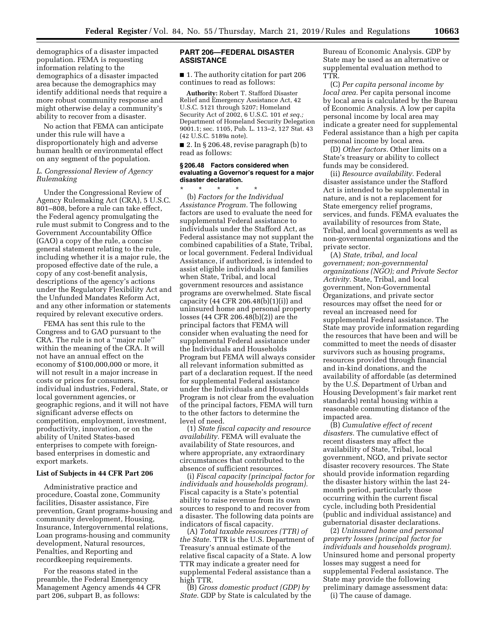demographics of a disaster impacted population. FEMA is requesting information relating to the demographics of a disaster impacted area because the demographics may identify additional needs that require a more robust community response and might otherwise delay a community's ability to recover from a disaster.

No action that FEMA can anticipate under this rule will have a disproportionately high and adverse human health or environmental effect on any segment of the population.

### *L. Congressional Review of Agency Rulemaking*

Under the Congressional Review of Agency Rulemaking Act (CRA), 5 U.S.C. 801–808, before a rule can take effect, the Federal agency promulgating the rule must submit to Congress and to the Government Accountability Office (GAO) a copy of the rule, a concise general statement relating to the rule, including whether it is a major rule, the proposed effective date of the rule, a copy of any cost-benefit analysis, descriptions of the agency's actions under the Regulatory Flexibility Act and the Unfunded Mandates Reform Act, and any other information or statements required by relevant executive orders.

FEMA has sent this rule to the Congress and to GAO pursuant to the CRA. The rule is not a ''major rule'' within the meaning of the CRA. It will not have an annual effect on the economy of \$100,000,000 or more, it will not result in a major increase in costs or prices for consumers, individual industries, Federal, State, or local government agencies, or geographic regions, and it will not have significant adverse effects on competition, employment, investment, productivity, innovation, or on the ability of United States-based enterprises to compete with foreignbased enterprises in domestic and export markets.

#### **List of Subjects in 44 CFR Part 206**

Administrative practice and procedure, Coastal zone, Community facilities, Disaster assistance, Fire prevention, Grant programs-housing and community development, Housing, Insurance, Intergovernmental relations, Loan programs-housing and community development, Natural resources, Penalties, and Reporting and recordkeeping requirements.

For the reasons stated in the preamble, the Federal Emergency Management Agency amends 44 CFR part 206, subpart B, as follows:

## **PART 206—FEDERAL DISASTER ASSISTANCE**

■ 1. The authority citation for part 206 continues to read as follows:

**Authority:** Robert T. Stafford Disaster Relief and Emergency Assistance Act, 42 U.S.C. 5121 through 5207; Homeland Security Act of 2002, 6 U.S.C. 101 *et seq.;*  Department of Homeland Security Delegation 9001.1; sec. 1105, Pub. L. 113–2, 127 Stat. 43 (42 U.S.C. 5189a note).

■ 2. In § 206.48, revise paragraph (b) to read as follows:

#### **§ 206.48 Factors considered when evaluating a Governor's request for a major disaster declaration.**

\* \* \* \* \* (b) *Factors for the Individual Assistance Program.* The following factors are used to evaluate the need for supplemental Federal assistance to individuals under the Stafford Act, as Federal assistance may not supplant the combined capabilities of a State, Tribal, or local government. Federal Individual Assistance, if authorized, is intended to assist eligible individuals and families when State, Tribal, and local government resources and assistance programs are overwhelmed. State fiscal capacity (44 CFR 206.48(b)(1)(i)) and uninsured home and personal property losses (44 CFR 206.48(b)(2)) are the principal factors that FEMA will consider when evaluating the need for supplemental Federal assistance under the Individuals and Households Program but FEMA will always consider all relevant information submitted as part of a declaration request. If the need for supplemental Federal assistance under the Individuals and Households Program is not clear from the evaluation of the principal factors, FEMA will turn to the other factors to determine the level of need.

(1) *State fiscal capacity and resource availability.* FEMA will evaluate the availability of State resources, and where appropriate, any extraordinary circumstances that contributed to the absence of sufficient resources.

(i) *Fiscal capacity (principal factor for individuals and households program).*  Fiscal capacity is a State's potential ability to raise revenue from its own sources to respond to and recover from a disaster. The following data points are indicators of fiscal capacity.

(A) *Total taxable resources (TTR) of the State.* TTR is the U.S. Department of Treasury's annual estimate of the relative fiscal capacity of a State. A low TTR may indicate a greater need for supplemental Federal assistance than a high TTR.

(B) *Gross domestic product (GDP) by State.* GDP by State is calculated by the Bureau of Economic Analysis. GDP by State may be used as an alternative or supplemental evaluation method to TTR.

(C) *Per capita personal income by local area.* Per capita personal income by local area is calculated by the Bureau of Economic Analysis. A low per capita personal income by local area may indicate a greater need for supplemental Federal assistance than a high per capita personal income by local area.

(D) *Other factors.* Other limits on a State's treasury or ability to collect funds may be considered.

(ii) *Resource availability.* Federal disaster assistance under the Stafford Act is intended to be supplemental in nature, and is not a replacement for State emergency relief programs, services, and funds. FEMA evaluates the availability of resources from State, Tribal, and local governments as well as non-governmental organizations and the private sector.

(A) *State, tribal, and local government; non-governmental organizations (NGO); and Private Sector Activity.* State, Tribal, and local government, Non-Governmental Organizations, and private sector resources may offset the need for or reveal an increased need for supplemental Federal assistance. The State may provide information regarding the resources that have been and will be committed to meet the needs of disaster survivors such as housing programs, resources provided through financial and in-kind donations, and the availability of affordable (as determined by the U.S. Department of Urban and Housing Development's fair market rent standards) rental housing within a reasonable commuting distance of the impacted area.

(B) *Cumulative effect of recent disasters.* The cumulative effect of recent disasters may affect the availability of State, Tribal, local government, NGO, and private sector disaster recovery resources. The State should provide information regarding the disaster history within the last 24 month period, particularly those occurring within the current fiscal cycle, including both Presidential (public and individual assistance) and gubernatorial disaster declarations.

(2) *Uninsured home and personal property losses (principal factor for individuals and households program).*  Uninsured home and personal property losses may suggest a need for supplemental Federal assistance. The State may provide the following preliminary damage assessment data:

(i) The cause of damage.